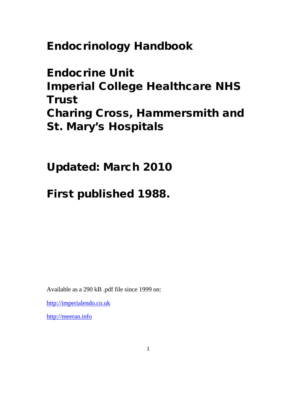**Endocrinology Handbook**

**Endocrine Unit Imperial College Healthcare NHS Trust Charing Cross, Hammersmith and St. Mary's Hospitals**

**Updated: March 2010**

**First published 1988.**

Available as a 290 kB .pdf file since 1999 on:

http://imperialendo.co.uk

http://meeran.info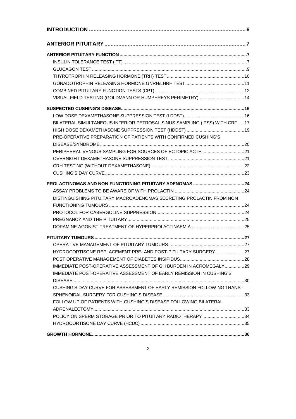| VISUAL FIELD TESTING (GOLDMANN OR HUMPHREYS PERIMETRY) 14                  |  |
|----------------------------------------------------------------------------|--|
|                                                                            |  |
|                                                                            |  |
| BILATERAL SIMULTANEOUS INFERIOR PETROSAL SINUS SAMPLING (IPSS) WITH CRF 17 |  |
|                                                                            |  |
| PRE-OPERATIVE PREPARATION OF PATIENTS WITH CONFIRMED CUSHING'S             |  |
|                                                                            |  |
| PERIPHERAL VENOUS SAMPLING FOR SOURCES OF ECTOPIC ACTH 21                  |  |
|                                                                            |  |
|                                                                            |  |
|                                                                            |  |
|                                                                            |  |
|                                                                            |  |
| DISTINGUISHING PITUITARY MACROADENOMAS SECRETING PROLACTIN FROM NON        |  |
|                                                                            |  |
|                                                                            |  |
|                                                                            |  |
|                                                                            |  |
|                                                                            |  |
|                                                                            |  |
| HYDROCORTISONE REPLACEMENT PRE- AND POST-PITUITARY SURGERY27               |  |
|                                                                            |  |
| IMMEDIATE POST-OPERATIVE ASSESSMENT OF GH BURDEN IN ACROMEGALY29           |  |
| <b>IMMEDIATE POST-OPERATIVE ASSESSMENT OF EARLY REMISSION IN CUSHING'S</b> |  |
|                                                                            |  |
| CUSHING'S DAY CURVE FOR ASSESSMENT OF EARLY REMISSION FOLLOWING TRANS-     |  |
|                                                                            |  |
| FOLLOW UP OF PATIENTS WITH CUSHING'S DISEASE FOLLOWING BILATERAL           |  |
|                                                                            |  |
| POLICY ON SPERM STORAGE PRIOR TO PITUITARY RADIOTHERAPY34                  |  |
|                                                                            |  |
|                                                                            |  |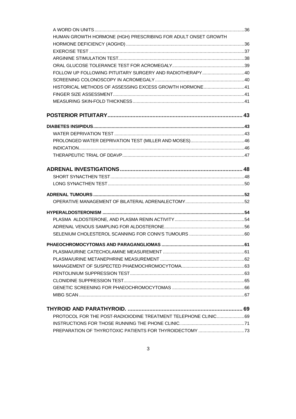| HUMAN GROWTH HORMONE (HGH) PRESCRIBING FOR ADULT ONSET GROWTH  |  |
|----------------------------------------------------------------|--|
|                                                                |  |
|                                                                |  |
|                                                                |  |
|                                                                |  |
| FOLLOW UP FOLLOWING PITUITARY SURGERY AND RADIOTHERAPY40       |  |
|                                                                |  |
| HISTORICAL METHODS OF ASSESSING EXCESS GROWTH HORMONE41        |  |
|                                                                |  |
|                                                                |  |
|                                                                |  |
|                                                                |  |
|                                                                |  |
|                                                                |  |
|                                                                |  |
|                                                                |  |
|                                                                |  |
|                                                                |  |
|                                                                |  |
|                                                                |  |
|                                                                |  |
|                                                                |  |
|                                                                |  |
|                                                                |  |
|                                                                |  |
|                                                                |  |
|                                                                |  |
|                                                                |  |
|                                                                |  |
|                                                                |  |
|                                                                |  |
|                                                                |  |
|                                                                |  |
|                                                                |  |
| PROTOCOL FOR THE POST-RADIOIODINE TREATMENT TELEPHONE CLINIC69 |  |
|                                                                |  |
|                                                                |  |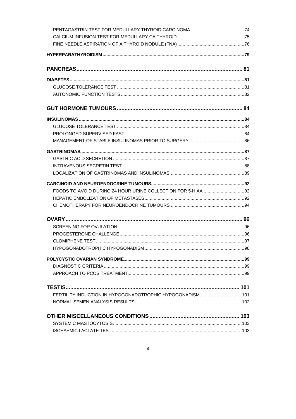| FERTILITY INDUCTION IN HYPOGONADOTROPHIC HYPOGONADISM101 |  |
|----------------------------------------------------------|--|
|                                                          |  |
|                                                          |  |
|                                                          |  |
|                                                          |  |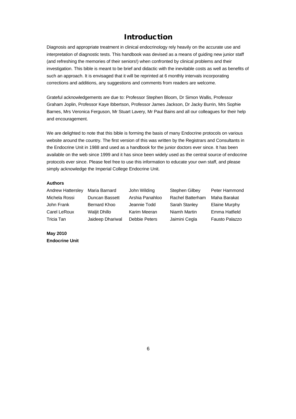# **Introduction**

Diagnosis and appropriate treatment in clinical endocrinology rely heavily on the accurate use and interpretation of diagnostic tests. This handbook was devised as a means of guiding new junior staff (and refreshing the memories of their seniors!) when confronted by clinical problems and their investigation. This bible is meant to be brief and didactic with the inevitable costs as well as benefits of such an approach. It is envisaged that it will be reprinted at 6 monthly intervals incorporating corrections and additions, any suggestions and comments from readers are welcome.

Grateful acknowledgements are due to: Professor Stephen Bloom, Dr Simon Wallis, Professor Graham Joplin, Professor Kaye Ibbertson, Professor James Jackson, Dr Jacky Burrin, Mrs Sophie Barnes, Mrs Veronica Ferguson, Mr Stuart Lavery, Mr Paul Bains and all our colleagues for their help and encouragement.

We are delighted to note that this bible is forming the basis of many Endocrine protocols on various website around the country. The first version of this was written by the Registrars and Consultants in the Endocrine Unit in 1988 and used as a handbook for the junior doctors ever since. It has been available on the web since 1999 and it has since been widely used as the central source of endocrine protocols ever since. Please feel free to use this information to educate your own staff, and please simply acknowledge the Imperial College Endocrine Unit.

### **Authors**

| Andrew Hattersley | Maria Barnard        | John Wilding    | Stephen Gilbey   | Peter Hammond         |
|-------------------|----------------------|-----------------|------------------|-----------------------|
| Michela Rossi     | Duncan Bassett       | Arshia Panahloo | Rachel Batterham | Maha Barakat          |
| John Frank        | Bernard Khoo         | Jeannie Todd    | Sarah Stanley    | <b>Elaine Murphy</b>  |
| Carel LeRoux      | <b>Waliit Dhillo</b> | Karim Meeran    | Niamh Martin     | Emma Hatfield         |
| Tricia Tan        | Jaideep Dhariwal     | Debbie Peters   | Jaimini Cegla    | <b>Fausto Palazzo</b> |

**May 2010 Endocrine Unit**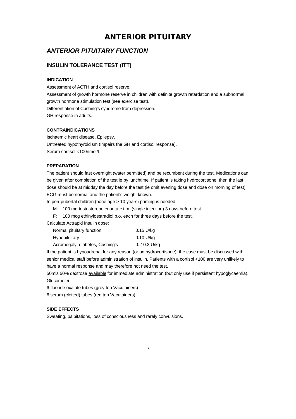# **ANTERIOR PITUITARY**

# *ANTERIOR PITUITARY FUNCTION*

# **INSULIN TOLERANCE TEST (ITT)**

### **INDICATION**

Assessment of ACTH and cortisol reserve. Assessment of growth hormone reserve in children with definite growth retardation and a subnormal growth hormone stimulation test (see exercise test). Differentiation of Cushing's syndrome from depression. GH response in adults.

### **CONTRAINDICATIONS**

Ischaemic heart disease, Epilepsy, Untreated hypothyroidism (impairs the GH and cortisol response). Serum cortisol <100nmol/L

### **PREPARATION**

The patient should fast overnight (water permitted) and be recumbent during the test. Medications can be given after completion of the test ie by lunchtime. If patient is taking hydrocortisone, then the last dose should be at midday the day before the test (ie omit evening dose and dose on morning of test). ECG must be normal and the patient's weight known.

In peri-pubertal children (bone age > 10 years) priming is needed

- M: 100 mg testosterone enantate i.m. (single injection) 3 days before test
- F: 100 mcg ethinyloestradiol p.o. each for three days before the test.

Calculate Actrapid Insulin dose:

| Normal pituitary function       | $0.15$ U/kg      |
|---------------------------------|------------------|
| Hypopituitary                   | $0.10$ U/kg      |
| Acromegaly, diabetes, Cushing's | $0.2 - 0.3$ U/kg |

If the patient is hypoadrenal for any reason (or on hydrocortisone), the case must be discussed with senior medical staff before administration of insulin. Patients with a cortisol <100 are very unlikely to have a normal response and may therefore not need the test.

50mls 50% dextrose available for immediate administration (but only use if persistent hypoglycaemia). Glucometer.

6 fluoride oxalate tubes (grey top Vacutainers)

6 serum (clotted) tubes (red top Vacutainers)

### **SIDE EFFECTS**

Sweating, palpitations, loss of consciousness and rarely convulsions.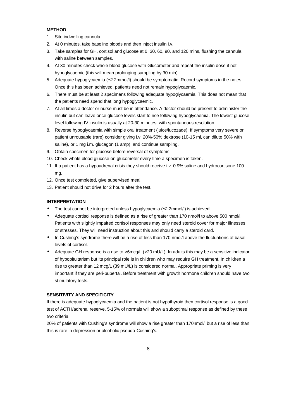### **METHOD**

- 1. Site indwelling cannula.
- 2. At 0 minutes, take baseline bloods and then inject insulin i.v.
- 3. Take samples for GH, cortisol and glucose at 0, 30, 60, 90, and 120 mins, flushing the cannula with saline between samples.
- 4. At 30 minutes check whole blood glucose with Glucometer and repeat the insulin dose if not hypoglycaemic (this will mean prolonging sampling by 30 min).
- 5. Adequate hypoglycaemia (≤2.2mmol/l) should be symptomatic. Record symptoms in the notes. Once this has been achieved, patients need not remain hypoglycaemic.
- 6. There must be at least 2 specimens following adequate hypoglycaemia. This does not mean that the patients need spend that long hypoglycaemic.
- 7. At all times a doctor or nurse must be in attendance. A doctor should be present to administer the insulin but can leave once glucose levels start to rise following hypoglycaemia. The lowest glucose level following IV insulin is usually at 20-30 minutes, with spontaneous resolution.
- 8. Reverse hypoglycaemia with simple oral treatment (juice/lucozade). If symptoms very severe or patient unrousable (rare) consider giving i.v. 20%-50% dextrose (10-15 ml, can dilute 50% with saline), or 1 mg i.m. glucagon (1 amp), and continue sampling.
- 9. Obtain specimen for glucose before reversal of symptoms.
- 10. Check whole blood glucose on glucometer every time a specimen is taken.
- 11. If a patient has a hypoadrenal crisis they should receive i.v. 0.9% saline and hydrocortisone 100 mg.
- 12. Once test completed, give supervised meal.
- 13. Patient should not drive for 2 hours after the test.

#### **INTERPRETATION**

- The test cannot be interpreted unless hypoglycaemia (≤2.2mmol/l) is achieved.
- Adequate cortisol response is defined as a rise of greater than 170 nmol/l to above 500 nmol/l. Patients with slightly impaired cortisol responses may only need steroid cover for major illnesses or stresses. They will need instruction about this and should carry a steroid card.
- In Cushing's syndrome there will be a rise of less than 170 nmol/l above the fluctuations of basal levels of cortisol.
- Adequate GH response is a rise to >6mcg/L (>20 mU/L). In adults this may be a sensitive indicator of hypopituitarism but its principal role is in children who may require GH treatment. In children a rise to greater than 12 mcg/L (39 mU/L) is considered normal. Appropriate priming is very important if they are peri-pubertal. Before treatment with growth hormone children should have two stimulatory tests.

#### **SENSITIVITY AND SPECIFICITY**

If there is adequate hypoglycaemia and the patient is not hypothyroid then cortisol response is a good test of ACTH/adrenal reserve. 5-15% of normals will show a suboptimal response as defined by these two criteria.

20% of patients with Cushing's syndrome will show a rise greater than 170nmol/l but a rise of less than this is rare in depression or alcoholic pseudo-Cushing's.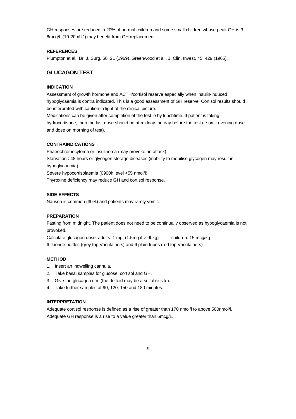GH responses are reduced in 20% of normal children and some small children whose peak GH is 3- 6mcg/L (10-20mU/l) may benefit from GH replacement.

#### **REFERENCES**

Plumpton et al., Br. J. Surg. 56, 21 (1969). Greenwood et al., J. Clin. Invest. 45, 429 (1965).

# **GLUCAGON TEST**

### **INDICATION**

Assessment of growth hormone and ACTH/cortisol reserve especially when insulin-induced hypoglycaemia is contra indicated. This is a good assessment of GH reserve. Cortisol results should be interpreted with caution in light of the clinical picture.

Medications can be given after completion of the test ie by lunchtime. If patient is taking hydrocortisone, then the last dose should be at midday the day before the test (ie omit evening dose and dose on morning of test).

### **CONTRAINDICATIONS**

Phaeochromocytoma or insulinoma (may provoke an attack) Starvation >48 hours or glycogen storage diseases (inability to mobilise glycogen may result in hypoglycaemia) Severe hypocortisolaemia (0900h level <55 nmol/l) Thyroxine deficiency may reduce GH and cortisol response.

## **SIDE EFFECTS**

Nausea is common (30%) and patients may rarely vomit.

## **PREPARATION**

Fasting from midnight. The patient does not need to be continually observed as hypoglycaemia is not provoked.

Calculate glucagon dose: adults: 1 mg, (1.5mg if > 90kg) children: 15 mcg/kg 6 fluoride bottles (grey top Vacutainers) and 6 plain tubes (red top Vacutainers)

#### **METHOD**

- 1. Insert an indwelling cannula.
- 2. Take basal samples for glucose, cortisol and GH.
- 3. Give the glucagon i.m. (the deltoid may be a suitable site).
- 4. Take further samples at 90, 120, 150 and 180 minutes.

#### **INTERPRETATION**

Adequate cortisol response is defined as a rise of greater than 170 nmol/l to above 500nmol/l. Adequate GH response is a rise to a value greater than 6mcg/L.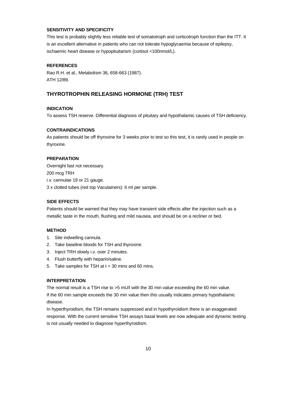## **SENSITIVITY AND SPECIFICITY**

This test is probably slightly less reliable test of somatotroph and corticotroph function than the ITT. It is an excellent alternative in patients who can not tolerate hypoglycaemia because of epilepsy, ischaemic heart disease or hypopituitarism (cortisol <100nmol/L).

#### **REFERENCES**

Rao R.H. et al., Metabolism 36, 658-663 (1987). ATH 12/89.

### **THYROTROPHIN RELEASING HORMONE (TRH) TEST**

### **INDICATION**

To assess TSH reserve. Differential diagnosis of pituitary and hypothalamic causes of TSH deficiency.

#### **CONTRAINDICATIONS**

As patients should be off thyroxine for 3 weeks prior to test so this test, it is rarely used in people on thyroxine.

#### **PREPARATION**

Overnight fast not necessary. 200 mcg TRH i.v. cannulae 19 or 21 gauge. 3 x clotted tubes (red top Vacutainers): 6 ml per sample.

### **SIDE EFFECTS**

Patients should be warned that they may have transient side effects after the injection such as a metallic taste in the mouth, flushing and mild nausea, and should be on a recliner or bed.

#### **METHOD**

- 1. Site indwelling cannula.
- 2. Take baseline bloods for TSH and thyroxine.
- 3. Inject TRH slowly i.v. over 2 minutes.
- 4. Flush butterfly with heparin/saline.
- 5. Take samples for TSH at  $t = 30$  mins and 60 mins.

#### **INTERPRETATION**

The normal result is a TSH rise to >5 mU/l with the 30 min value exceeding the 60 min value. If the 60 min sample exceeds the 30 min value then this usually indicates primary hypothalamic disease.

In hyperthyroidism, the TSH remains suppressed and in hypothyroidism there is an exaggerated response. With the current sensitive TSH assays basal levels are now adequate and dynamic testing is not usually needed to diagnose hyperthyroidism.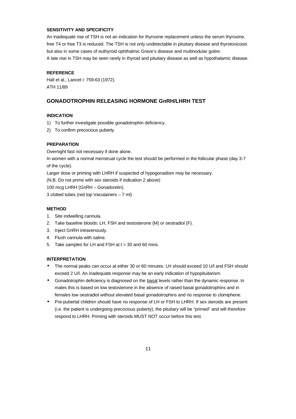#### **SENSITIVITY AND SPECIFICITY**

An inadequate rise of TSH is not an indication for thyroxine replacement unless the serum thyroxine, free T4 or free T3 is reduced. The TSH is not only undetectable in pituitary disease and thyrotoxicosis but also in some cases of euthyroid ophthalmic Grave's disease and multinodular goitre. A late rise in TSH may be seen rarely in thyroid and pituitary disease as well as hypothalamic disease.

### **REFERENCE**

Hall et al., Lancet i: 759-63 (1972). ATH 11/89

# **GONADOTROPHIN RELEASING HORMONE GnRH/LHRH TEST**

#### **INDICATION**

- 1) To further investigate possible gonadotrophin deficiency.
- 2) To confirm precocious puberty.

#### **PREPARATION**

Overnight fast not necessary if done alone.

In women with a normal menstrual cycle the test should be performed in the follicular phase (day 3-7 of the cycle).

Larger dose or priming with LHRH if suspected of hypogonadism may be necessary.

(N.B. Do not prime with sex steroids if indication 2 above)

100 mcg LHRH (GnRH – Gonadorelin).

3 clotted tubes (red top Vacutainers – 7 ml)

#### **METHOD**

- 1. Site indwelling cannula.
- 2. Take baseline bloods: LH, FSH and testosterone (M) or oestradiol (F).
- 3. Inject GnRH intravenously.
- 4. Flush cannula with saline.
- 5. Take samples for LH and FSH at t = 30 and 60 mins.

### **INTERPRETATION**

- The normal peaks can occur at either 30 or 60 minutes. LH should exceed 10 U/l and FSH should exceed 2 U/l. An inadequate response may be an early indication of hypopituitarism.
- Gonadotrophin deficiency is diagnosed on the basal levels rather than the dynamic response. In males this is based on low testosterone in the absence of raised basal gonadotrophins and in females low oestradiol without elevated basal gonadotrophins and no response to clomiphene.
- Pre-pubertal children should have no response of LH or FSH to LHRH. If sex steroids are present (i.e. the patient is undergoing precocious puberty), the pituitary will be "primed" and will therefore respond to LHRH. Priming with steroids MUST NOT occur before this test.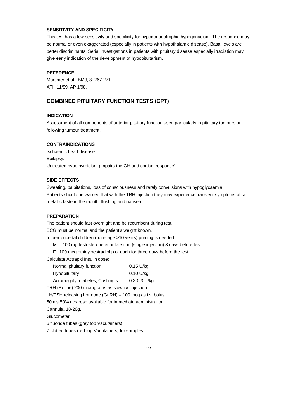## **SENSITIVITY AND SPECIFICITY**

This test has a low sensitivity and specificity for hypogonadotrophic hypogonadism. The response may be normal or even exaggerated (especially in patients with hypothalamic disease). Basal levels are better discriminants. Serial investigations in patients with pituitary disease especially irradiation may give early indication of the development of hypopituitarism.

#### **REFERENCE**

Mortimer et al., BMJ, 3: 267-271. ATH 11/89, AP 1/98.

# **COMBINED PITUITARY FUNCTION TESTS (CPT)**

#### **INDICATION**

Assessment of all components of anterior pituitary function used particularly in pituitary tumours or following tumour treatment.

#### **CONTRAINDICATIONS**

Ischaemic heart disease. Epilepsy. Untreated hypothyroidism (impairs the GH and cortisol response).

#### **SIDE EFFECTS**

Sweating, palpitations, loss of consciousness and rarely convulsions with hypoglycaemia. Patients should be warned that with the TRH injection they may experience transient symptoms of: a metallic taste in the mouth, flushing and nausea.

### **PREPARATION**

The patient should fast overnight and be recumbent during test.

ECG must be normal and the patient's weight known.

In peri-pubertal children (bone age >10 years) priming is needed

M: 100 mg testosterone enantate i.m. (single injection) 3 days before test

F: 100 mcg ethinyloestradiol p.o. each for three days before the test.

Calculate Actrapid Insulin dose:

| Normal pituitary function       | $0.15$ U/kg      |
|---------------------------------|------------------|
| Hypopituitary                   | $0.10$ U/kg      |
| Acromegaly, diabetes, Cushing's | $0.2 - 0.3$ U/kg |

TRH (Roche) 200 micrograms as slow i.v. injection.

LH/FSH releasing hormone (GnRH) – 100 mcg as i.v. bolus.

50mls 50% dextrose available for immediate administration.

Cannula, 18-20g.

Glucometer.

6 fluoride tubes (grey top Vacutainers).

7 clotted tubes (red top Vacutainers) for samples.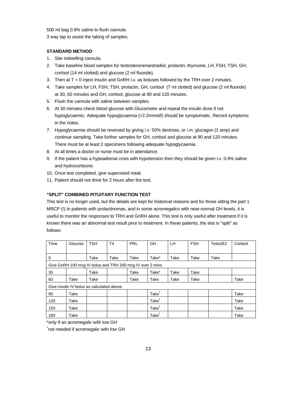500 ml bag 0.9% saline to flush cannula. 3 way tap to assist the taking of samples.

### **STANDARD METHOD**

- 1. Site indwelling cannula.
- 2. Take baseline blood samples for testosterone/oestradiol, prolactin, thyroxine, LH, FSH, TSH, GH, cortisol (14 ml clotted) and glucose (2 ml fluoride).
- 3. Then at  $T = 0$  inject insulin and GnRH i.v. as boluses followed by the TRH over 2 minutes.
- 4. Take samples for LH, FSH, TSH, prolactin, GH, cortisol (7 ml clotted) and glucose (2 ml fluoride) at 30, 60 minutes and GH, cortisol, glucose at 90 and 120 minutes.
- 5. Flush the cannula with saline between samples.
- 6. At 30 minutes check blood glucose with Glucometer and repeat the insulin dose if not hypoglycaemic. Adequate hypoglycaemia (=2.2mmol/l) should be symptomatic. Record symptoms in the notes.
- 7. Hypoglycaemia should be reversed by giving i.v. 50% dextrose, or i.m. glucagon (1 amp) and continue sampling. Take further samples for GH, cortisol and glucose at 90 and 120 minutes. There must be at least 2 specimens following adequate hypoglycaemia.
- 8. At all times a doctor or nurse must be in attendance.
- 9. If the patient has a hypoadrenal crisis with hypotension then they should be given i.v. 0.9% saline and hydrocortisone.
- 10. Once test completed, give supervised meal.
- 11. Patient should not drive for 2 hours after the test.

# **"SPLIT" COMBINED PITUITARY FUNCTION TEST**

This test is no longer used, but the details are kept for historical reasons and for those sitting the part 1 MRCP (!) In patients with prolactinomas, and in some acromegalics with near-normal GH levels, it is useful to monitor the responses to TRH and GnRH alone. This test is only useful after treatment if it is known there was an abnormal test result prior to treatment. In these patients, the test is "split" as follows:

| Time | Glucose                                    | <b>TSH</b> | T <sub>4</sub>                                            | <b>PRL</b> | GH                      | LH.  | <b>FSH</b> | Testo/E2 | Cortisol |
|------|--------------------------------------------|------------|-----------------------------------------------------------|------------|-------------------------|------|------------|----------|----------|
|      |                                            |            |                                                           |            |                         |      |            |          |          |
| 0    |                                            | Take       | Take                                                      | Take       | Take*                   | Take | Take       | Take     |          |
|      |                                            |            | Give GnRH 100 mcg IV bolus and TRH 200 mcg IV over 2 mins |            |                         |      |            |          |          |
| 30   |                                            | Take       |                                                           | Take       | Take*                   | Take | Take       |          |          |
| 60   | Take                                       | Take       |                                                           | Take       | Take                    | Take | Take       |          | Take     |
|      | Give insulin IV bolus as calculated above. |            |                                                           |            |                         |      |            |          |          |
| 90   | Take                                       |            |                                                           |            | Take <sup>†</sup>       |      |            |          | Take     |
| 120  | Take                                       |            |                                                           |            | Take <sup>T</sup>       |      |            |          | Take     |
| 150  | Take                                       |            |                                                           |            | Take <sup>†</sup>       |      |            |          | Take     |
| 180  | Take                                       |            |                                                           |            | $\mathsf{Take}^\dagger$ |      |            |          | Take     |

\*only if an acromegalic with low GH

† not needed if acromegalic with low GH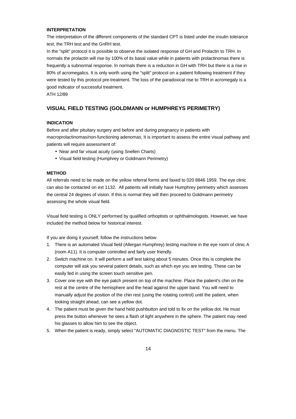#### **INTERPRETATION**

The interpretation of the different components of the standard CPT is listed under the insulin tolerance test, the TRH test and the GnRH test.

In the "split" protocol it is possible to observe the isolated response of GH and Prolactin to TRH. In normals the prolactin will rise by 100% of its basal value while in patients with prolactinomas there is frequently a subnormal response. In normals there is a reduction in GH with TRH but there is a rise in 80% of acromegalics. It is only worth using the "split" protocol on a patient following treatment if they were tested by this protocol pre-treatment. The loss of the paradoxical rise to TRH in acromegaly is a good indicator of successful treatment.

ATH 12/89

# **VISUAL FIELD TESTING (GOLDMANN or HUMPHREYS PERIMETRY)**

#### **INDICATION**

Before and after pituitary surgery and before and during pregnancy in patients with macroprolactinomas/non-functioning adenomas. It is important to assess the entire visual pathway and patients will require assessment of:

- Near and far visual acuity (using Snellen Charts)
- Visual field testing (Humphrey or Goldmann Perimetry)

#### **METHOD**

All referrals need to be made on the yellow referral forms and faxed to 020 8846 1959. The eye clinic can also be contacted on ext 1132. All patients will initially have Humphrey perimetry which assesses the central 24 degrees of vision. If this is normal they will then proceed to Goldmann perimetry assessing the whole visual field.

Visual field testing is ONLY performed by qualified orthoptists or ophthalmologists. However, we have included the method below for historical interest.

If you are doing it yourself, follow the instructions below.

- 1. There is an automated Visual field (Allergan Humphrey) testing machine in the eye room of clinic A (room A11). It is computer controlled and fairly user friendly.
- 2. Switch machine on. It will perform a self test taking about 5 minutes. Once this is complete the computer will ask you several patient details, such as which eye you are testing. These can be easily fed in using the screen touch sensitive pen.
- 3. Cover one eye with the eye patch present on top of the machine. Place the patient's chin on the rest at the centre of the hemisphere and the head against the upper band. You will need to manually adjust the position of the chin rest (using the rotating control) until the patient, when looking straight ahead, can see a yellow dot.
- 4. The patient must be given the hand held pushbutton and told to fix on the yellow dot. He must press the button whenever he sees a flash of light anywhere in the sphere. The patient may need his glasses to allow him to see the object.
- 5. When the patient is ready, simply select "AUTOMATIC DIAGNOSTIC TEST" from the menu. The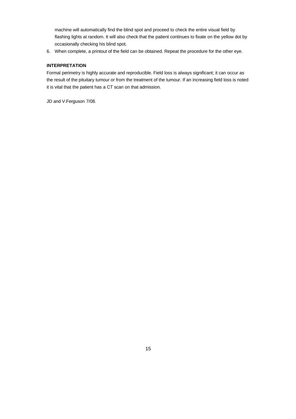machine will automatically find the blind spot and proceed to check the entire visual field by flashing lights at random. It will also check that the patient continues to fixate on the yellow dot by occasionally checking his blind spot.

6. When complete, a printout of the field can be obtained. Repeat the procedure for the other eye.

## **INTERPRETATION**

Formal perimetry is highly accurate and reproducible. Field loss is always significant; it can occur as the result of the pituitary tumour or from the treatment of the tumour. If an increasing field loss is noted it is vital that the patient has a CT scan on that admission.

JD and V.Ferguson 7/08.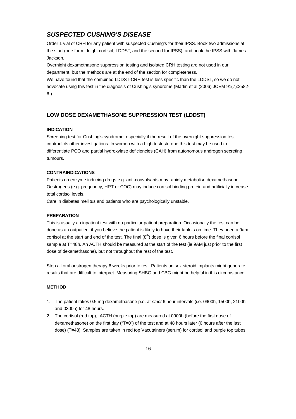# *SUSPECTED CUSHING'S DISEASE*

Order 1 vial of CRH for any patient with suspected Cushing's for their IPSS. Book two admissions at the start (one for midnight cortisol, LDDST, and the second for IPSS), and book the IPSS with James Jackson.

Overnight dexamethasone suppression testing and isolated CRH testing are not used in our department, but the methods are at the end of the section for completeness.

We have found that the combined LDDST-CRH test is less specific than the LDDST, so we do not advocate using this test in the diagnosis of Cushing's syndrome (Martin et al (2006) JCEM 91(7):2582- 6.).

# **LOW DOSE DEXAMETHASONE SUPPRESSION TEST (LDDST)**

#### **INDICATION**

Screening test for Cushing's syndrome, especially if the result of the overnight suppression test contradicts other investigations. In women with a high testosterone this test may be used to differentiate PCO and partial hydroxylase deficiencies (CAH) from autonomous androgen secreting tumours.

#### **CONTRAINDICATIONS**

Patients on enzyme inducing drugs e.g. anti-convulsants may rapidly metabolise dexamethasone. Oestrogens (e.g. pregnancy, HRT or COC) may induce cortisol binding protein and artificially increase total cortisol levels.

Care in diabetes mellitus and patients who are psychologically unstable.

### **PREPARATION**

This is usually an inpatient test with no particular patient preparation. Occasionally the test can be done as an outpatient if you believe the patient is likely to have their tablets on time. They need a 9am cortisol at the start and end of the test. The final  $(8<sup>th</sup>)$  dose is given 6 hours before the final cortisol sample at T=48h. An ACTH should be measured at the start of the test (ie 9AM just prior to the first dose of dexamethasone), but not throughout the rest of the test.

Stop all oral oestrogen therapy 6 weeks prior to test. Patients on sex steroid implants might generate results that are difficult to interpret. Measuring SHBG and CBG might be helpful in this circumstance.

#### **METHOD**

- 1. The patient takes 0.5 mg dexamethasone p.o. at *strict* 6 hour intervals (i.e. 0900h, 1500h, 2100h and 0300h) for 48 hours.
- 2. The cortisol (red top), ACTH (purple top) are measured at 0900h (before the first dose of dexamethasone) on the first day ("T=0") of the test and at 48 hours later (6 hours after the last dose) (T=48). Samples are taken in red top Vacutainers (serum) for cortisol and purple top tubes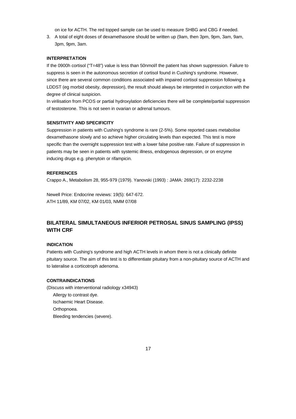on ice for ACTH. The red topped sample can be used to measure SHBG and CBG if needed.

3. A total of eight doses of dexamethasone should be written up (9am, then 3pm, 9pm, 3am, 9am, 3pm, 9pm, 3am.

#### **INTERPRETATION**

If the 0900h cortisol ("T=48") value is less than 50nmol/l the patient has shown suppression. Failure to suppress is seen in the autonomous secretion of cortisol found in Cushing's syndrome. However, since there are several common conditions associated with impaired cortisol suppression following a LDDST (eg morbid obesity, depression), the result should always be interpreted in conjunction with the degree of clinical suspicion.

In virilisation from PCOS or partial hydroxylation deficiencies there will be complete/partial suppression of testosterone. This is not seen in ovarian or adrenal tumours.

#### **SENSITIVITY AND SPECIFICITY**

Suppression in patients with Cushing's syndrome is rare (2-5%). Some reported cases metabolise dexamethasone slowly and so achieve higher circulating levels than expected. This test is more specific than the overnight suppression test with a lower false positive rate. Failure of suppression in patients may be seen in patients with systemic illness, endogenous depression, or on enzyme inducing drugs e.g. phenytoin or rifampicin.

#### **REFERENCES**

Crappo A., Metabolism 28, 955-979 (1979). Yanovski (1993) : JAMA: 269(17): 2232-2238

Newell Price: Endocrine reviews: 19(5): 647-672. ATH 11/89, KM 07/02, KM 01/03, NMM 07/08

# **BILATERAL SIMULTANEOUS INFERIOR PETROSAL SINUS SAMPLING (IPSS) WITH CRF**

#### **INDICATION**

Patients with Cushing's syndrome and high ACTH levels in whom there is not a clinically definite pituitary source. The aim of this test is to differentiate pituitary from a non-pituitary source of ACTH and to lateralise a corticotroph adenoma.

#### **CONTRAINDICATIONS**

(Discuss with interventional radiology x34943)

Allergy to contrast dye. Ischaemic Heart Disease.

Orthopnoea.

Bleeding tendencies (severe).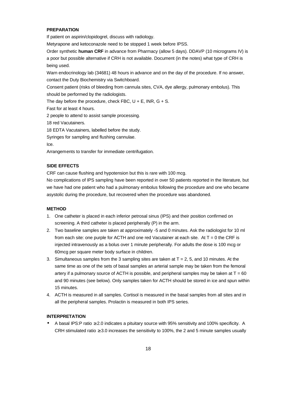#### **PREPARATION**

If patient on aspirin/clopidogrel, discuss with radiology.

Metyrapone and ketoconazole need to be stopped 1 week before IPSS.

Order synthetic **human CRF** in advance from Pharmacy (allow 5 days). DDAVP (10 micrograms IV) is a poor but possible alternative if CRH is not available. Document (in the notes) what type of CRH is being used.

Warn endocrinology lab (34681) 48 hours in advance and on the day of the procedure. If no answer, contact the Duty Biochemistry via Switchboard.

Consent patient (risks of bleeding from cannula sites, CVA, dye allergy, pulmonary embolus). This should be performed by the radiologists.

The day before the procedure, check FBC,  $U + E$ , INR,  $G + S$ .

Fast for at least 4 hours.

2 people to attend to assist sample processing.

18 red Vacutainers.

18 EDTA Vacutainers, labelled before the study.

Syringes for sampling and flushing cannulae.

Ice.

Arrangements to transfer for immediate centrifugation.

### **SIDE EFFECTS**

CRF can cause flushing and hypotension but this is rare with 100 mcg.

No complications of IPS sampling have been reported in over 50 patients reported in the literature, but we have had one patient who had a pulmonary embolus following the procedure and one who became asystolic during the procedure, but recovered when the procedure was abandoned.

#### **METHOD**

- 1. One catheter is placed in each inferior petrosal sinus (IPS) and their position confirmed on screening. A third catheter is placed peripherally (P) in the arm.
- 2. Two baseline samples are taken at approximately -5 and 0 minutes. Ask the radiologist for 10 ml from each site: one purple for ACTH and one red Vacutainer at each site. At  $T = 0$  the CRF is injected intravenously as a bolus over 1 minute peripherally. For adults the dose is 100 mcg or 60mcg per square meter body surface in children.
- 3. Simultaneous samples from the 3 sampling sites are taken at  $T = 2, 5$ , and 10 minutes. At the same time as one of the sets of basal samples an arterial sample may be taken from the femoral artery if a pulmonary source of ACTH is possible, and peripheral samples may be taken at  $T = 60$ and 90 minutes (see below). Only samples taken for ACTH should be stored in ice and spun within 15 minutes.
- 4. ACTH is measured in all samples. Cortisol is measured in the basal samples from all sites and in all the peripheral samples. Prolactin is measured in both IPS series.

#### **INTERPRETATION**

• A basal IPS:P ratio ≥ 2.0 indicates a pituitary source with 95% sensitivity and 100% specificity. A CRH stimulated ratio  $\geq$  3.0 increases the sensitivity to 100%, the 2 and 5 minute samples usually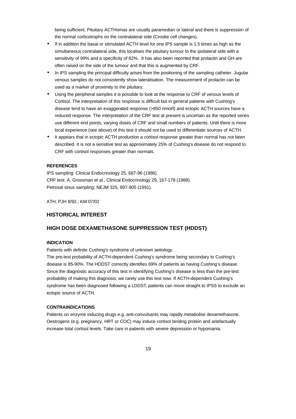being sufficient. Pituitary ACTHomas are usually paramedian or lateral and there is suppression of the normal corticotrophs on the contralateral side (Crooke cell changes).

- If in addition the basal or stimulated ACTH level for one IPS sample is 1.5 times as high as the simultaneous contralateral side, this localises the pituitary tumour to the ipsilateral side with a sensitivity of 99% and a specificity of 82%. It has also been reported that prolactin and GH are often raised on the side of the tumour and that this is augmented by CRF.
- In IPS sampling the principal difficulty arises from the positioning of the sampling catheter. Jugular venous samples do not consistently show lateralisation. The measurement of prolactin can be used as a marker of proximity to the pituitary.
- Using the peripheral samples it is possible to look at the response to CRF of venous levels of Cortisol. The interpretation of this response is difficult but in general patients with Cushing's disease tend to have an exaggerated response (>850 nmol/l) and ectopic ACTH sources have a reduced response. The interpretation of the CRF test at present is uncertain as the reported series use different end points, varying doses of CRF and small numbers of patients. Until there is more local experience (see above) of this test it should not be used to differentiate sources of ACTH.
- It appears that in ectopic ACTH production a cortisol response greater than normal has not been described. It is not a sensitive test as approximately 25% of Cushing's disease do not respond to CRF with cortisol responses greater than normals.

#### **REFERENCES**

IPS sampling: Clinical Endocrinology 25, 687-96 (1986). CRF test: A. Grossman et al., Clinical Endocrinology 29, 167-178 (1988). Petrosal sinus sampling: NEJM 325, 897-905 (1991).

ATH; PJH 8/92.; KM 07/02

### **HISTORICAL INTEREST**

### **HIGH DOSE DEXAMETHASONE SUPPRESSION TEST (HDDST)**

#### **INDICATION**

Patients with definite Cushing's syndrome of unknown aetiology.

The pre-test probability of ACTH-dependent Cushing's syndrome being secondary to Cushing's disease is 85-90%. The HDDST correctly identifies 69% of patients as having Cushing's disease. Since the diagnostic accuracy of this test in identifying Cushing's disease is less than the pre-test probability of making this diagnosis; we rarely use this test now. If ACTH-dependent Cushing's syndrome has been diagnosed following a LDDST, patients can move straight to IPSS to exclude an ectopic source of ACTH.

### **CONTRAINDICATIONS**

Patients on enzyme inducing drugs e.g. anti-convulsants may rapidly metabolise dexamethasone. Oestrogens (e.g. pregnancy, HRT or COC) may induce cortisol binding protein and artefactually increase total cortisol levels. Take care in patients with severe depression or hypomania.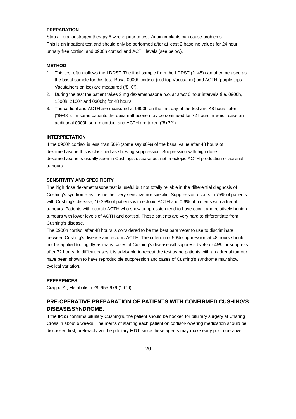#### **PREPARATION**

Stop all oral oestrogen therapy 6 weeks prior to test. Again implants can cause problems. This is an inpatient test and should only be performed after at least 2 baseline values for 24 hour urinary free cortisol and 0900h cortisol and ACTH levels (see below).

#### **METHOD**

- 1. This test often follows the LDDST. The final sample from the LDDST (2+48) can often be used as the basal sample for this test. Basal 0900h cortisol (red top Vacutainer) and ACTH (purple tops Vacutainers on ice) are measured ("8+0").
- 2. During the test the patient takes 2 mg dexamethasone p.o. at *strict* 6 hour intervals (i.e. 0900h, 1500h, 2100h and 0300h) for 48 hours.
- 3. The cortisol and ACTH are measured at 0900h on the first day of the test and 48 hours later ("8+48"). In some patients the dexamethasone may be continued for 72 hours in which case an additional 0900h serum cortisol and ACTH are taken ("8+72").

#### **INTERPRETATION**

If the 0900h cortisol is less than 50% (some say 90%) of the basal value after 48 hours of dexamethasone this is classified as showing suppression. Suppression with high dose dexamethasone is usually seen in Cushing's disease but not in ectopic ACTH production or adrenal tumours.

#### **SENSITIVITY AND SPECIFICITY**

The high dose dexamethasone test is useful but not totally reliable in the differential diagnosis of Cushing's syndrome as it is neither very sensitive nor specific. Suppression occurs in 75% of patients with Cushing's disease, 10-25% of patients with ectopic ACTH and 0-6% of patients with adrenal tumours. Patients with ectopic ACTH who show suppression tend to have occult and relatively benign tumours with lower levels of ACTH and cortisol. These patients are very hard to differentiate from Cushing's disease.

The 0900h cortisol after 48 hours is considered to be the best parameter to use to discriminate between Cushing's disease and ectopic ACTH. The criterion of 50% suppression at 48 hours should not be applied too rigidly as many cases of Cushing's disease will suppress by 40 or 45% or suppress after 72 hours. In difficult cases it is advisable to repeat the test as no patients with an adrenal tumour have been shown to have reproducible suppression and cases of Cushing's syndrome may show cyclical variation.

#### **REFERENCES**

Crappo A., Metabolism 28, 955-979 (1979).

# **PRE-OPERATIVE PREPARATION OF PATIENTS WITH CONFIRMED CUSHING'S DISEASE/SYNDROME.**

If the IPSS confirms pituitary Cushing's, the patient should be booked for pituitary surgery at Charing Cross in about 6 weeks. The merits of starting each patient on cortisol-lowering medication should be discussed first, preferably via the pituitary MDT, since these agents may make early post-operative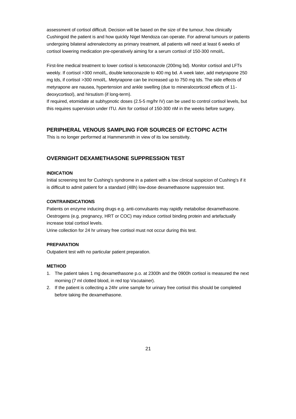assessment of cortisol difficult. Decision will be based on the size of the tumour, how clinically Cushingoid the patient is and how quickly Nigel Mendoza can operate. For adrenal tumours or patients undergoing bilateral adrenalectomy as primary treatment, all patients will need at least 6 weeks of cortisol lowering medication pre-operatively aiming for a serum cortisol of 150-300 nmol/L.

First-line medical treatment to lower cortisol is ketoconazole (200mg bd). Monitor cortisol and LFTs weekly. If cortisol >300 nmol/L, double ketoconazole to 400 mg bd. A week later, add metyrapone 250 mg tds, if cortisol >300 nmol/L. Metyrapone can be increased up to 750 mg tds. The side effects of metyrapone are nausea, hypertension and ankle swelling (due to mineralocorticoid effects of 11 deoxycortisol), and hirsutism (if long-term).

If required, etomidate at subhypnotic doses (2.5-5 mg/hr IV) can be used to control cortisol levels, but this requires supervision under ITU. Aim for cortisol of 150-300 nM in the weeks before surgery.

# **PERIPHERAL VENOUS SAMPLING FOR SOURCES OF ECTOPIC ACTH**

This is no longer performed at Hammersmith in view of its low sensitivity.

# **OVERNIGHT DEXAMETHASONE SUPPRESSION TEST**

## **INDICATION**

Initial screening test for Cushing's syndrome in a patient with a low clinical suspicion of Cushing's if it is difficult to admit patient for a standard (48h) low-dose dexamethasone suppression test.

### **CONTRAINDICATIONS**

Patients on enzyme inducing drugs e.g. anti-convulsants may rapidly metabolise dexamethasone. Oestrogens (e.g. pregnancy, HRT or COC) may induce cortisol binding protein and artefactually increase total cortisol levels.

Urine collection for 24 hr urinary free cortisol must not occur during this test.

### **PREPARATION**

Outpatient test with no particular patient preparation.

#### **METHOD**

- 1. The patient takes 1 mg dexamethasone p.o. at 2300h and the 0900h cortisol is measured the next morning (7 ml clotted blood, in red top Vacutainer).
- 2. If the patient is collecting a 24hr urine sample for urinary free cortisol this should be completed before taking the dexamethasone.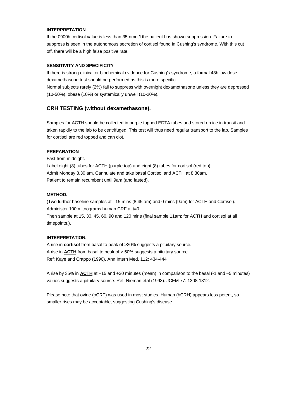#### **INTERPRETATION**

If the 0900h cortisol value is less than 35 nmol/l the patient has shown suppression. Failure to suppress is seen in the autonomous secretion of cortisol found in Cushing's syndrome. With this cut off, there will be a high false positive rate.

#### **SENSITIVITY AND SPECIFICITY**

If there is strong clinical or biochemical evidence for Cushing's syndrome, a formal 48h low dose dexamethasone test should be performed as this is more specific.

Normal subjects rarely (2%) fail to suppress with overnight dexamethasone unless they are depressed (10-50%), obese (10%) or systemically unwell (10-20%).

#### **CRH TESTING (without dexamethasone).**

Samples for ACTH should be collected in purple topped EDTA tubes and stored on ice in transit and taken rapidly to the lab to be centrifuged. This test will thus need regular transport to the lab. Samples for cortisol are red topped and can clot.

#### **PREPARATION**

Fast from midnight.

Label eight (8) tubes for ACTH (purple top) and eight (8) tubes for cortisol (red top). Admit Monday 8.30 am. Cannulate and take basal Cortisol and ACTH at 8.30am. Patient to remain recumbent until 9am (and fasted).

#### **METHOD.**

(Two further baseline samples at –15 mins (8.45 am) and 0 mins (9am) for ACTH and Cortisol). Administer 100 micrograms human CRF at t=0.

Then sample at 15, 30, 45, 60, 90 and 120 mins (final sample 11am: for ACTH and cortisol at all timepoints.).

#### **INTERPRETATION.**

A rise in **cortisol** from basal to peak of >20% suggests a pituitary source. A rise in **ACTH** from basal to peak of > 50% suggests a pituitary source. Ref: Kaye and Crappo (1990). Ann Intern Med. 112: 434-444

A rise by 35% in **ACTH** at +15 and +30 minutes (mean) in comparison to the basal (-1 and –5 minutes) values suggests a pituitary source. Ref: Nieman etal (1993). JCEM 77: 1308-1312.

Please note that ovine (oCRF) was used in most studies. Human (hCRH) appears less potent, so smaller rises may be acceptable, suggesting Cushing's disease.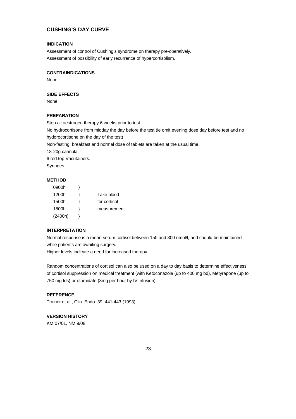# **CUSHING'S DAY CURVE**

#### **INDICATION**

Assessment of control of Cushing's syndrome on therapy pre-operatively. Assessment of possibility of early recurrence of hypercortisolism.

### **CONTRAINDICATIONS**

None

#### **SIDE EFFECTS**

None

#### **PREPARATION**

Stop all oestrogen therapy 6 weeks prior to test.

No hydrocortisone from midday the day before the test (ie omit evening dose day before test and no hydorocortisone on the day of the test)

Non-fasting: breakfast and normal dose of tablets are taken at the usual time.

18-20g cannula.

6 red top Vacutainers.

Syringes.

### **METHOD**

| 0900h   |              |
|---------|--------------|
| 1200h   | Take blood   |
| 1500h   | for cortisol |
| 1800h   | measurement  |
| (2400h) |              |

#### **INTERPRETATION**

Normal response is a mean serum cortisol between 150 and 300 nmol/l, and should be maintained while patients are awaiting surgery.

Higher levels indicate a need for increased therapy.

Random concentrations of cortisol can also be used on a day to day basis to determine effectiveness of cortisol suppression on medical treatment (with Ketoconazole (up to 400 mg bd), Metyrapone (up to 750 mg tds) or etomidate (3mg per hour by IV infusion).

### **REFERENCE**

Trainer et al., Clin. Endo. 39, 441-443 (1993).

# **VERSION HISTORY**

KM 07/01, NM 9/08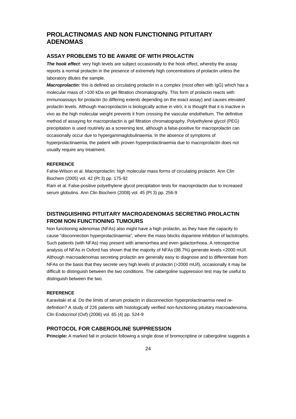# **PROLACTINOMAS AND NON FUNCTIONING PITUITARY ADENOMAS**

#### **ASSAY PROBLEMS TO BE AWARE OF WITH PROLACTIN**

**The hook effect**: very high levels are subject occasionally to the hook effect, whereby the assay reports a normal prolactin in the presence of extremely high concentrations of prolactin unless the laboratory dilutes the sample.

*Macroprolactin:* this is defined as circulating prolactin in a complex (most often with IgG) which has a molecular mass of >100 kDa on gel filtration chromatography. This form of prolactin reacts with immunoassays for prolactin (to differing extents depending on the exact assay) and causes elevated prolactin levels. Although macroprolactin is biologically active in vitro, it is thought that it is inactive in vivo as the high molecular weight prevents it from crossing the vascular endothelium. The definitive method of assaying for macroprolactin is gel filtration chromatography. Polyethylene glycol (PEG) precipitation is used routinely as a screening test, although a false-positive for macroprolactin can occasionally occur due to hypergammaglobulinaemia. In the absence of symptoms of hyperprolactinaemia, the patient with proven hyperprolactinaemia due to macroprolactin does not usually require any treatment.

#### **REFERENCE**

Fahie-Wilson et al. Macroprolactin; high molecular mass forms of circulating prolactin. Ann Clin Biochem (2005) vol. 42 (Pt 3) pp. 175-92

Ram et al. False-positive polyethylene glycol precipitation tests for macroprolactin due to increased serum globulins. Ann Clin Biochem (2008) vol. 45 (Pt 3) pp. 256-9

# **DISTINGUISHING PITUITARY MACROADENOMAS SECRETING PROLACTIN FROM NON FUNCTIONING TUMOURS**

Non functioning adenomas (NFAs) also might have a high prolactin, as they have the capacity to cause "disconnection hyperprolactinaemia", where the mass blocks dopamine inhibition of lactotrophs. Such patients (with NFAs) may present with amenorrhea and even galactorrhoea. A retrospective analysis of NFAs in Oxford has shown that the majority of NFAs (98.7%) generate levels <2000 mU/l. Although macroadenomas secreting prolactin are generally easy to diagnose and to differentiate from NFAs on the basis that they secrete very high levels of prolactin (>2000 mU/l), occasionally it may be difficult to distinguish between the two conditions. The cabergoline suppression test may be useful to distinguish between the two.

#### **REFERENCE**

Karavitaki et al. Do the limits of serum prolactin in disconnection hyperprolactinaemia need redefinition? A study of 226 patients with histologically verified non-functioning pituitary macroadenoma. Clin Endocrinol (Oxf) (2006) vol. 65 (4) pp. 524-9

### **PROTOCOL FOR CABERGOLINE SUPPRESSION**

**Principle:** A marked fall in prolactin following a single dose of bromocriptine or cabergoline suggests a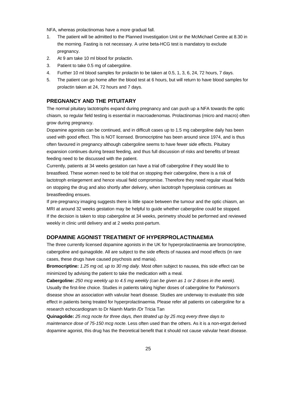NFA, whereas prolactinomas have a more gradual fall.

- 1. The patient will be admitted to the Planned Investigation Unit or the McMichael Centre at 8.30 in the morning. Fasting is not necessary. A urine beta-HCG test is mandatory to exclude pregnancy.
- 2. At 9 am take 10 ml blood for prolactin.
- 3. Patient to take 0.5 mg of cabergoline.
- 4. Further 10 ml blood samples for prolactin to be taken at 0.5, 1, 3, 6, 24, 72 hours, 7 days.
- 5. The patient can go home after the blood test at 6 hours, but will return to have blood samples for prolactin taken at 24, 72 hours and 7 days.

# **PREGNANCY AND THE PITUITARY**

The normal pituitary lactotrophs expand during pregnancy and can push up a NFA towards the optic chiasm, so regular field testing is essential in macroadenomas. Prolactinomas (micro and macro) often grow during pregnancy.

Dopamine agonists can be continued, and in difficult cases up to 1.5 mg cabergoline daily has been used with good effect. This is NOT licensed. Bromocriptine has been around since 1974, and is thus often favoured in pregnancy although cabergoline seems to have fewer side effects. Pituitary expansion continues during breast feeding, and thus full discussion of risks and benefits of breast feeding need to be discussed with the patient.

Currently, patients at 34 weeks gestation can have a trial off cabergoline if they would like to breastfeed. These women need to be told that on stopping their cabergoline, there is a risk of lactotroph enlargement and hence visual field compromise. Therefore they need regular visual fields on stopping the drug and also shortly after delivery, when lactotroph hyperplasia continues as breastfeeding ensues.

If pre-pregnancy imaging suggests there is little space between the tumour and the optic chiasm, an MRI at around 32 weeks gestation may be helpful to guide whether cabergoline could be stopped. If the decision is taken to stop cabergoline at 34 weeks, perimetry should be performed and reviewed weekly in clinic until delivery and at 2 weeks post-partum.

### **DOPAMINE AGONIST TREATMENT OF HYPERPROLACTINAEMIA**

The three currently licensed dopamine agonists in the UK for hyperprolactinaemia are bromocriptine, cabergoline and quinagolide. All are subject to the side effects of nausea and mood effects (in rare cases, these drugs have caused psychosis and mania).

**Bromocriptine:** *1.25 mg od, up to 30 mg daily.* Most often subject to nausea, this side effect can be minimized by advising the patient to take the medication with a meal.

**Cabergoline:** *250 mcg weekly up to 4.5 mg weekly (can be given as 1 or 2 doses in the week).* Usually the first-line choice. Studies in patients taking higher doses of cabergoline for Parkinson's disease show an association with valvular heart disease. Studies are underway to evaluate this side effect in patients being treated for hyperprolactinaemia. Please refer all patients on cabergoline for a research echocardiogram to Dr Niamh Martin /Dr Tricia Tan

**Quinagolide:** *25 mcg nocte for three days, then titrated up by 25 mcg every three days to maintenance dose of 75-150 mcg nocte.* Less often used than the others. As it is a non-ergot derived dopamine agonist, this drug has the theoretical benefit that it should not cause valvular heart disease.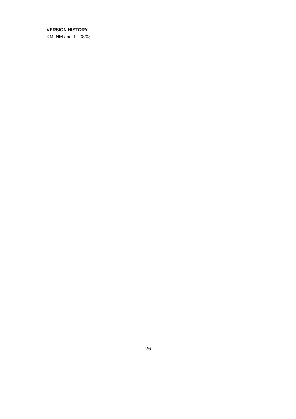## **VERSION HISTORY**

KM, NM and TT 08/08.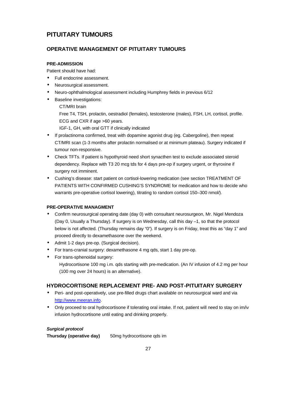# **PITUITARY TUMOURS**

# **OPERATIVE MANAGEMENT OF PITUITARY TUMOURS**

## **PRE-ADMISSION**

Patient should have had:

- Full endocrine assessment.
- Neurosurgical assessment.
- Neuro-ophthalmological assessment including Humphrey fields in previous 6/12
- Baseline investigations:

# CT/MRI brain

Free T4, TSH, prolactin, oestradiol (females), testosterone (males), FSH, LH, cortisol, profile. ECG and CXR if age >60 years.

IGF-1, GH, with oral GTT if clinically indicated

- If prolactinoma confirmed, treat with dopamine agonist drug (eg. Cabergoline), then repeat CT/MRI scan (1-3 months after prolactin normalised or at minimum plateau). Surgery indicated if tumour non-responsive.
- Check TFTs. If patient is hypothyroid need short synacthen test to exclude associated steroid dependency. Replace with T3 20 mcg tds for 4 days pre-op if surgery urgent, or thyroxine if surgery not imminent.
- Cushing's disease: start patient on cortisol-lowering medication (see section TREATMENT OF PATIENTS WITH CONFIRMED CUSHING'S SYNDROME for medication and how to decide who warrants pre-operative cortisol lowering), titrating to random cortisol 150–300 nmol/).

## **PRE-OPERATIVE MANAGMENT**

- Confirm neurosurgical operating date (day 0) with consultant neurosurgeon, Mr. Nigel Mendoza (Day 0, Usually a Thursday). If surgery is on Wednesday, call this day –1, so that the protocol below is not affected. (Thursday remains day "0"). If surgery is on Friday, treat this as "day 1" and proceed directly to dexamethasone over the weekend.
- Admit 1-2 days pre-op. (Surgical decision).
- For trans-cranial surgery: dexamethasone 4 mg qds, start 1 day pre-op.
- For trans-sphenoidal surgery: Hydrocortisone 100 mg i.m. gds starting with pre-medication. (An IV infusion of 4.2 mg per hour (100 mg over 24 hours) is an alternative).

# **HYDROCORTISONE REPLACEMENT PRE- AND POST-PITUITARY SURGERY**

- Peri- and post-operatively, use pre-filled drugs chart available on neurosurgical ward and via http://www.meeran.info.
- Only proceed to oral hydrocortisone if tolerating oral intake. If not, patient will need to stay on im/iv infusion hydrocortisone until eating and drinking properly.

### *Surgical protocol*

**Thursday (operative day)** 50mg hydrocortisone qds im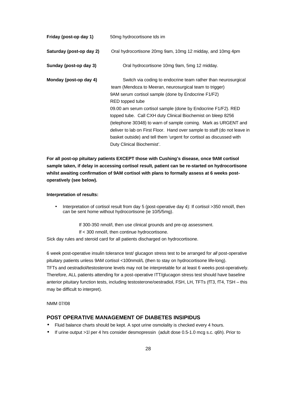| Friday (post-op day 1)   | 50mg hydrocortisone tds im                                                                                               |
|--------------------------|--------------------------------------------------------------------------------------------------------------------------|
| Saturday (post-op day 2) | Oral hydrocortisone 20mg 9am, 10mg 12 midday, and 10mg 4pm                                                               |
| Sunday (post-op day 3)   | Oral hydrocortisone 10mg 9am, 5mg 12 midday.                                                                             |
| Monday (post-op day 4)   | Switch via coding to endocrine team rather than neurosurgical<br>team (Mendoza to Meeran, neurosurgical team to trigger) |
|                          | 9AM serum cortisol sample (done by Endocrine F1/F2)                                                                      |
|                          | RED topped tube                                                                                                          |
|                          | 09.00 am serum cortisol sample (done by Endocrine F1/F2). RED                                                            |
|                          | topped tube. Call CXH duty Clinical Biochemist on bleep 8256                                                             |
|                          | (telephone 30348) to warn of sample coming. Mark as URGENT and                                                           |
|                          | deliver to lab on First Floor. Hand over sample to staff (do not leave in                                                |
|                          | basket outside) and tell them 'urgent for cortisol as discussed with                                                     |
|                          | Duty Clinical Biochemist'.                                                                                               |

**For all post-op pituitary patients EXCEPT those with Cushing's disease, once 9AM cortisol sample taken, if delay in accessing cortisol result, patient can be re-started on hydrocortisone whilst awaiting confirmation of 9AM cortisol with plans to formally assess at 6 weeks postoperatively (see below).**

#### **Interpretation of results:**

• Interpretation of cortisol result from day 5 (post-operative day 4): If cortisol >350 nmol/l, then can be sent home without hydrocortisone (ie 10/5/5mg).

If 300-350 nmol/l, then use clinical grounds and pre-op assessment.

If < 300 nmol/l, then continue hydrocortisone.

Sick day rules and steroid card for all patients discharged on hydrocortisone.

6 week post-operative insulin tolerance test/ glucagon stress test to be arranged for *all* post-operative pituitary patients unless 9AM cortisol <100nmol/L (then to stay on hydrocortisone life-long). TFTs and oestradiol/testosterone levels may not be interpretable for at least 6 weeks post-operatively. Therefore, ALL patients attending for a post-operative ITT/glucagon stress test should have baseline anterior pituitary function tests, including testosterone/oestradiol, FSH, LH, TFTs (fT3, fT4, TSH – this may be difficult to interpret).

NMM 07/08

## **POST OPERATIVE MANAGEMENT OF DIABETES INSIPIDUS**

- Fluid balance charts should be kept. A spot urine osmolality is checked every 4 hours.
- If urine output >1l per 4 hrs consider desmopressin (adult dose 0.5-1.0 mcg s.c. q6h). Prior to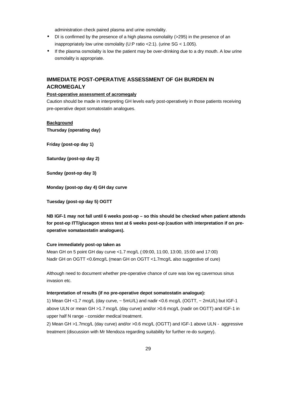administration check paired plasma and urine osmolality.

- DI is confirmed by the presence of a high plasma osmolality (>295) in the presence of an inappropriately low urine osmolality (U:P ratio <2:1). (urine SG < 1.005).
- If the plasma osmolality is low the patient may be over-drinking due to a dry mouth. A low urine osmolality is appropriate.

# **IMMEDIATE POST-OPERATIVE ASSESSMENT OF GH BURDEN IN ACROMEGALY**

#### **Post-operative assessment of acromegaly**

Caution should be made in interpreting GH levels early post-operatively in those patients receiving pre-operative depot somatostatin analogues.

## **Background**

**Thursday (operating day)**

**Friday (post-op day 1)**

**Saturday (post-op day 2)**

**Sunday (post-op day 3)**

**Monday (post-op day 4) GH day curve**

**Tuesday (post-op day 5) OGTT**

**NB IGF-1 may not fall until 6 weeks post-op – so this should be checked when patient attends for post-op ITT/glucagon stress test at 6 weeks post-op (caution with interpretation if on preoperative somataostatin analogues).**

#### **Cure immediately post-op taken as**

Mean GH on 5 point GH day curve <1.7 mcg/L (:09:00, 11:00, 13:00, 15:00 and 17:00) Nadir GH on OGTT <0.6mcg/L (mean GH on OGTT <1.7mcg/L also suggestive of cure)

Although need to document whether pre-operative chance of cure was low eg cavernous sinus invasion etc.

#### **Interpretation of results (if no pre-operative depot somatostatin analogue):**

1) Mean GH <1.7 mcg/L (day curve, ~ 5mU/L) and nadir <0.6 mcg/L (OGTT, ~ 2mU/L) but IGF-1 above ULN or mean GH >1.7 mcg/L (day curve) and/or >0.6 mcg/L (nadir on OGTT) and IGF-1 in upper half N range - consider medical treatment.

2) Mean GH >1.7mcg/L (day curve) and/or >0.6 mcg/L (OGTT) and IGF-1 above ULN - aggressive treatment (discussion with Mr Mendoza regarding suitability for further re-do surgery).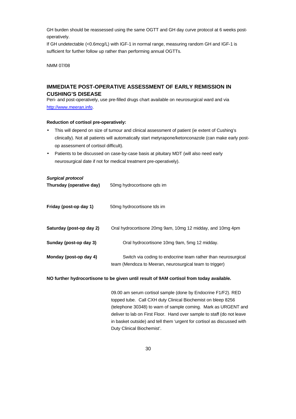GH burden should be reassessed using the same OGTT and GH day curve protocol at 6 weeks postoperatively.

If GH undetectable (<0.6mcg/L) with IGF-1 in normal range, measuring random GH and IGF-1 is sufficient for further follow up rather than performing annual OGTTs.

NMM 07/08

# **IMMEDIATE POST-OPERATIVE ASSESSMENT OF EARLY REMISSION IN CUSHING'S DISEASE**

Peri- and post-operatively, use pre-filled drugs chart available on neurosurgical ward and via http://www.meeran.info.

#### **Reduction of cortisol pre-operatively:**

- This will depend on size of tumour and clinical assessment of patient (ie extent of Cushing's clinically). Not all patients will automatically start metyrapone/ketonconazole (can make early postop assessment of cortisol difficult).
- Patients to be discussed on case-by-case basis at pituitary MDT (will also need early neurosurgical date if not for medical treatment pre-operatively).

#### *Surgical protocol*

| Thursday (operative day) | 50mg hydrocortisone gds im                                                                                               |
|--------------------------|--------------------------------------------------------------------------------------------------------------------------|
| Friday (post-op day 1)   | 50mg hydrocortisone tds im                                                                                               |
| Saturday (post-op day 2) | Oral hydrocortisone 20mg 9am, 10mg 12 midday, and 10mg 4pm                                                               |
| Sunday (post-op day 3)   | Oral hydrocortisone 10mg 9am, 5mg 12 midday.                                                                             |
| Monday (post-op day 4)   | Switch via coding to endocrine team rather than neurosurgical<br>team (Mendoza to Meeran, neurosurgical team to trigger) |

#### **NO further hydrocortisone to be given until result of 9AM cortisol from today available.**

09.00 am serum cortisol sample (done by Endocrine F1/F2). RED topped tube. Call CXH duty Clinical Biochemist on bleep 8256 (telephone 30348) to warn of sample coming. Mark as URGENT and deliver to lab on First Floor. Hand over sample to staff (do not leave in basket outside) and tell them 'urgent for cortisol as discussed with Duty Clinical Biochemist'.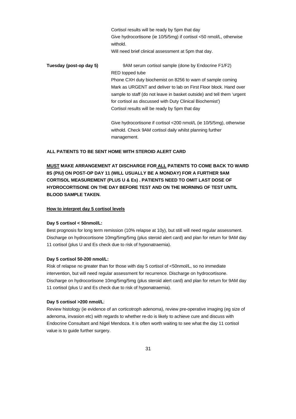Cortisol results will be ready by 5pm that day Give hydrocortisone (ie 10/5/5mg) if cortisol <50 nmol/L, otherwise withold. Will need brief clinical assessment at 5pm that day. **Tuesday (post-op day 5)** 9AM serum cortisol sample (done by Endocrine F1/F2) RED topped tube Phone CXH duty biochemist on 8256 to warn of sample coming Mark as URGENT and deliver to lab on First Floor block. Hand over sample to staff (do not leave in basket outside) and tell them 'urgent for cortisol as discussed with Duty Clinical Biochemist') Cortisol results will be ready by 5pm that day Give hydrocortisone if cortisol <200 nmol/L (ie 10/5/5mg), otherwise withold. Check 9AM cortisol daily whilst planning further

#### **ALL PATIENTS TO BE SENT HOME WITH STEROID ALERT CARD**

management.

**MUST MAKE ARRANGEMENT AT DISCHARGE FOR ALL PATIENTS TO COME BACK TO WARD 8S (PIU) ON POST-OP DAY 11 (WILL USUALLY BE A MONDAY) FOR A FURTHER 9AM CORTISOL MEASUREMENT (PLUS U & Es) . PATIENTS NEED TO OMIT LAST DOSE OF HYDROCORTISONE ON THE DAY BEFORE TEST AND ON THE MORNING OF TEST UNTIL BLOOD SAMPLE TAKEN.**

#### **How to interpret day 5 cortisol levels**

#### **Day 5 cortisol < 50nmol/L:**

Best prognosis for long term remission (10% relapse at 10y), but still will need regular assessment. Discharge on hydrocortisone 10mg/5mg/5mg (plus steroid alert card) and plan for return for 9AM day 11 cortisol (plus U and Es check due to risk of hyponatraemia).

#### **Day 5 cortisol 50-200 nmol/L:**

Risk of relapse no greater than for those with day 5 cortisol of <50nmol/L, so no immediate intervention, but will need regular assessment for recurrence. Discharge on hydrocortisone. Discharge on hydrocortisone 10mg/5mg/5mg (plus steroid alert card) and plan for return for 9AM day 11 cortisol (plus U and Es check due to risk of hyponatraemia).

#### **Day 5 cortisol >200 nmol/L**:

Review histology (ie evidence of an corticotroph adenoma), review pre-operative imaging (eg size of adenoma, invasion etc) with regards to whether re-do is likely to achieve cure and discuss with Endocrine Consultant and Nigel Mendoza. It is often worth waiting to see what the day 11 cortisol value is to guide further surgery.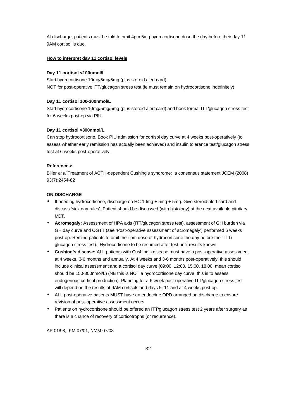At discharge, patients must be told to omit 4pm 5mg hydrocortisone dose the day before their day 11 9AM cortisol is due.

#### **How to interpret day 11 cortisol levels**

#### **Day 11 cortisol <100nmol/L**

Start hydrocortisone 10mg/5mg/5mg (plus steroid alert card) NOT for post-operative ITT/glucagon stress test (ie must remain on hydrocortisone indefinitely)

#### **Day 11 cortisol 100-300nmol/L**

Start hydrocortisone 10mg/5mg/5mg (plus steroid alert card) and book formal ITT/glucagon stress test for 6 weeks post-op via PIU.

#### **Day 11 cortisol >300nmol/L**

Can stop hydrocortisone. Book PIU admission for cortisol day curve at 4 weeks post-operatively (to assess whether early remission has actually been achieved) and insulin tolerance test/glucagon stress test at 6 weeks post-operatively.

#### **References:**

Biller *et al* Treatment of ACTH-dependent Cushing's syndrome: a consensus statement JCEM (2008) 93(7):2454-62

### **ON DISCHARGE**

- If needing hydrocortisone, discharge on HC 10mg + 5mg + 5mg. Give steroid alert card and discuss 'sick day rules'. Patient should be discussed (with histology) at the next available pituitary MDT.
- **Acromegaly:** Assessment of HPA axis (ITT/glucagon stress test), assessment of GH burden via GH day curve and OGTT (see 'Post-operative assessment of acromegaly') performed 6 weeks post-op. Remind patients to omit their pm dose of hydrocortisone the day before their ITT/ glucagon stress test). Hydrocortisone to be resumed after test until results known.
- **Cushing's disease:** ALL patients with Cushing's disease must have a post-operative assessment at 4 weeks, 3-6 months and annually. At 4 weeks and 3-6 months post-operatively, this should include clinical assessment and a cortisol day curve (09:00, 12:00, 15:00, 18:00, mean cortisol should be 150-300nmol/L) (NB this is NOT a hydrocortisone day curve, this is to assess endogenous cortisol production). Planning for a 6 week post-operative ITT/glucagon stress test will depend on the results of 9AM cortisols and days 5, 11 and at 4 weeks post-op.
- ALL post-operative patients MUST have an endocrine OPD arranged on discharge to ensure revision of post-operative assessment occurs.
- Patients on hydrocortisone should be offered an ITT/glucagon stress test 2 years after surgery as there is a chance of recovery of corticotrophs (or recurrence).

AP 01/98, KM 07/01, NMM 07/08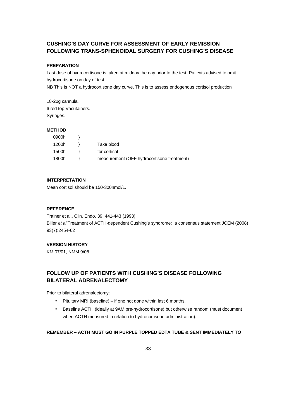# **CUSHING'S DAY CURVE FOR ASSESSMENT OF EARLY REMISSION FOLLOWING TRANS-SPHENOIDAL SURGERY FOR CUSHING'S DISEASE**

#### **PREPARATION**

Last dose of hydrocortisone is taken at midday the day prior to the test. Patients advised to omit hydrocortisone on day of test.

NB This is NOT a hydrocortisone day curve. This is to assess endogenous cortisol production

18-20g cannula. 6 red top Vacutainers. Syringes.

#### **METHOD**

| 0900h |                                            |
|-------|--------------------------------------------|
| 1200h | Take blood                                 |
| 1500h | for cortisol                               |
| 1800h | measurement (OFF hydrocortisone treatment) |

#### **INTERPRETATION**

Mean cortisol should be 150-300nmol/L.

#### **REFERENCE**

Trainer et al., Clin. Endo. 39, 441-443 (1993). Biller *et al* Treatment of ACTH-dependent Cushing's syndrome: a consensus statement JCEM (2008) 93(7):2454-62

#### **VERSION HISTORY**

KM 07/01, NMM 9/08

# **FOLLOW UP OF PATIENTS WITH CUSHING'S DISEASE FOLLOWING BILATERAL ADRENALECTOMY**

Prior to bilateral adrenalectomy:

- Pituitary MRI (baseline) if one not done within last 6 months.
- Baseline ACTH (ideally at 9AM pre-hydrocortisone) but otherwise random (must document when ACTH measured in relation to hydrocortisone administration).

### **REMEMBER – ACTH MUST GO IN PURPLE TOPPED EDTA TUBE & SENT IMMEDIATELY TO**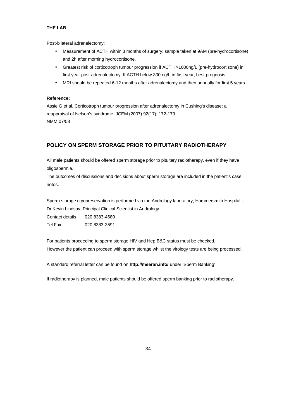#### **THE LAB**

Post-bilateral adrenalectomy:

- Measurement of ACTH within 3 months of surgery: sample taken at 9AM (pre-hydrocortisone) and 2h after morning hydrocortisone.
- Greatest risk of corticotroph tumour progression if ACTH >1000ng/L (pre-hydrocortisone) in first year post-adrenalectomy. If ACTH below 300 ng/L in first year, best prognosis.
- MRI should be repeated 6-12 months after adrenalectomy and then annually for first 5 years.

#### **Reference:**

Assie G et al. Corticotroph tumour progression after adrenalectomy in Cushing's disease: a reappraisal of Nelson's syndrome. JCEM (2007) 92(17): 172-179. NMM 07/08

# **POLICY ON SPERM STORAGE PRIOR TO PITUITARY RADIOTHERAPY**

All male patients should be offered sperm storage prior to pituitary radiotherapy, even if they have oligospermia.

The outcomes of discussions and decisions about sperm storage are included in the patient's case notes.

Sperm storage cryopreservation is performed via the Andrology laboratory, Hammersmith Hospital – Dr Kevin Lindsay, Principal Clinical Scientist in Andrology.

Contact details 020 8383-4680 Tel Fax 020 8383-3591

For patients proceeding to sperm storage HIV and Hep B&C status must be checked. However the patient can proceed with sperm storage whilst the virology tests are being processed.

A standard referral letter can be found on **http://meeran.info/** under 'Sperm Banking'

If radiotherapy is planned, male patients should be offered sperm banking prior to radiotherapy.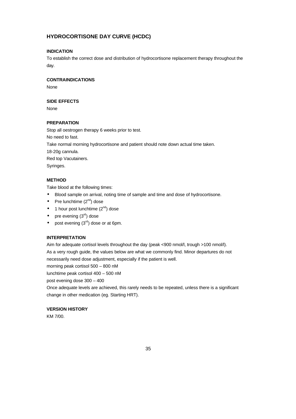# **HYDROCORTISONE DAY CURVE (HCDC)**

## **INDICATION**

To establish the correct dose and distribution of hydrocortisone replacement therapy throughout the day.

#### **CONTRAINDICATIONS**

None

## **SIDE EFFECTS**

None

### **PREPARATION**

Stop all oestrogen therapy 6 weeks prior to test. No need to fast. Take normal morning hydrocortisone and patient should note down actual time taken. 18-20g cannula. Red top Vacutainers. Syringes.

#### **METHOD**

Take blood at the following times:

- Blood sample on arrival, noting time of sample and time and dose of hydrocortisone.
- Pre lunchtime  $(2^{nd})$  dose
- 1 hour post lunchtime  $(2^{nd})$  dose
- pre evening  $(3<sup>rd</sup>)$  dose
- post evening  $(3<sup>rd</sup>)$  dose or at 6pm.

#### **INTERPRETATION**

Aim for adequate cortisol levels throughout the day (peak <900 nmol/l, trough >100 nmol/l). As a very rough guide, the values below are what we commonly find. Minor departures do not

necessarily need dose adjustment, especially if the patient is well.

morning peak cortisol 500 – 800 nM

lunchtime peak cortisol 400 – 500 nM

post evening dose 300 – 400

Once adequate levels are achieved, this rarely needs to be repeated, unless there is a significant change in other medication (eg. Starting HRT).

# **VERSION HISTORY**

KM 7/00.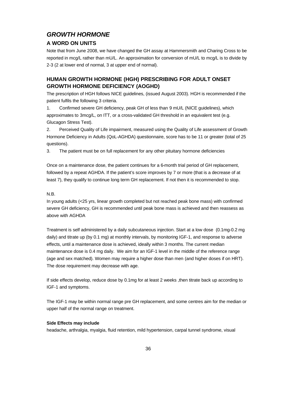# *GROWTH HORMONE*

# **A WORD ON UNITS**

Note that from June 2008, we have changed the GH assay at Hammersmith and Charing Cross to be reported in mcg/L rather than mU/L. An approximation for conversion of mU/L to mcg/L is to divide by 2-3 (2 at lower end of normal, 3 at upper end of normal).

# **HUMAN GROWTH HORMONE (HGH) PRESCRIBING FOR ADULT ONSET GROWTH HORMONE DEFICIENCY (AOGHD)**

The prescription of HGH follows NICE guidelines, (issued August 2003). HGH is recommended if the patient fulfils the following 3 criteria.

1. Confirmed severe GH deficiency, peak GH of less than 9 mU/L (NICE guidelines), which approximates to 3mcg/L, on ITT, or a cross-validated GH threshold in an equivalent test (e.g. Glucagon Stress Test).

2. Perceived Quality of Life impairment, measured using the Quality of Life assessment of Growth Hormone Deficiency in Adults (QoL-AGHDA) questionnaire, score has to be 11 or greater (total of 25 questions).

3. The patient must be on full replacement for any other pituitary hormone deficiencies

Once on a maintenance dose, the patient continues for a 6-month trial period of GH replacement, followed by a repeat AGHDA. If the patient's score improves by 7 or more (that is a decrease of at least 7), they qualify to continue long term GH replacement. If not then it is recommended to stop.

### N.B.

In young adults (<25 yrs, linear growth completed but not reached peak bone mass) with confirmed severe GH deficiency, GH is recommended until peak bone mass is achieved and then reassess as above with AGHDA

Treatment is self administered by a daily subcutaneous injection. Start at a low dose (0.1mg-0.2 mg daily) and titrate up (by 0.1 mg) at monthly intervals, by monitoring IGF-1, and response to adverse effects, until a maintenance dose is achieved, ideally within 3 months. The current median maintenance dose is 0.4 mg daily. We aim for an IGF-1 level in the middle of the reference range (age and sex matched). Women may require a higher dose than men (and higher doses if on HRT). The dose requirement may decrease with age.

If side effects develop, reduce dose by 0.1mg for at least 2 weeks ,then titrate back up according to IGF-1 and symptoms.

The IGF-1 may be within normal range pre GH replacement, and some centres aim for the median or upper half of the normal range on treatment.

#### **Side Effects may include**

headache, arthralgia, myalgia, fluid retention, mild hypertension, carpal tunnel syndrome, visual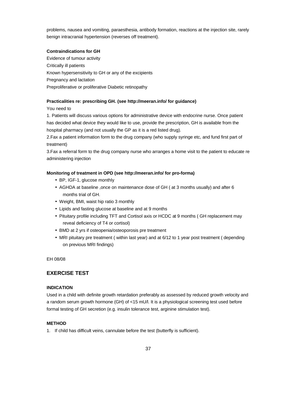problems, nausea and vomiting, paraesthesia, antibody formation, reactions at the injection site, rarely benign intracranial hypertension (reverses off treatment).

### **Contraindications for GH**

Evidence of tumour activity Critically ill patients Known hypersensitivity to GH or any of the excipients Pregnancy and lactation Preproliferative or proliferative Diabetic retinopathy

#### **Practicalities re: prescribing GH. (see http://meeran.info/ for guidance)**

You need to

1. Patients will discuss various options for administrative device with endocrine nurse. Once patient has decided what device they would like to use, provide the prescription, GH is available from the hospital pharmacy (and not usually the GP as it is a red listed drug).

2.Fax a patient information form to the drug company (who supply syringe etc, and fund first part of treatment)

3.Fax a referral form to the drug company nurse who arranges a home visit to the patient to educate re administering injection

### **Monitoring of treatment in OPD (see http://meeran.info/ for pro-forma)**

- BP, IGF-1, glucose monthly
- AGHDA at baseline ,once on maintenance dose of GH ( at 3 months usually) and after 6 months trial of GH.
- Weight, BMI, waist hip ratio 3 monthly
- Lipids and fasting glucose at baseline and at 9 months
- Pituitary profile including TFT and Cortisol axis or HCDC at 9 months ( GH replacement may reveal deficiency of T4 or cortisol)
- BMD at 2 yrs if osteopenia/osteoporosis pre treatment
- MRI pituitary pre treatment ( within last year) and at 6/12 to 1 year post treatment ( depending on previous MRI findings)

EH 08/08

# **EXERCISE TEST**

### **INDICATION**

Used in a child with definite growth retardation preferably as assessed by reduced growth velocity and a random serum growth hormone (GH) of <15 mU/l. It is a physiological screening test used before formal testing of GH secretion (e.g. insulin tolerance test, arginine stimulation test).

### **METHOD**

1. If child has difficult veins, cannulate before the test (butterfly is sufficient).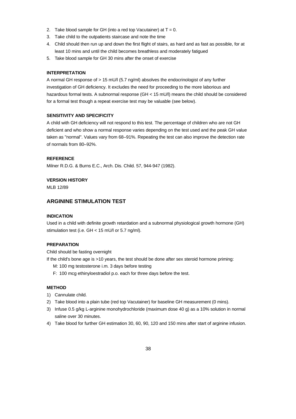- 2. Take blood sample for GH (into a red top Vacutainer) at  $T = 0$ .
- 3. Take child to the outpatients staircase and note the time
- 4. Child should then run up and down the first flight of stairs, as hard and as fast as possible, for at least 10 mins and until the child becomes breathless and moderately fatigued
- 5. Take blood sample for GH 30 mins after the onset of exercise

### **INTERPRETATION**

A normal GH response of > 15 mU/l (5.7 ng/ml) absolves the endocrinologist of any further investigation of GH deficiency. It excludes the need for proceeding to the more laborious and hazardous formal tests. A subnormal response (GH < 15 mU/l) means the child should be considered for a formal test though a repeat exercise test may be valuable (see below).

#### **SENSITIVITY AND SPECIFICITY**

A child with GH deficiency will not respond to this test. The percentage of children who are not GH deficient and who show a normal response varies depending on the test used and the peak GH value taken as "normal". Values vary from 68–91%. Repeating the test can also improve the detection rate of normals from 80–92%.

#### **REFERENCE**

Milner R.D.G. & Burns E.C., Arch. Dis. Child. 57, 944-947 (1982).

#### **VERSION HISTORY**

MLB 12/89

# **ARGININE STIMULATION TEST**

### **INDICATION**

Used in a child with definite growth retardation and a subnormal physiological growth hormone (GH) stimulation test (i.e. GH < 15 mU/l or 5.7 ng/ml).

### **PREPARATION**

Child should be fasting overnight

- If the child's bone age is >10 years, the test should be done after sex steroid hormone priming:
	- M: 100 mg testosterone i.m. 3 days before testing
	- F: 100 mcg ethinyloestradiol p.o. each for three days before the test.

#### **METHOD**

- 1) Cannulate child.
- 2) Take blood into a plain tube (red top Vacutainer) for baseline GH measurement (0 mins).
- 3) Infuse 0.5 g/kg L-arginine monohydrochloride (maximum dose 40 g) as a 10% solution in normal saline over 30 minutes.
- 4) Take blood for further GH estimation 30, 60, 90, 120 and 150 mins after start of arginine infusion.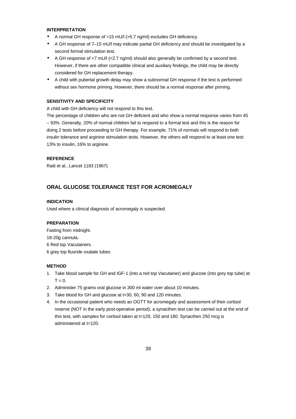### **INTERPRETATION**

- A normal GH response of >15 mU/l (>5.7 ng/ml) excludes GH deficiency.
- A GH response of 7–15 mU/l may indicate partial GH deficiency and should be investigated by a second formal stimulation test.
- A GH response of <7 mU/l (<2.7 ng/ml) should also generally be confirmed by a second test. However, if there are other compatible clinical and auxiliary findings, the child may be directly considered for GH replacement therapy.
- A child with pubertal growth delay may show a subnormal GH response if the test is performed without sex hormone priming. However, there should be a normal response after priming.

# **SENSITIVITY AND SPECIFICITY**

A child with GH deficiency will not respond to this test.

The percentage of children who are not GH deficient and who show a normal response varies from 45 – 93%. Generally, 20% of normal children fail to respond to a formal test and this is the reason for doing 2 tests before proceeding to GH therapy. For example, 71% of normals will respond to both insulin tolerance and arginine stimulation tests. However, the others will respond to at least one test: 13% to insulin, 16% to arginine.

#### **REFERENCE**

Raiti et al., Lancet 1183 (1967).

# **ORAL GLUCOSE TOLERANCE TEST FOR ACROMEGALY**

### **INDICATION**

Used where a clinical diagnosis of acromegaly is suspected.

#### **PREPARATION**

Fasting from midnight. 18-20g cannula. 6 Red top Vacutainers. 6 grey top fluoride oxalate tubes

#### **METHOD**

- 1. Take blood sample for GH and IGF-1 (into a red top Vacutainer) and glucose (into grey top tube) at  $T = 0$ .
- 2. Administer 75 grams oral glucose in 300 ml water over about 10 minutes.
- 3. Take blood for GH and glucose at t=30, 60, 90 and 120 minutes.
- 4. In the occasional patient who needs an OGTT for acromegaly and assessment of their cortisol reserve (NOT in the early post-operative period), a synacthen test can be carried out at the end of this test, with samples for cortisol taken at t=120, 150 and 180. Synacthen 250 mcg is administered at t=120.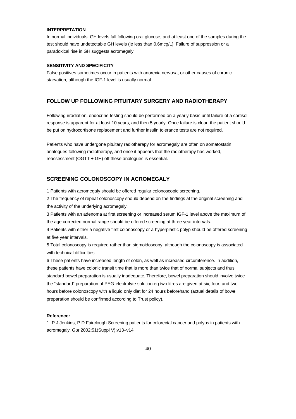### **INTERPRETATION**

In normal individuals, GH levels fall following oral glucose, and at least one of the samples during the test should have undetectable GH levels (ie less than 0.6mcg/L). Failure of suppression or a paradoxical rise in GH suggests acromegaly.

#### **SENSITIVITY AND SPECIFICITY**

False positives sometimes occur in patients with anorexia nervosa, or other causes of chronic starvation, although the IGF-1 level is usually normal.

# **FOLLOW UP FOLLOWING PITUITARY SURGERY AND RADIOTHERAPY**

Following irradiation, endocrine testing should be performed on a yearly basis until failure of a cortisol response is apparent for at least 10 years, and then 5 yearly. Once failure is clear, the patient should be put on hydrocortisone replacement and further insulin tolerance tests are not required.

Patients who have undergone pituitary radiotherapy for acromegaly are often on somatostatin analogues following radiotherapy, and once it appears that the radiotherapy has worked, reassessment (OGTT + GH) off these analogues is essential.

# **SCREENING COLONOSCOPY IN ACROMEGALY**

1 Patients with acromegaly should be offered regular colonoscopic screening.

2 The frequency of repeat colonoscopy should depend on the findings at the original screening and the activity of the underlying acromegaly.

3 Patients with an adenoma at first screening or increased serum IGF-1 level above the maximum of the age corrected normal range should be offered screening at three year intervals.

4 Patients with either a negative first colonoscopy or a hyperplastic polyp should be offered screening at five year intervals.

5 Total colonoscopy is required rather than sigmoidoscopy, although the colonoscopy is associated with technical difficulties

6 These patients have increased length of colon, as well as increased circumference. In addition, these patients have colonic transit time that is more than twice that of normal subjects and thus standard bowel preparation is usually inadequate. Therefore, bowel preparation should involve twice the "standard" preparation of PEG-electrolyte solution eg two litres are given at six, four, and two hours before colonoscopy with a liquid only diet for 24 hours beforehand (actual details of bowel preparation should be confirmed according to Trust policy).

#### **Reference:**

1. P J Jenkins, P D Fairclough Screening patients for colorectal cancer and polyps in patients with acromegaly. *Gut* 2002;51(Suppl V):v13–v14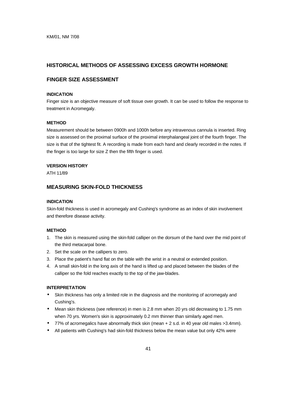# **HISTORICAL METHODS OF ASSESSING EXCESS GROWTH HORMONE**

# **FINGER SIZE ASSESSMENT**

### **INDICATION**

Finger size is an objective measure of soft tissue over growth. It can be used to follow the response to treatment in Acromegaly.

#### **METHOD**

Measurement should be between 0900h and 1000h before any intravenous cannula is inserted. Ring size is assessed on the proximal surface of the proximal interphalangeal joint of the fourth finger. The size is that of the tightest fit. A recording is made from each hand and clearly recorded in the notes. If the finger is too large for size Z then the fifth finger is used.

#### **VERSION HISTORY**

ATH 11/89

# **MEASURING SKIN-FOLD THICKNESS**

#### **INDICATION**

Skin-fold thickness is used in acromegaly and Cushing's syndrome as an index of skin involvement and therefore disease activity.

#### **METHOD**

- 1. The skin is measured using the skin-fold calliper on the dorsum of the hand over the mid point of the third metacarpal bone.
- 2. Set the scale on the callipers to zero.
- 3. Place the patient's hand flat on the table with the wrist in a neutral or extended position.
- 4. A small skin-fold in the long axis of the hand is lifted up and placed between the blades of the calliper so the fold reaches exactly to the top of the jaw-blades.

#### **INTERPRETATION**

- Skin thickness has only a limited role in the diagnosis and the monitoring of acromegaly and Cushing's.
- Mean skin thickness (see reference) in men is 2.8 mm when 20 yrs old decreasing to 1.75 mm when 70 yrs. Women's skin is approximately 0.2 mm thinner than similarly aged men.
- 77% of acromegalics have abnormally thick skin (mean + 2 s.d. in 40 year old males >3.4mm).
- All patients with Cushing's had skin-fold thickness below the mean value but only 42% were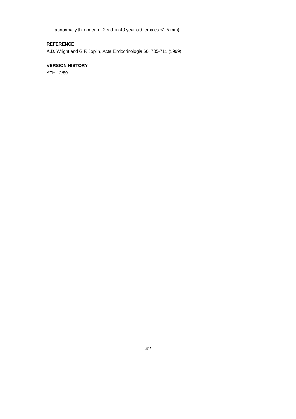abnormally thin (mean - 2 s.d. in 40 year old females <1.5 mm).

# **REFERENCE**

A.D. Wright and G.F. Joplin, Acta Endocrinologia 60, 705-711 (1969).

# **VERSION HISTORY**

ATH 12/89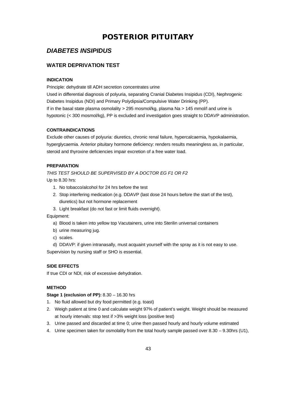# **POSTERIOR PITUITARY**

# *DIABETES INSIPIDUS*

# **WATER DEPRIVATION TEST**

### **INDICATION**

Principle: dehydrate till ADH secretion concentrates urine

Used in differential diagnosis of polyuria, separating Cranial Diabetes Insipidus (CDI), Nephrogenic Diabetes Insipidus (NDI) and Primary Polydipsia/Compulsive Water Drinking (PP). If in the basal state plasma osmolality > 295 mosmol/kg, plasma Na > 145 mmol/l and urine is hypotonic (< 300 mosmol/kg), PP is excluded and investigation goes straight to DDAVP administration.

### **CONTRAINDICATIONS**

Exclude other causes of polyuria: diuretics, chronic renal failure, hypercalcaemia, hypokalaemia, hyperglycaemia. Anterior pituitary hormone deficiency: renders results meaningless as, in particular, steroid and thyroxine deficiencies impair excretion of a free water load.

### **PREPARATION**

*THIS TEST SHOULD BE SUPERVISED BY A DOCTOR EG F1 OR F2*

Up to 8.30 hrs:

- 1. No tobacco/alcohol for 24 hrs before the test
- 2. Stop interfering medication (e.g. DDAVP (last dose 24 hours before the start of the test), diuretics) but not hormone replacement

3. Light breakfast (do not fast or limit fluids overnight).

Equipment:

- a) Blood is taken into yellow top Vacutainers, urine into Sterilin universal containers
- b) urine measuring jug.
- c) scales.
- d) DDAVP: if given intranasally, must acquaint yourself with the spray as it is not easy to use.

Supervision by nursing staff or SHO is essential.

# **SIDE EFFECTS**

If true CDI or NDI, risk of excessive dehydration.

### **METHOD**

**Stage 1 (exclusion of PP):** 8.30 – 16.30 hrs

- 1. No fluid allowed but dry food permitted (e.g. toast)
- 2. Weigh patient at time 0 and calculate weight 97% of patient's weight. Weight should be measured at hourly intervals: stop test if >3% weight loss (positive test)
- 3. Urine passed and discarded at time 0; urine then passed hourly and hourly volume estimated
- 4. Urine specimen taken for osmolality from the total hourly sample passed over 8.30 9.30hrs (U1),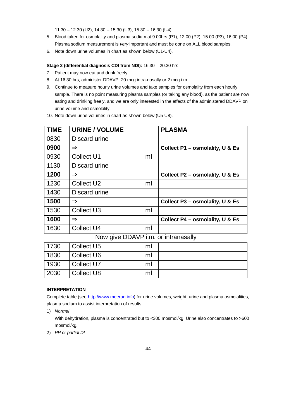11.30 – 12.30 (U2), 14.30 – 15.30 (U3), 15.30 – 16.30 (U4)

- 5. Blood taken for osmolality and plasma sodium at 9.00hrs (P1), 12.00 (P2), 15.00 (P3), 16.00 (P4). Plasma sodium measurement is *very* important and must be done on ALL blood samples.
- 6. Note down urine volumes in chart as shown below (U1-U4).

#### **Stage 2 (differential diagnosis CDI from NDI):** 16.30 – 20.30 hrs

- 7. Patient may now eat and drink freely
- 8. At 16.30 hrs, administer DDAVP: 20 mcg intra-nasally or 2 mcg i.m.
- 9. Continue to measure hourly urine volumes and take samples for osmolality from each hourly sample. There is no point measuring plasma samples (or taking any blood), as the patient are now eating and drinking freely, and we are only interested in the effects of the administered DDAVP on urine volume and osmolality.
- 10. Note down urine volumes in chart as shown below (U5-U8).

| <b>TIME</b> | <b>URINE / VOLUME</b>  |    | <b>PLASMA</b>                   |
|-------------|------------------------|----|---------------------------------|
| 0830        | Discard urine          |    |                                 |
| 0900        | Þ                      |    | Collect P1 – osmolality, U & Es |
| 0930        | Collect U1             | ml |                                 |
| 1130        | Discard urine          |    |                                 |
| 1200        | Þ                      |    | Collect P2 – osmolality, U & Es |
| 1230        | Collect U <sub>2</sub> | ml |                                 |
| 1430        | Discard urine          |    |                                 |
| 1500        | Þ                      |    | Collect P3 – osmolality, U & Es |
| 1530        | Collect U <sub>3</sub> | ml |                                 |
| 1600        | Þ                      |    | Collect P4 - osmolality, U & Es |
| 1630        | <b>Collect U4</b>      | ml |                                 |

Now give DDAVP i.m. or intranasally

| 1730 | Collect U5 | ml |  |
|------|------------|----|--|
| 1830 | Collect U6 | ml |  |
| 1930 | Collect U7 | ml |  |
| 2030 | Collect U8 | m  |  |

# **INTERPRETATION**

Complete table (see http://www.meeran.info) for urine volumes, weight, urine and plasma osmolalities, plasma sodium to assist interpretation of results.

1) *Normal*

With dehydration, plasma is concentrated but to <300 mosmol/kg. Urine also concentrates to >600 mosmol/kg.

2) *PP or partial DI*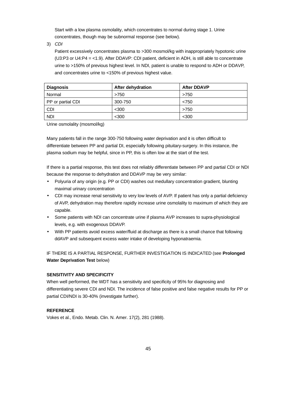Start with a low plasma osmolality, which concentrates to normal during stage 1. Urine concentrates, though may be subnormal response (see below).

3) *CDI*

Patient excessively concentrates plasma to >300 mosmol/kg with inappropriately hypotonic urine (U3:P3 or U4:P4 = <1.9). After DDAVP: CDI patient, deficient in ADH, is still able to concentrate urine to >150% of previous highest level. In NDI, patient is unable to respond to ADH or DDAVP, and concentrates urine to <150% of previous highest value.

| <b>Diagnosis</b>  | After dehydration | <b>After DDAVP</b> |
|-------------------|-------------------|--------------------|
| Normal            | >750              | >750               |
| PP or partial CDI | 300-750           | < 750              |
| <b>CDI</b>        | $300$             | >750               |
| <b>NDI</b>        | $300$             | $300$              |

Urine osmolality (mosmol/kg)

Many patients fall in the range 300-750 following water deprivation and it is often difficult to differentiate between PP and partial DI, especially following pituitary-surgery. In this instance, the plasma sodium may be helpful, since in PP, this is often low at the start of the test.

If there is a partial response, this test does not reliably differentiate between PP and partial CDI or NDI because the response to dehydration and DDAVP may be very similar:

- Polyuria of any origin (e.g. PP or CDI) washes out medullary concentration gradient, blunting maximal urinary concentration
- CDI may increase renal sensitivity to very low levels of AVP. If patient has only a partial deficiency of AVP, dehydration may therefore rapidly increase urine osmolality to maximum of which they are capable.
- Some patients with NDI can concentrate urine if plasma AVP increases to supra-physiological levels, e.g. with exogenous DDAVP.
- With PP patients avoid excess water/fluid at discharge as there is a small chance that following ddAVP and subsequent excess water intake of developing hyponatraemia.

IF THERE IS A PARTIAL RESPONSE, FURTHER INVESTIGATION IS INDICATED (see **Prolonged Water Deprivation Test** below)

### **SENSITIVITY AND SPECIFICITY**

When well performed, the WDT has a sensitivity and specificity of 95% for diagnosing and differentiating severe CDI and NDI. The incidence of false positive and false negative results for PP or partial CDI/NDI is 30-40% (investigate further).

### **REFERENCE**

Vokes et al., Endo. Metab. Clin. N. Amer. 17(2), 281 (1988).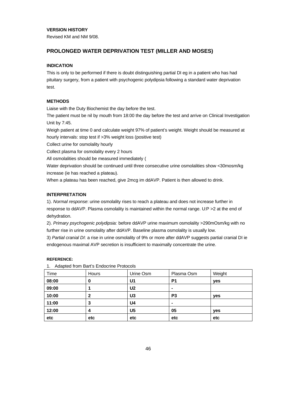### **VERSION HISTORY**

Revised KM and NM 9/08.

### **PROLONGED WATER DEPRIVATION TEST (MILLER AND MOSES)**

#### **INDICATION**

This is only to be performed if there is doubt distinguishing partial DI eg in a patient who has had pituitary surgery, from a patient with psychogenic polydipsia following a standard water deprivation test.

## **METHODS**

Liaise with the Duty Biochemist the day before the test.

The patient must be nil by mouth from 18:00 the day before the test and arrive on Clinical Investigation Unit by 7:45.

Weigh patient at time 0 and calculate weight 97% of patient's weight. Weight should be measured at hourly intervals: stop test if >3% weight loss (positive test)

Collect urine for osmolality hourly

Collect plasma for osmolality every 2 hours

All osmolalities should be measured immediately (

Water deprivation should be continued until three consecutive urine osmolalities show <30mosm/kg increase (ie has reached a plateau).

When a plateau has been reached, give 2mcg im ddAVP. Patient is then allowed to drink.

### **INTERPRETATION**

1). *Normal response*: urine osmolality rises to reach a plateau and does not increase further in response to ddAVP. Plasma osmolality is maintained within the normal range. U:P >2 at the end of dehydration.

2). *Primary psychogenic polydipsia:* before ddAVP urine maximum osmolality >290mOsm/kg with no further rise in urine osmolality after ddAVP. Baseline plasma osmolality is usually low.

3) *Partial cranial DI*: a rise in urine osmolality of 9% or more after ddAVP suggests partial cranial DI ie endogenous maximal AVP secretion is insufficient to maximally concentrate the urine.

#### **REFERENCE:**

1. Adapted from Bart's Endocrine Protocols

| Time  | Hours | Urine Osm      | Plasma Osm     | Weight |
|-------|-------|----------------|----------------|--------|
| 08:00 | 0     | U1             | P <sub>1</sub> | yes    |
| 09:00 |       | U <sub>2</sub> | ۰              |        |
| 10:00 | 2     | U <sub>3</sub> | P <sub>3</sub> | yes    |
| 11:00 | 3     | U4             |                |        |
| 12:00 | 4     | U <sub>5</sub> | 05             | yes    |
| etc   | etc   | etc            | etc            | etc    |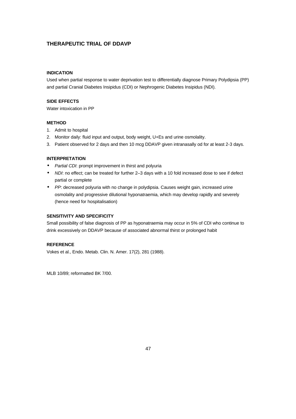# **THERAPEUTIC TRIAL OF DDAVP**

### **INDICATION**

Used when partial response to water deprivation test to differentially diagnose Primary Polydipsia (PP) and partial Cranial Diabetes Insipidus (CDI) or Nephrogenic Diabetes Insipidus (NDI).

# **SIDE EFFECTS**

Water intoxication in PP

### **METHOD**

- 1. Admit to hospital
- 2. Monitor daily: fluid input and output, body weight, U+Es and urine osmolality.
- 3. Patient observed for 2 days and then 10 mcg DDAVP given intranasally od for at least 2-3 days.

#### **INTERPRETATION**

- *Partial CDI*: prompt improvement in thirst and polyuria
- *NDI*: no effect; can be treated for further 2–3 days with a 10 fold increased dose to see if defect partial or complete
- *PP*: decreased polyuria with no change in polydipsia. Causes weight gain, increased urine osmolality and progressive dilutional hyponatraemia, which may develop rapidly and severely (hence need for hospitalisation)

# **SENSITIVITY AND SPECIFICITY**

Small possibility of false diagnosis of PP as hyponatraemia may occur in 5% of CDI who continue to drink excessively on DDAVP because of associated abnormal thirst or prolonged habit

### **REFERENCE**

Vokes et al., Endo. Metab. Clin. N. Amer. 17(2), 281 (1988).

MLB 10/89; reformatted BK 7/00.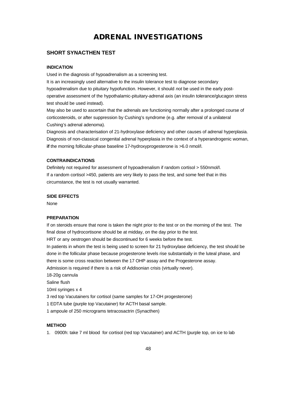# **ADRENAL INVESTIGATIONS**

# **SHORT SYNACTHEN TEST**

#### **INDICATION**

Used in the diagnosis of hypoadrenalism as a screening test.

It is an increasingly used alternative to the insulin tolerance test to diagnose secondary hypoadrenalism due to pituitary hypofunction. However, it should *not* be used in the early postoperative assessment of the hypothalamic-pituitary-adrenal axis (an insulin tolerance/glucagon stress test should be used instead).

May also be used to ascertain that the adrenals are functioning normally after a prolonged course of corticosteroids, or after suppression by Cushing's syndrome (e.g. after removal of a unilateral Cushing's adrenal adenoma).

Diagnosis and characterisation of 21-hydroxylase deficiency and other causes of adrenal hyperplasia. Diagnosis of non-classical congenital adrenal hyperplasia in the context of a hyperandrogenic woman, **if** the morning follicular-phase baseline 17-hydroxyprogesterone is >6.0 nmol/l.

### **CONTRAINDICATIONS**

Definitely not required for assessment of hypoadrenalism if random cortisol > 550nmol/l. If a random cortisol >450, patients are very likely to pass the test, and some feel that in this circumstance, the test is not usually warranted.

### **SIDE EFFECTS**

None

#### **PREPARATION**

If on steroids ensure that none is taken the night prior to the test or on the morning of the test. The final dose of hydrocortisone should be at midday, on the day prior to the test. HRT or any oestrogen should be discontinued for 6 weeks before the test. In patients in whom the test is being used to screen for 21 hydroxylase deficiency, the test should be done in the follicular phase because progesterone levels rise substantially in the luteal phase, and there is some cross reaction between the 17 OHP assay and the Progesterone assay. Admission is required if there is a risk of Addisonian crisis (virtually never). 18-20g cannula Saline flush 10ml syringes x 4 3 red top Vacutainers for cortisol (same samples for 17-OH progesterone) 1 EDTA tube (purple top Vacutainer) for ACTH basal sample. 1 ampoule of 250 micrograms tetracosactrin (Synacthen)

#### **METHOD**

1. 0900h: take 7 ml blood for cortisol (red top Vacutainer) and ACTH (purple top, on ice to lab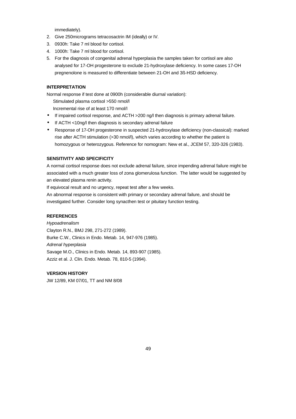immediately).

- 2. Give 250micrograms tetracosactrin IM (ideally) or IV.
- 3. 0930h: Take 7 ml blood for cortisol.
- 4. 1000h: Take 7 ml blood for cortisol.
- 5. For the diagnosis of congenital adrenal hyperplasia the samples taken for cortisol are also analysed for 17-OH progesterone to exclude 21-hydroxylase deficiency. In some cases 17-OH pregnenolone is measured to differentiate between 21-OH and 3ß-HSD deficiency.

### **INTERPRETATION**

Normal response if test done at 0900h (considerable diurnal variation):

Stimulated plasma cortisol >550 nmol/l

Incremental rise of at least 170 nmol/l

- If impaired cortisol response, and ACTH >200 ng/l then diagnosis is primary adrenal failure.
- If ACTH <10ng/l then diagnosis is secondary adrenal failure
- Response of 17-OH progesterone in suspected 21-hydroxylase deficiency (non-classical): marked rise after ACTH stimulation (>30 nmol/l), which varies according to whether the patient is homozygous or heterozygous. Reference for nomogram: New et al., JCEM 57, 320-326 (1983).

#### **SENSITIVITY AND SPECIFICITY**

A normal cortisol response does not exclude adrenal failure, since impending adrenal failure might be associated with a much greater loss of zona glomerulosa function. The latter would be suggested by an elevated plasma renin activity.

If equivocal result and no urgency, repeat test after a few weeks.

An abnormal response is consistent with primary or secondary adrenal failure, and should be investigated further. Consider long synacthen test or pituitary function testing.

### **REFERENCES**

*Hypoadrenalism* Clayton R.N., BMJ 298, 271-272 (1989). Burke C.W., Clinics in Endo. Metab. 14, 947-976 (1985). *Adrenal hyperplasia* Savage M.O., Clinics in Endo. Metab. 14, 893-907 (1985). Azziz et al. J. Clin. Endo. Metab. 78, 810-5 (1994).

### **VERSION HISTORY**

JW 12/89, KM 07/01, TT and NM 8/08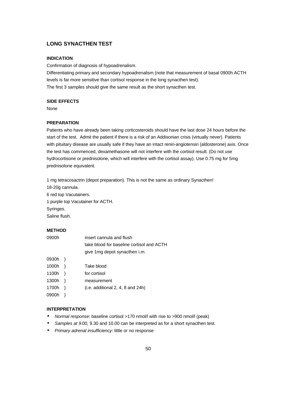# **LONG SYNACTHEN TEST**

### **INDICATION**

Confirmation of diagnosis of hypoadrenalism.

Differentiating primary and secondary hypoadrenalism (note that measurement of basal 0900h ACTH levels is far more sensitive than cortisol response in the long synacthen test). The first 3 samples should give the same result as the short synacthen test.

# **SIDE EFFECTS**

None

#### **PREPARATION**

Patients who have already been taking corticosteroids should have the last dose 24 hours before the start of the test. Admit the patient if there is a risk of an Addisonian crisis (virtually never). Patients with pituitary disease are usually safe if they have an intact renin-angiotensin (aldosterone) axis. Once the test has commenced, dexamethasone will not interfere with the cortisol result. (Do not use hydrocortisone or prednisolone, which will interfere with the cortisol assay). Use 0.75 mg for 5mg prednisolone equivalent.

1 mg tetracosactrin (depot preparation). This is not the same as ordinary Synacthen! 18-20g cannula.

6 red top Vacutainers. 1 purple top Vacutainer for ACTH. Syringes. Saline flush.

#### **METHOD**

| 0900h | insert cannula and flush                  |
|-------|-------------------------------------------|
|       | take blood for baseline cortisol and ACTH |
|       | give 1 mg depot synacthen i.m.            |
| 0930h |                                           |
| 1000h | Take blood                                |
| 1100h | for cortisol                              |
| 1300h | measurement                               |
| 1700h | $(i.e.$ additional $2, 4, 8$ and $24h$ )  |
| 0900h |                                           |

### **INTERPRETATION**

- *Normal response*: baseline cortisol >170 nmol/l with rise to >900 nmol/l (peak)
- *Samples at 9*.00, 9.30 and 10.00 can be interpreted as for a short synacthen test.
- *Primary adrenal insufficiency*: little or no response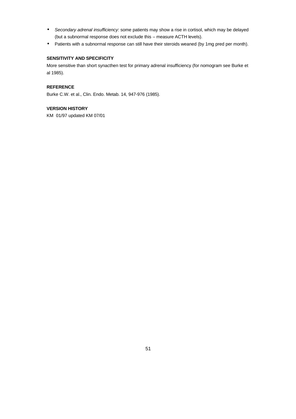- *Secondary adrenal insufficiency*: some patients may show a rise in cortisol, which may be delayed (but a subnormal response does not exclude this – measure ACTH levels).
- Patients with a subnormal response can still have their steroids weaned (by 1mg pred per month).

# **SENSITIVITY AND SPECIFICITY**

More sensitive than short synacthen test for primary adrenal insufficiency (for nomogram see Burke et al 1985).

# **REFERENCE**

Burke C.W. et al., Clin. Endo. Metab. 14, 947-976 (1985).

# **VERSION HISTORY**

KM 01/97 updated KM 07/01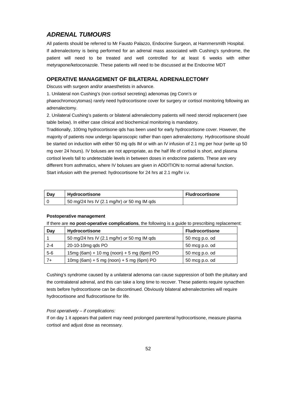# *ADRENAL TUMOURS*

All patients should be referred to Mr Fausto Palazzo, Endocrine Surgeon, at Hammersmith Hospital. If adrenalectomy is being performed for an adrenal mass associated with Cushing's syndrome, the patient will need to be treated and well controlled for at least 6 weeks with either metyrapone/ketoconazole. These patients will need to be discussed at the Endocrine MDT

### **OPERATIVE MANAGEMENT OF BILATERAL ADRENALECTOMY**

Discuss with surgeon and/or anaesthetists in advance.

1. Unilateral non Cushing's (non cortisol secreting) adenomas (eg Conn's or

phaeochromocytomas) rarely need hydrocortisone cover for surgery or cortisol monitoring following an adrenalectomy.

2. Unilateral Cushing's patients or bilateral adrenalectomy patients will need steroid replacement (see table below). In either case clinical and biochemical monitoring is mandatory.

Traditionally, 100mg hydrocortisone qds has been used for early hydrocortisone cover. However, the majority of patients now undergo laparoscopic rather than open adrenalectomy. Hydrocortisone should be started on induction with either 50 mg qds IM or with an IV infusion of 2.1 mg per hour (write up 50 mg over 24 hours). IV boluses are not appropriate, as the half life of cortisol is short, and plasma cortisol levels fall to undetectable levels in between doses in endocrine patients. These are very different from asthmatics, where IV boluses are given in ADDITION to normal adrenal function. Start infusion with the premed: hydrocortisone for 24 hrs at 2.1 mg/hr i.v.

| Dav | Hydrocortisone                              | <b>Fludrocortisone</b> |
|-----|---------------------------------------------|------------------------|
|     | 50 mg/24 hrs IV (2.1 mg/hr) or 50 mg IM qds |                        |

#### **Postoperative management**

If there are **no post-operative complications**, the following is a guide to prescribing replacement:

| Day     | <b>Hydrocortisone</b>                       | <b>Fludrocortisone</b> |
|---------|---------------------------------------------|------------------------|
|         | 50 mg/24 hrs IV (2.1 mg/hr) or 50 mg IM qds | 50 mcg p.o. od         |
| $2 - 4$ | 20-10-10mg qds PO                           | 50 mcg p.o. od         |
| $5-6$   | 15mg (6am) + 10 mg (noon) + 5 mg (6pm) PO   | 50 mcg p.o. od         |
| $7+$    | 10mg (6am) + 5 mg (noon) + 5 mg (6pm) PO    | 50 mcg p.o. od         |

Cushing's syndrome caused by a unilateral adenoma can cause suppression of both the pituitary and the contralateral adrenal, and this can take a long time to recover. These patients require synacthen tests before hydrocortisone can be discontinued. Obviously bilateral adrenalectomies will require hydrocortisone and fludrocortisone for life.

#### *Post operatively – if complications:*

If on day 1 it appears that patient may need prolonged parenteral hydrocortisone, measure plasma cortisol and adjust dose as necessary.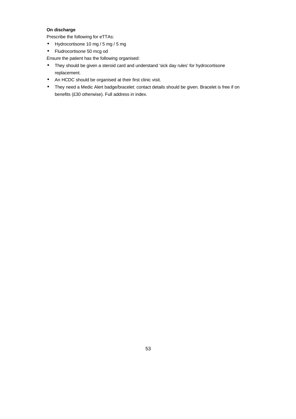# **On discharge**

Prescribe the following for eTTAs:

- Hydrocortisone 10 mg / 5 mg / 5 mg
- Fludrocortisone 50 mcg od

Ensure the patient has the following organised:

- They should be given a steroid card and understand 'sick day rules' for hydrocortisone replacement.
- An HCDC should be organised at their first clinic visit.
- They need a Medic Alert badge/bracelet: contact details should be given. Bracelet is free if on benefits (£30 otherwise). Full address in index.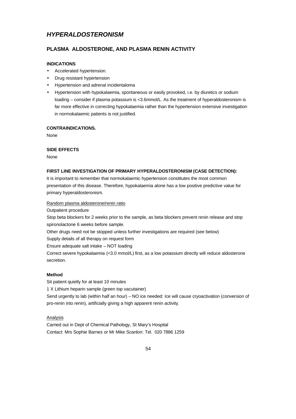# *HYPERALDOSTERONISM*

# **PLASMA ALDOSTERONE, AND PLASMA RENIN ACTIVITY**

# **INDICATIONS**

- Accelerated hypertension.
- Drug resistant hypertension
- Hypertension and adrenal incidentaloma
- Hypertension with hypokalaemia, spontaneous or easily provoked, i.e. by diuretics or sodium loading – consider if plasma potassium is <3.6mmol/L. As the treatment of hyperaldosteronism is far more effective in correcting hypokalaemia rather than the hypertension extensive investigation in normokalaemic patients is not justified.

#### **CONTRAINDICATIONS.**

None

### **SIDE EFFECTS**

None

#### **FIRST LINE INVESTIGATION OF PRIMARY HYPERALDOSTERONISM (CASE DETECTION):**

It is important to remember that normokalaemic hypertension constitutes the most common presentation of this disease. Therefore, hypokalaemia alone has a low positive predictive value for primary hyperaldosteronism.

### Random plasma aldosterone/renin ratio

Outpatient procedure

Stop beta blockers for 2 weeks prior to the sample, as beta blockers prevent renin release and stop spironolactone 6 weeks before sample.

Other drugs need not be stopped unless further investigations are required (see below)

Supply details of all therapy on request form

Ensure adequate salt intake – NOT loading

Correct severe hypokalaemia (<3.0 mmol/L) first, as a low potassium directly will reduce aldosterone secretion.

### **Method**

Sit patient quietly for at least 10 minutes 1 X Lithium heparin sample (green top vacutainer) Send urgently to lab (within half an hour) – NO ice needed: Ice will cause cryoactivation (conversion of pro-renin into renin), artificially giving a high apparent renin activity.

### **Analysis**

Carried out in Dept of Chemical Pathology, St Mary's Hospital Contact: Mrs Sophie Barnes or Mr Mike Scanlon: Tel. 020 7886 1259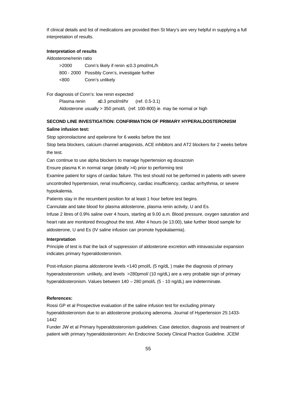If clinical details and list of medications are provided then St Mary's are very helpful in supplying a full interpretation of results.

#### **Interpretation of results**

Aldosterone/renin ratio

>2000 Conn's likely if renin ≤ 0.3 pmol/mL/h 800 - 2000 Possibly Conn's, investigate further <800 Conn's unlikely

For diagnosis of Conn's: low renin expected

Plasma renin ≤0.3 pmol/ml/hr (ref. 0.5-3.1) Aldosterone usually > 350 pmol/L (ref. 100-800) ie. may be normal or high

# **SECOND LINE INVESTIGATION: CONFIRMATION OF PRIMARY HYPERALDOSTERONISM Saline infusion test:**

Stop spironolactone and epelerone for 6 weeks before the test

Stop beta blockers, calcium channel antagonists, ACE inhibitors and AT2 blockers for 2 weeks before the test.

Can continue to use alpha blockers to manage hypertension eg doxazosin

Ensure plasma K in normal range (ideally >4) prior to performing test

Examine patient for signs of cardiac failure. This test should not be performed in patients with severe uncontrolled hypertension, renal insufficiency, cardiac insufficiency, cardiac arrhythmia, or severe hypokalemia.

Patients stay in the recumbent position for at least 1 hour before test begins.

Cannulate and take blood for plasma aldosterone, plasma renin activity, U and Es.

Infuse 2 litres of 0.9% saline over 4 hours, starting at 9.00 a.m. Blood pressure, oxygen saturation and heart rate are monitored throughout the test. After 4 hours (ie 13:00), take further blood sample for aldosterone, U and Es (IV saline infusion can promote hypokalaemia).

#### **Interpretation**

Principle of test is that the lack of suppression of aldosterone excretion with intravascular expansion indicates primary hyperaldosteronism.

Post-infusion plasma aldosterone levels <140 pmol/L (5 ng/dL ) make the diagnosis of primary hyperadosteronism unlikely, and levels >280pmol/ (10 ng/dL) are a very probable sign of primary hyperaldosteronism. Values between 140 – 280 pmol/L (5 - 10 ng/dL) are indeterminate.

#### **References:**

Rossi GP et al Prospective evaluation of the saline infusion test for excluding primary hyperaldosteronism due to an aldosterone producing adenoma. Journal of Hypertension 25:1433- 1442

Funder JW et al Primary hyperaldosteronism guidelines: Case detection, diagnosis and treatment of patient with primary hyperaldosteronism: An Endocrine Society Clinical Practice Guideline. JCEM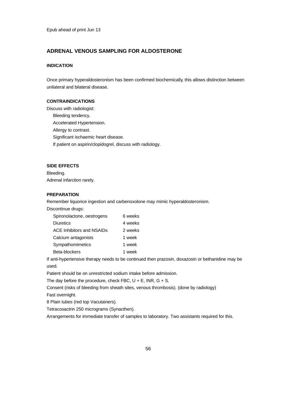# **ADRENAL VENOUS SAMPLING FOR ALDOSTERONE**

### **INDICATION**

Once primary hyperaldosteronism has been confirmed biochemically, this allows distinction between unilateral and bilateral disease.

# **CONTRAINDICATIONS**

Discuss with radiologist: Bleeding tendency. Accelerated Hypertension. Allergy to contrast. Significant ischaemic heart disease. If patient on aspirin/clopidogrel, discuss with radiology.

### **SIDE EFFECTS**

Bleeding. Adrenal infarction rarely.

# **PREPARATION**

Remember liquorice ingestion and carbenoxolone may mimic hyperaldosteronism.

Discontinue drugs:

| Spironolactone, oestrogens       | 6 weeks |
|----------------------------------|---------|
| <b>Diuretics</b>                 | 4 weeks |
| <b>ACE Inhibitors and NSAIDs</b> | 2 weeks |
| Calcium antagonists              | 1 week  |
| Sympathomimetics                 | 1 week  |
| Beta-blockers                    | 1 week  |

If anti-hypertensive therapy needs to be continued then prazosin, doxazosin or bethanidine may be used.

Patient should be on unrestricted sodium intake before admission.

The day before the procedure, check FBC,  $U + E$ , INR,  $G + S$ .

Consent (risks of bleeding from sheath sites, venous thrombosis). (done by radiology)

Fast overnight.

8 Plain tubes (red top Vacutainers).

Tetracosactrin 250 micrograms (Synacthen).

Arrangements for immediate transfer of samples to laboratory. Two assistants required for this.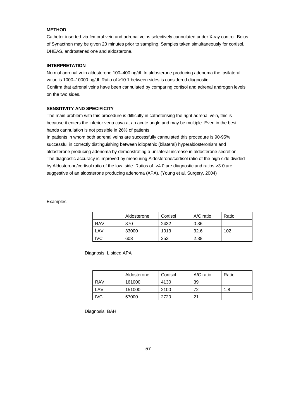# **METHOD**

Catheter inserted via femoral vein and adrenal veins selectively cannulated under X-ray control. Bolus of Synacthen may be given 20 minutes prior to sampling. Samples taken simultaneously for cortisol, DHEAS, androstenedione and aldosterone.

#### **INTERPRETATION**

Normal adrenal vein aldosterone 100–400 ng/dl. In aldosterone producing adenoma the ipsilateral value is 1000–10000 ng/dl. Ratio of >10:1 between sides is considered diagnostic. Confirm that adrenal veins have been cannulated by comparing cortisol and adrenal androgen levels on the two sides.

# **SENSITIVITY AND SPECIFICITY**

The main problem with this procedure is difficulty in catheterising the right adrenal vein, this is because it enters the inferior vena cava at an acute angle and may be multiple. Even in the best hands cannulation is not possible in 26% of patients.

In patients in whom both adrenal veins are successfully cannulated this procedure is 90-95% successful in correctly distinguishing between idiopathic (bilateral) hyperaldosteronism and aldosterone producing adenoma by demonstrating a unilateral increase in aldosterone secretion. The diagnostic accuracy is improved by measuring Aldosterone/cortisol ratio of the high side divided by Aldosterone/cortisol ratio of the low side. Ratios of >4.0 are diagnostic and ratios >3.0 are suggestive of an aldosterone producing adenoma (APA). (Young et al, Surgery, 2004)

Examples:

|            | Aldosterone | Cortisol | $A/C$ ratio | Ratio |
|------------|-------------|----------|-------------|-------|
| <b>RAV</b> | 870         | 2432     | 0.36        |       |
| LAV        | 33000       | 1013     | 32.6        | 102   |
| <b>IVC</b> | 603         | 253      | 2.38        |       |

Diagnosis: L sided APA

|            | Aldosterone | Cortisol | A/C ratio | Ratio |
|------------|-------------|----------|-----------|-------|
| <b>RAV</b> | 161000      | 4130     | 39        |       |
| LAV        | 151000      | 2100     | 72        | 1.8   |
| IVC        | 57000       | 2720     | 21        |       |

Diagnosis: BAH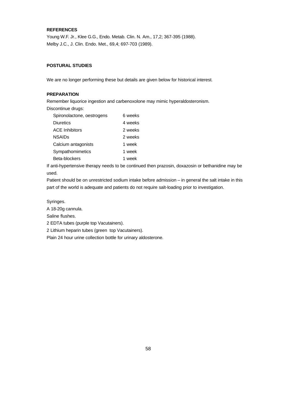# **REFERENCES**

Young W.F. Jr., Klee G.G., Endo. Metab. Clin. N. Am., 17,2; 367-395 (1988). Melby J.C., J. Clin. Endo. Met., 69,4; 697-703 (1989).

### **POSTURAL STUDIES**

We are no longer performing these but details are given below for historical interest.

### **PREPARATION**

Remember liquorice ingestion and carbenoxolone may mimic hyperaldosteronism.

Discontinue drugs:

| Spironolactone, oestrogens | 6 weeks |
|----------------------------|---------|
| <b>Diuretics</b>           | 4 weeks |
| <b>ACE Inhibitors</b>      | 2 weeks |
| <b>NSAIDs</b>              | 2 weeks |
| Calcium antagonists        | 1 week  |
| Sympathomimetics           | 1 week  |
| Beta-blockers              | 1 week  |

If anti-hypertensive therapy needs to be continued then prazosin, doxazosin or bethanidine may be used.

Patient should be on unrestricted sodium intake before admission – in general the salt intake in this part of the world is adequate and patients do not require salt-loading prior to investigation.

Syringes.

A 18-20g cannula.

Saline flushes.

2 EDTA tubes (purple top Vacutainers).

2 Lithium heparin tubes (green top Vacutainers).

Plain 24 hour urine collection bottle for urinary aldosterone.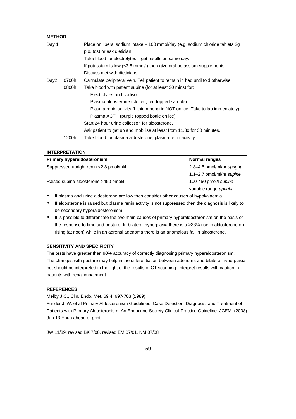# **METHOD**

| Day 1            |       | Place on liberal sodium intake - 100 mmol/day (e.g. sodium chloride tablets 2g |
|------------------|-------|--------------------------------------------------------------------------------|
|                  |       | p.o. tds) or ask dietician                                                     |
|                  |       | Take blood for electrolytes – get results on same day.                         |
|                  |       | If potassium is low (<3.5 mmol/l) then give oral potassium supplements.        |
|                  |       | Discuss diet with dieticians.                                                  |
| Day <sub>2</sub> | 0700h | Cannulate peripheral vein. Tell patient to remain in bed until told otherwise. |
|                  | 0800h | Take blood with patient supine (for at least 30 mins) for:                     |
|                  |       | Electrolytes and cortisol.                                                     |
|                  |       | Plasma aldosterone (clotted, red topped sample)                                |
|                  |       | Plasma renin activity (Lithium heparin NOT on ice. Take to lab immediately).   |
|                  |       | Plasma ACTH (purple topped bottle on ice).                                     |
|                  |       | Start 24 hour urine collection for aldosterone.                                |
|                  |       | Ask patient to get up and mobilise at least from 11.30 for 30 minutes.         |
|                  | 1200h | Take blood for plasma aldosterone, plasma renin activity.                      |

#### **INTERPRETATION**

| Primary hyperaldosteronism                                     | <b>Normal ranges</b>       |  |
|----------------------------------------------------------------|----------------------------|--|
| Suppressed upright renin <2.8 pmol/ml/hr                       | 2.8-4.5 pmol/ml/hr upright |  |
|                                                                | 1.1-2.7 pmol/ml/hr supine  |  |
| 100-450 pmol/l supine<br>Raised supine aldosterone >450 pmol/l |                            |  |
|                                                                | variable range upright     |  |

• If plasma and urine aldosterone are low then consider other causes of hypokalaemia.

- If aldosterone is raised but plasma renin activity is not suppressed then the diagnosis is likely to be secondary hyperaldosteronism.
- It is possible to differentiate the two main causes of primary hyperaldosteronism on the basis of the response to time and posture. In bilateral hyperplasia there is a >33% rise in aldosterone on rising (at noon) while in an adrenal adenoma there is an anomalous fall in aldosterone.

### **SENSITIVITY AND SPECIFICITY**

The tests have greater than 90% accuracy of correctly diagnosing primary hyperaldosteronism. The changes with posture may help in the differentiation between adenoma and bilateral hyperplasia but should be interpreted in the light of the results of CT scanning. Interpret results with caution in patients with renal impairment.

### **REFERENCES**

Melby J.C., Clin. Endo. Met. 69,4; 697-703 (1989).

Funder J. W. et al Primary Aldosteronism Guidelines: Case Detection, Diagnosis, and Treatment of Patients with Primary Aldosteronism: An Endocrine Society Clinical Practice Guideline. JCEM. (2008) Jun 13 Epub ahead of print.

JW 11/89; revised BK 7/00. revised EM 07/01, NM 07/08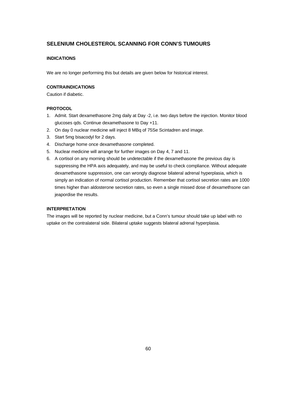# **SELENIUM CHOLESTEROL SCANNING FOR CONN'S TUMOURS**

# **INDICATIONS**

We are no longer performing this but details are given below for historical interest.

### **CONTRAINDICATIONS**

Caution if diabetic.

# **PROTOCOL**

- 1. Admit. Start dexamethasone 2mg daily at Day -2, i.e. two days before the injection. Monitor blood glucoses qds. Continue dexamethasone to Day +11.
- 2. On day 0 nuclear medicine will inject 8 MBq of 75Se Scintadren and image.
- 3. Start 5mg bisacodyl for 2 days.
- 4. Discharge home once dexamethasone completed.
- 5. Nuclear medicine will arrange for further images on Day 4, 7 and 11.
- 6. A cortisol on any morning should be undetectable if the dexamethasone the previous day is suppressing the HPA axis adequately, and may be useful to check compliance. Without adequate dexamethasone suppression, one can wrongly diagnose bilateral adrenal hyperplasia, which is simply an indication of normal cortisol production. Remember that cortisol secretion rates are 1000 times higher than aldosterone secretion rates, so even a single missed dose of dexamethsone can jeapordise the results.

# **INTERPRETATION**

The images will be reported by nuclear medicine, but a Conn's tumour should take up label with no uptake on the contralateral side. Bilateral uptake suggests bilateral adrenal hyperplasia.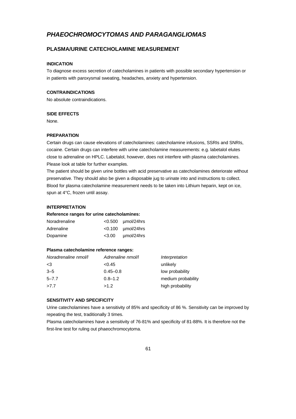# *PHAEOCHROMOCYTOMAS AND PARAGANGLIOMAS*

# **PLASMA/URINE CATECHOLAMINE MEASUREMENT**

# **INDICATION**

To diagnose excess secretion of catecholamines in patients with possible secondary hypertension or in patients with paroxysmal sweating, headaches, anxiety and hypertension.

### **CONTRAINDICATIONS**

No absolute contraindications.

### **SIDE EFFECTS**

None.

### **PREPARATION**

Certain drugs can cause elevations of catecholamines: catecholamine infusions, SSRIs and SNRIs, cocaine. Certain drugs can interfere with urine catecholamine measurements: e.g. labetalol elutes close to adrenaline on HPLC. Labetalol, however, does not interfere with plasma catecholamines. Please look at table for further examples.

The patient should be given urine bottles with acid preservative as catecholamines deteriorate without preservative. They should also be given a disposable jug to urinate into and instructions to collect. Blood for plasma catecholamine measurement needs to be taken into Lithium heparin, kept on ice, spun at 4°C, frozen until assay.

#### **INTERPRETATION**

#### **Reference ranges for urine catecholamines:**

| Noradrenaline | $< 0.500$ umol/24hrs     |
|---------------|--------------------------|
| Adrenaline    | $< 0.100$ umol/24hrs     |
| Dopamine      | $<$ 3.00 $\mu$ mol/24hrs |

#### **Plasma catecholamine reference ranges:**

| Noradrenaline nmol/l | Adrenaline nmol/l | Interpretation     |
|----------------------|-------------------|--------------------|
| $<$ 3                | <0.45             | unlikely           |
| $3 - 5$              | $0.45 - 0.8$      | low probability    |
| $5 - 7.7$            | $0.8 - 1.2$       | medium probability |
| >7.7                 | >1.2              | high probability   |

#### **SENSITIVITY AND SPECIFICITY**

Urine catecholamines have a sensitivity of 85% and specificity of 86 %. Sensitivity can be improved by repeating the test, traditionally 3 times.

Plasma catecholamines have a sensitivity of 76-81% and specificity of 81-88%. It is therefore not the first-line test for ruling out phaeochromocytoma.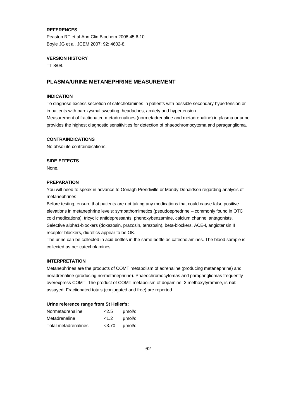### **REFERENCES**

Peaston RT et al Ann Clin Biochem 2008;45:6-10. Boyle JG et al. JCEM 2007; 92: 4602-8.

#### **VERSION HISTORY**

TT 8/08.

### **PLASMA/URINE METANEPHRINE MEASUREMENT**

### **INDICATION**

To diagnose excess secretion of catecholamines in patients with possible secondary hypertension or in patients with paroxysmal sweating, headaches, anxiety and hypertension.

Measurement of fractionated metadrenalines (normetadrenaline and metadrenaline) in plasma or urine provides the highest diagnostic sensitivities for detection of phaeochromocytoma and paraganglioma.

#### **CONTRAINDICATIONS**

No absolute contraindications.

#### **SIDE EFFECTS**

None.

#### **PREPARATION**

You will need to speak in advance to Oonagh Prendiville or Mandy Donaldson regarding analysis of metanephrines

Before testing, ensure that patients are not taking any medications that could cause false positive elevations in metanephrine levels: sympathomimetics (pseudoephedrine – commonly found in OTC cold medications), tricyclic antidepressants, phenoxybenzamine, calcium channel antagonists. Selective alpha1-blockers (doxazosin, prazosin, terazosin), beta-blockers, ACE-I, angiotensin II receptor blockers, diuretics appear to be OK.

The urine can be collected in acid bottles in the same bottle as catecholamines. The blood sample is collected as per catecholamines.

#### **INTERPRETATION**

Metanephrines are the products of COMT metabolism of adrenaline (producing metanephrine) and noradrenaline (producing normetanephrine). Phaeochromocytomas and paragangliomas frequently overexpress COMT. The product of COMT metabolism of dopamine, 3-methoxytyramine, is **not** assayed. Fractionated totals (conjugated and free) are reported.

#### **Urine reference range from St Helier's:**

| Normetadrenaline     | 2.5     | umol/d |
|----------------------|---------|--------|
| Metadrenaline        | $<$ 1.2 | umol/d |
| Total metadrenalines | < 3.70  | umol/d |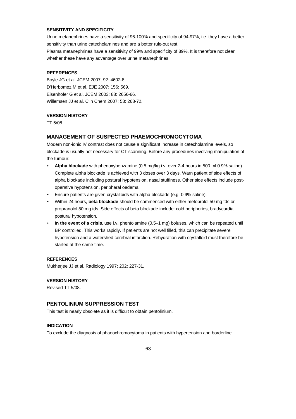### **SENSITIVITY AND SPECIFICITY**

Urine metanephrines have a sensitivity of 96-100% and specificity of 94-97%, i.e. they have a better sensitivity than urine catecholamines and are a better rule-out test.

Plasma metanephrines have a sensitivity of 99% and specificity of 89%. It is therefore not clear whether these have any advantage over urine metanephrines.

#### **REFERENCES**

Boyle JG et al. JCEM 2007; 92: 4602-8. D'Herbomez M et al. EJE 2007; 156: 569. Eisenhofer G et al. JCEM 2003; 88: 2656-66. Willemsen JJ et al. Clin Chem 2007; 53: 268-72.

#### **VERSION HISTORY**

TT 5/08.

### **MANAGEMENT OF SUSPECTED PHAEMOCHROMOCYTOMA**

Modern non-ionic IV contrast does not cause a significant increase in catecholamine levels, so blockade is usually not necessary for CT scanning. Before any procedures involving manipulation of the tumour:

- **Alpha blockade** with phenoxybenzamine (0.5 mg/kg i.v. over 2-4 hours in 500 ml 0.9% saline). Complete alpha blockade is achieved with 3 doses over 3 days. Warn patient of side effects of alpha blockade including postural hypotension, nasal stuffiness. Other side effects include postoperative hypotension, peripheral oedema.
- Ensure patients are given crystalloids with alpha blockade (e.g. 0.9% saline).
- Within 24 hours, **beta blockade** should be commenced with either metoprolol 50 mg tds or propranolol 80 mg tds. Side effects of beta blockade include: cold peripheries, bradycardia, postural hypotension.
- **In the event of a crisis**, use i.v. phentolamine (0.5–1 mg) boluses, which can be repeated until BP controlled. This works rapidly. If patients are not well filled, this can precipitate severe hypotension and a watershed cerebral infarction. Rehydration with crystalloid must therefore be started at the same time.

### **REFERENCES**

Mukherjee JJ et al. Radiology 1997; 202: 227-31.

### **VERSION HISTORY**

Revised TT 5/08.

# **PENTOLINIUM SUPPRESSION TEST**

This test is nearly obsolete as it is difficult to obtain pentolinium.

### **INDICATION**

To exclude the diagnosis of phaeochromocytoma in patients with hypertension and borderline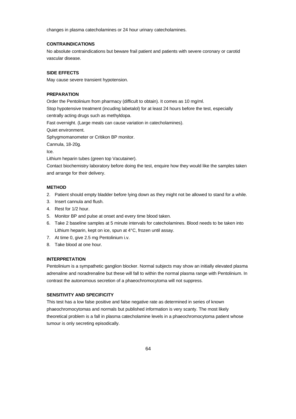changes in plasma catecholamines or 24 hour urinary catecholamines.

### **CONTRAINDICATIONS**

No absolute contraindications but beware frail patient and patients with severe coronary or carotid vascular disease.

#### **SIDE EFFECTS**

May cause severe transient hypotension.

### **PREPARATION**

Order the Pentolinium from pharmacy (difficult to obtain). It comes as 10 mg/ml.

Stop hypotensive treatment (incuding labetalol) for at least 24 hours before the test, especially centrally acting drugs such as methyldopa.

Fast overnight. (Large meals can cause variation in catecholamines).

Quiet environment.

Sphygmomanometer or Critikon BP monitor.

Cannula, 18-20g.

Ice.

Lithium heparin tubes (green top Vacutainer).

Contact biochemistry laboratory before doing the test, enquire how they would like the samples taken and arrange for their delivery.

#### **METHOD**

- 2. Patient should empty bladder before lying down as they might not be allowed to stand for a while.
- 3. Insert cannula and flush.
- 4. Rest for 1/2 hour.
- 5. Monitor BP and pulse at onset and every time blood taken.
- 6. Take 2 baseline samples at 5 minute intervals for catecholamines. Blood needs to be taken into Lithium heparin, kept on ice, spun at 4°C, frozen until assay.
- 7. At time 0, give 2.5 mg Pentolinium i.v.
- 8. Take blood at one hour.

### **INTERPRETATION**

Pentolinium is a sympathetic ganglion blocker. Normal subjects may show an initially elevated plasma adrenaline and noradrenaline but these will fall to within the normal plasma range with Pentolinium. In contrast the autonomous secretion of a phaeochromocytoma will not suppress.

### **SENSITIVITY AND SPECIFICITY**

This test has a low false positive and false negative rate as determined in series of known phaeochromocytomas and normals but published information is very scanty. The most likely theoretical problem is a fall in plasma catecholamine levels in a phaeochromocytoma patient whose tumour is only secreting episodically.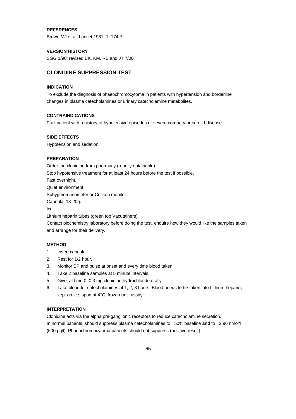### **REFERENCES**

Brown MJ et al. Lancet 1981; 1: 174-7

#### **VERSION HISTORY**

SGG 1/90; revised BK, KM, RB and JT 7/00.

# **CLONIDINE SUPPRESSION TEST**

### **INDICATION**

To exclude the diagnosis of phaeochromocytoma in patients with hypertension and borderline changes in plasma catecholamines or urinary catecholamine metabolites.

#### **CONTRAINDICATIONS**

Frail patient with a history of hypotensive episodes or severe coronary or carotid disease.

#### **SIDE EFFECTS**

Hypotension and sedation.

#### **PREPARATION**

Order the clonidine from pharmacy (readily obtainable).

Stop hypotensive treatment for at least 24 hours before the test if possible.

Fast overnight.

Quiet environment.

Sphygmomanometer or Critikon monitor.

Cannula, 18-20g.

Ice.

Lithium heparin tubes (green top Vacutainers).

Contact biochemistry laboratory before doing the test, enquire how they would like the samples taken and arrange for their delivery.

### **METHOD**

- 1. Insert cannula.
- 2. Rest for 1/2 hour.
- 3. Monitor BP and pulse at onset and every time blood taken.
- 4. Take 2 baseline samples at 5 minute intervals.
- 5. Give, at time 0, 0.3 mg clonidine hydrochloride orally.
- 6. Take blood for catecholamines at 1, 2, 3 hours. Blood needs to be taken into Lithium heparin, kept on ice, spun at 4°C, frozen until assay.

### **INTERPRETATION**

Clonidine acts via the alpha pre-ganglionic receptors to reduce catecholamine secretion. In normal patients, should suppress plasma catecholamines to =50% baseline **and** to =2.96 nmol/l (500 pg/l). Phaeochromocytoma patients should not suppress (positive result).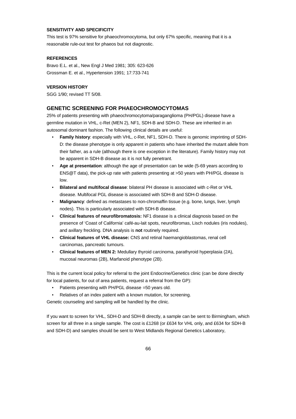### **SENSITIVITY AND SPECIFICITY**

This test is 97% sensitive for phaeochromocytoma, but only 67% specific, meaning that it is a reasonable rule-out test for phaeos but not diagnostic.

### **REFERENCES**

Bravo E.L. et al., New Engl J Med 1981; 305: 623-626 Grossman E. et al., Hypertension 1991; 17:733-741

### **VERSION HISTORY**

SGG 1/90; revised TT 5/08.

# **GENETIC SCREENING FOR PHAEOCHROMOCYTOMAS**

25% of patients presenting with phaeochromocytoma/paraganglioma (PH/PGL) disease have a germline mutation in VHL, c-Ret (MEN 2), NF1, SDH-B and SDH-D. These are inherited in an autosomal dominant fashion. The following clinical details are useful:

- **Family history**: especially with VHL, c-Ret, NF1, SDH-D. There is genomic imprinting of SDH-D: the disease phenotype is only apparent in patients who have inherited the mutant allele from their father, as a rule (although there is one exception in the literature). Family history may not be apparent in SDH-B disease as it is not fully penetrant.
- **Age at presentation**: although the age of presentation can be wide (5-69 years according to ENS@T data), the pick-up rate with patients presenting at >50 years with PH/PGL disease is low.
- **Bilateral and multifocal disease**: bilateral PH disease is associated with c-Ret or VHL disease. Multifocal PGL disease is associated with SDH-B and SDH-D disease.
- **Malignancy**: defined as metastases to non-chromaffin tissue (e.g. bone, lungs, liver, lymph nodes). This is particularly associated with SDH-B disease.
- **Clinical features of neurofibromatosis:** NF1 disease is a clinical diagnosis based on the presence of 'Coast of California' café-au-lait spots, neurofibromas, Lisch nodules (iris nodules), and axillary freckling. DNA analysis is **not** routinely required.
- **Clinical features of VHL disease:** CNS and retinal haemangioblastomas, renal cell carcinomas, pancreatic tumours.
- **Clinical features of MEN 2:** Medullary thyroid carcinoma, parathyroid hyperplasia (2A), mucosal neuromas (2B), Marfanoid phenotype (2B).

This is the current local policy for referral to the joint Endocrine/Genetics clinic (can be done directly for local patients, for out of area patients, request a referral from the GP):

- Patients presenting with PH/PGL disease =50 years old.
- Relatives of an index patient with a known mutation, for screening.

Genetic counseling and sampling will be handled by the clinic.

If you want to screen for VHL, SDH-D and SDH-B directly, a sample can be sent to Birmingham, which screen for all three in a single sample. The cost is £1268 (or £634 for VHL only, and £634 for SDH-B and SDH-D) and samples should be sent to West Midlands Regional Genetics Laboratory,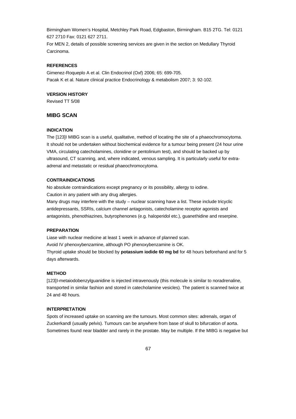Birmingham Women's Hospital, Metchley Park Road, Edgbaston, Birmingham. B15 2TG. Tel: 0121 627 2710 Fax: 0121 627 2711.

For MEN 2, details of possible screening services are given in the section on Medullary Thyroid Carcinoma.

#### **REFERENCES**

Gimenez-Roqueplo A et al. Clin Endocrinol (Oxf) 2006; 65: 699-705. Pacak K et al. Nature clinical practice Endocrinology & metabolism 2007; 3: 92-102.

#### **VERSION HISTORY**

Revised TT 5/08

# **MIBG SCAN**

### **INDICATION**

The [123]I MIBG scan is a useful, qualitative, method of locating the site of a phaeochromocytoma. It should not be undertaken without biochemical evidence for a tumour being present (24 hour urine VMA, circulating catecholamines, clonidine or pentolinium test), and should be backed up by ultrasound, CT scanning, and, where indicated, venous sampling. It is particularly useful for extraadrenal and metastatic or residual phaeochromocytoma.

#### **CONTRAINDICATIONS**

No absolute contraindications except pregnancy or its possibility, allergy to iodine.

Caution in any patient with any drug allergies.

Many drugs may interfere with the study – nuclear scanning have a list. These include tricyclic antidepressants, SSRIs, calcium channel antagonists, catecholamine receptor agonists and antagonists, phenothiazines, butyrophenones (e.g. haloperidol etc.), guanethidine and reserpine.

#### **PREPARATION**

Liase with nuclear medicine at least 1 week in advance of planned scan. Avoid IV phenoxybenzamine, although PO phenoxybenzamine is OK. Thyroid uptake should be blocked by **potassium iodide 60 mg bd** for 48 hours beforehand and for 5 days afterwards.

#### **METHOD**

[123]I-metaiodobenzylguanidine is injected intravenously (this molecule is similar to noradrenaline, transported in similar fashion and stored in catecholamine vesicles). The patient is scanned twice at 24 and 48 hours.

### **INTERPRETATION**

Spots of increased uptake on scanning are the tumours. Most common sites: adrenals, organ of Zuckerkandl (usually pelvis). Tumours can be anywhere from base of skull to bifurcation of aorta. Sometimes found near bladder and rarely in the prostate. May be multiple. If the MIBG is negative but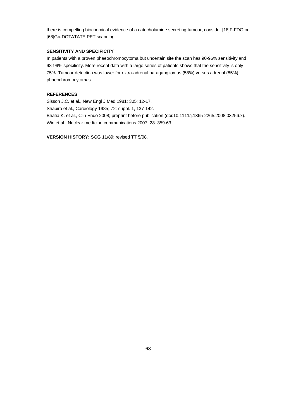there is compelling biochemical evidence of a catecholamine secreting tumour, consider [18]F-FDG or [68]Ga-DOTATATE PET scanning.

# **SENSITIVITY AND SPECIFICITY**

In patients with a proven phaeochromocytoma but uncertain site the scan has 90-96% sensitivity and 98-99% specificity. More recent data with a large series of patients shows that the sensitivity is only 75%. Tumour detection was lower for extra-adrenal paragangliomas (58%) versus adrenal (85%) phaeochromocytomas.

### **REFERENCES**

Sisson J.C. et al., New Engl J Med 1981; 305: 12-17. Shapiro et al., Cardiology 1985; 72: suppl. 1, 137-142. Bhatia K. et al., Clin Endo 2008; preprint before publication (doi:10.1111/j.1365-2265.2008.03256.x). Win et al., Nuclear medicine communications 2007; 28: 359-63.

**VERSION HISTORY:** SGG 11/89; revised TT 5/08.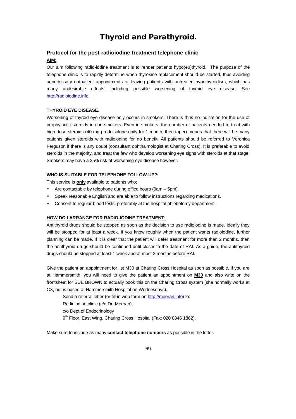# **Thyroid and Parathyroid.**

### **Protocol for the post-radioiodine treatment telephone clinic**

# **AIM:**

Our aim following radio-iodine treatment is to render patients hypo(eu)thyroid. The purpose of the telephone clinic is to rapidly determine when thyroxine replacement should be started, thus avoiding unnecessary outpatient appointments or leaving patients with untreated hypothyroidism, which has many undesirable effects, including possible worsening of thyroid eye disease. See http://radioiodine.info.

#### **THYROID EYE DISEASE**.

Worsening of thyroid eye disease only occurs in smokers. There is thus no indication for the use of prophylactic steroids in non-smokers. Even in smokers, the number of patients needed to treat with high dose steroids (40 mg prednisolone daily for 1 month, then taper) means that there will be many patients given steroids with radioiodine for no benefit. All patients should be referred to Veronica Ferguson if there is any doubt (consultant ophthalmologist at Charing Cross). It is preferable to avoid steroids in the majority, and treat the few who develop worsening eye signs with steroids at that stage. Smokers may have a 25% risk of worsening eye disease however.

#### **WHO IS SUITABLE FOR TELEPHONE FOLLOW-UP?:**

This service is **only** available to patients who;

- Are contactable by telephone during office hours (9am 5pm).
- Speak reasonable English and are able to follow instructions regarding medications.
- Consent to regular blood tests, preferably at the hospital phlebotomy department.

#### **HOW DO I ARRANGE FOR RADIO-IODINE TREATMENT:**

Antithyroid drugs should be stopped as soon as the decision to use radioiodine is made. Ideally they will be stopped for at least a week. If you know roughly when the patient wants radioiodine, further planning can be made. If it is clear that the patient will defer treatment for more than 2 months, then the antithyroid drugs should be continued until closer to the date of RAI. As a guide, the antithyroid drugs should be stopped at least 1 week and at most 2 months before RAI.

Give the patient an appointment for list M30 at Charing Cross Hospital as soon as possible. If you are at Hammersmith, you will need to give the patient an appointment on **M30** and also write on the frontsheet for SUE BROWN to actually book this on the Charing Cross system (she normally works at CX, but is based at Hammersmith Hospital on Wednesdays).

Send a referral letter (or fill in web form on http://meeran.info) to:

Radioiodine clinic (c/o Dr. Meeran),

c/o Dept of Endocrinology

9<sup>th</sup> Floor, East Wing, Charing Cross Hospital (Fax: 020 8846 1862).

Make sure to include as many **contact telephone numbers** as possible in the letter.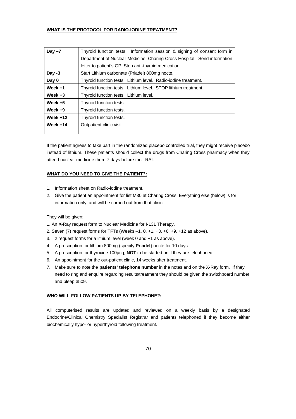### **WHAT IS THE PROTOCOL FOR RADIO-IODINE TREATMENT?**:

| Day $-7$   | Thyroid function tests. Information session & signing of consent form in |
|------------|--------------------------------------------------------------------------|
|            | Department of Nuclear Medicine, Charing Cross Hospital. Send information |
|            | letter to patient's GP. Stop anti-thyroid medication.                    |
| Day $-3$   | Start Lithium carbonate (Priadel) 800mg nocte.                           |
| Day 0      | Thyroid function tests. Lithium level. Radio-iodine treatment.           |
| Week $+1$  | Thyroid function tests. Lithium level. STOP lithium treatment.           |
| Week $+3$  | Thyroid function tests. Lithium level.                                   |
| Week $+6$  | Thyroid function tests.                                                  |
| Week $+9$  | Thyroid function tests.                                                  |
| Week $+12$ | Thyroid function tests.                                                  |
| Week $+14$ | Outpatient clinic visit.                                                 |
|            |                                                                          |

If the patient agrees to take part in the randomized placebo controlled trial, they might receive placebo instead of lithium. These patients should collect the drugs from Charing Cross pharmacy when they attend nuclear medicine there 7 days before their RAI.

### **WHAT DO YOU NEED TO GIVE THE PATIENT?:**

- 1. Information sheet on Radio-iodine treatment.
- 2. Give the patient an appointment for list M30 at Charing Cross. Everything else (below) is for information only, and will be carried out from that clinic.

### They will be given:

- 1. An X-Ray request form to Nuclear Medicine for I-131 Therapy.
- 2. Seven (7) request forms for TFTs (Weeks –1, 0, +1, +3, +6, +9, +12 as above).
- 3. 2 request forms for a lithium level (week 0 and +1 as above).
- 4. A prescription for lithium 800mg (specify **Priadel**) nocte for 10 days.
- 5. A prescription for thyroxine 100µcg, **NOT** to be started until they are telephoned.
- 6. An appointment for the out-patient clinic, 14 weeks after treatment.
- 7. Make sure to note the **patients' telephone number** in the notes and on the X-Ray form. If they need to ring and enquire regarding results/treatment they should be given the switchboard number and bleep 3509.

#### **WHO WILL FOLLOW PATIENTS UP BY TELEPHONE?:**

All computerised results are updated and reviewed on a weekly basis by a designated Endocrine/Clinical Chemistry Specialist Registrar and patients telephoned if they become either biochemically hypo- or hyperthyroid following treatment.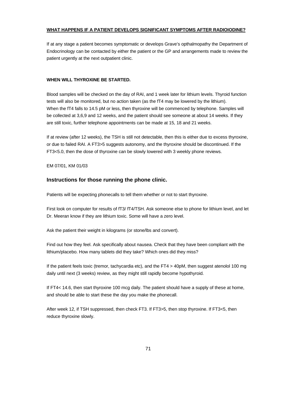# **WHAT HAPPENS IF A PATIENT DEVELOPS SIGNIFICANT SYMPTOMS AFTER RADIOIODINE?**

If at any stage a patient becomes symptomatic or develops Grave's opthalmopathy the Department of Endocrinology can be contacted by either the patient or the GP and arrangements made to review the patient urgently at the next outpatient clinic.

### **WHEN WILL THYROXINE BE STARTED.**

Blood samples will be checked on the day of RAI, and 1 week later for lithium levels. Thyroid function tests will also be monitored, but no action taken (as the fT4 may be lowered by the lithium). When the fT4 falls to 14.5 pM or less, then thyroxine will be commenced by telephone. Samples will be collected at 3,6,9 and 12 weeks, and the patient should see someone at about 14 weeks. If they are still toxic, further telephone appointments can be made at 15, 18 and 21 weeks.

If at review (after 12 weeks), the TSH is still not detectable, then this is either due to excess thyroxine, or due to failed RAI. A FT3>5 suggests autonomy, and the thyroxine should be discontinued. If the FT3<5.0, then the dose of thyroxine can be slowly lowered with 3 weekly phone reviews.

EM 07/01, KM 01/03

# **Instructions for those running the phone clinic.**

Patients will be expecting phonecalls to tell them whether or not to start thyroxine.

First look on computer for results of fT3/ fT4/TSH. Ask someone else to phone for lithium level, and let Dr. Meeran know if they are lithium toxic. Some will have a zero level.

Ask the patient their weight in kilograms (or stone/lbs and convert).

Find out how they feel. Ask specifically about nausea. Check that they have been compliant with the lithium/placebo. How many tablets did they take? Which ones did they miss?

If the patient feels toxic (tremor, tachycardia etc), and the FT4 > 40pM, then suggest atenolol 100 mg daily until next (3 weeks) review, as they might still rapidly become hypothyroid.

If FT4< 14.6, then start thyroxine 100 mcg daily. The patient should have a supply of these at home, and should be able to start these the day you make the phonecall.

After week 12, if TSH suppressed, then check FT3. If FT3>5, then stop thyroxine. If FT3<5, then reduce thyroxine slowly.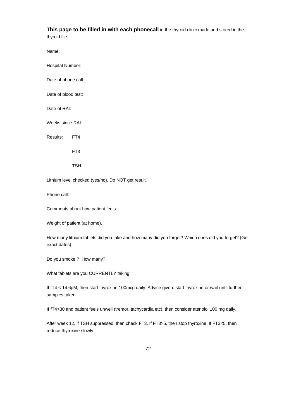This page to be filled in with each phonecall in the thyroid clinic made and stored in the thyroid file.

Name:

Hospital Number:

Date of phone call:

Date of blood test:

Date of RAI:

Weeks since RAI:

Results: FT4

FT3

TSH

Lithium level checked (yes/no). Do NOT get result.

Phone call:

Comments about how patient feels:

Weight of patient (at home).

How many lithium tablets did you take and how many did you forget? Which ones did you forget? (Get exact dates).

Do you smoke ? How many?

What tablets are you CURRENTLY taking:

If fT4 < 14.6pM, then start thyroxine 100mcg daily. Advice given: start thyroxine or wait until further samples taken:

If fT4>30 and patient feels unwell (tremor, tachycardia etc), then consider atenolol 100 mg daily.

After week 12, if TSH suppressed, then check FT3. If FT3>5, then stop thyroxine. If FT3<5, then reduce thyroxine slowly.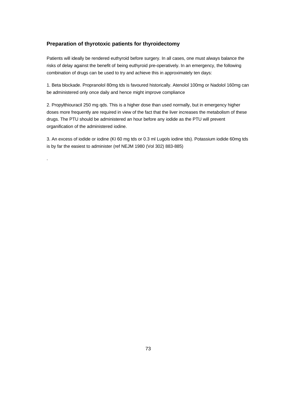# **Preparation of thyrotoxic patients for thyroidectomy**

.

Patients will ideally be rendered euthyroid before surgery. In all cases, one must always balance the risks of delay against the benefit of being euthyroid pre-operatively. In an emergency, the following combination of drugs can be used to try and achieve this in approximately ten days:

1. Beta blockade. Propranolol 80mg tds is favoured historically. Atenolol 100mg or Nadolol 160mg can be administered only once daily and hence might improve compliance

2. Propylthiouracil 250 mg qds. This is a higher dose than used normally, but in emergency higher doses more frequently are required in view of the fact that the liver increases the metabolism of these drugs. The PTU should be administered an hour before any iodide as the PTU will prevent organification of the administered iodine.

3. An excess of iodide or iodine (KI 60 mg tds or 0.3 ml Lugols iodine tds). Potassium iodide 60mg tds is by far the easiest to administer (ref NEJM 1980 (Vol 302) 883-885)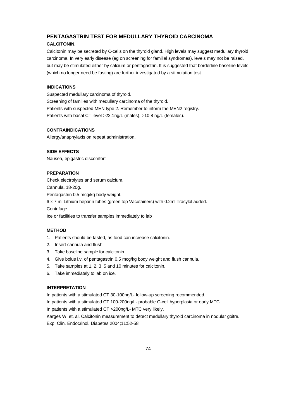# **PENTAGASTRIN TEST FOR MEDULLARY THYROID CARCINOMA CALCITONIN**.

Calcitonin may be secreted by C-cells on the thyroid gland. High levels may suggest medullary thyroid carcinoma. In very early disease (eg on screening for familial syndromes), levels may not be raised, but may be stimulated either by calcium or pentagastrin. It is suggested that borderline baseline levels (which no longer need be fasting) are further investigated by a stimulation test.

# **INDICATIONS**

Suspected medullary carcinoma of thyroid. Screening of families with medullary carcinoma of the thyroid. Patients with suspected MEN type 2. Remember to inform the MEN2 registry. Patients with basal CT level >22.1ng/L (males), >10.8 ng/L (females).

## **CONTRAINDICATIONS**

Allergy/anaphylaxis on repeat administration.

# **SIDE EFFECTS**

Nausea, epigastric discomfort

#### **PREPARATION**

Check electrolytes and serum calcium. Cannula, 18-20g. Pentagastrin 0.5 mcg/kg body weight. 6 x 7 ml Lithium heparin tubes (green top Vacutainers) with 0.2ml Trasylol added. Centrifuge. Ice or facilities to transfer samples immediately to lab

#### **METHOD**

- 1. Patients should be fasted, as food can increase calcitonin.
- 2. Insert cannula and flush.
- 3. Take baseline sample for calcitonin.
- 4. Give bolus i.v. of pentagastrin 0.5 mcg/kg body weight and flush cannula.
- 5. Take samples at 1, 2, 3, 5 and 10 minutes for calcitonin.
- 6. Take immediately to lab on ice.

## **INTERPRETATION**

In patients with a stimulated CT 30-100ng/L- follow-up screening recommended.

In patients with a stimulated CT 100-200ng/L- probable C-cell hyperplasia or early MTC.

In patients with a stimulated CT >200ng/L- MTC very likely.

Karges W. et. al. Calcitonin measurement to detect medullary thyroid carcinoma in nodular goitre. Exp. Clin. Endocrinol. Diabetes 2004;11:52-58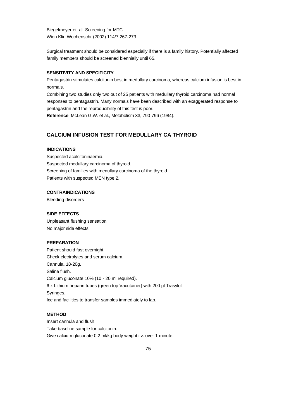Biegelmeyer et. al. Screening for MTC Wien Klin Wochenschr (2002) 114/7:267-273

Surgical treatment should be considered especially if there is a family history. Potentially affected family members should be screened biennially until 65.

#### **SENSITIVITY AND SPECIFICITY**

Pentagastrin stimulates calcitonin best in medullary carcinoma, whereas calcium infusion is best in normals.

Combining two studies only two out of 25 patients with medullary thyroid carcinoma had normal responses to pentagastrin. Many normals have been described with an exaggerated response to pentagastrin and the reproducibility of this test is poor.

**Reference**: McLean G.W. et al., Metabolism 33, 790-796 (1984).

# **CALCIUM INFUSION TEST FOR MEDULLARY CA THYROID**

#### **INDICATIONS**

Suspected acalcitoninaemia. Suspected medullary carcinoma of thyroid. Screening of families with medullary carcinoma of the thyroid. Patients with suspected MEN type 2.

#### **CONTRAINDICATIONS**

Bleeding disorders

#### **SIDE EFFECTS**

Unpleasant flushing sensation No major side effects

### **PREPARATION**

Patient should fast overnight. Check electrolytes and serum calcium. Cannula, 18-20g. Saline flush. Calcium gluconate 10% (10 - 20 ml required). 6 x Lithium heparin tubes (green top Vacutainer) with 200 µl Trasylol. Syringes. Ice and facilities to transfer samples immediately to lab.

# **METHOD**

Insert cannula and flush. Take baseline sample for calcitonin. Give calcium gluconate 0.2 ml/kg body weight i.v. over 1 minute.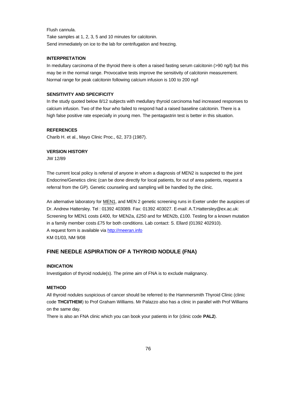Flush cannula. Take samples at 1, 2, 3, 5 and 10 minutes for calcitonin. Send immediately on ice to the lab for centrifugation and freezing.

#### **INTERPRETATION**

In medullary carcinoma of the thyroid there is often a raised fasting serum calcitonin (>90 ng/l) but this may be in the normal range. Provocative tests improve the sensitivity of calcitonin measurement. Normal range for peak calcitonin following calcium infusion is 100 to 200 ng/l

## **SENSITIVITY AND SPECIFICITY**

In the study quoted below 8/12 subjects with medullary thyroid carcinoma had increased responses to calcium infusion. Two of the four who failed to respond had a raised baseline calcitonin. There is a high false positive rate especially in young men. The pentagastrin test is better in this situation.

#### **REFERENCES**

Charib H. et al., Mayo Clinic Proc., 62, 373 (1987).

## **VERSION HISTORY**

JW 12/89

The current local policy is referral of anyone in whom a diagnosis of MEN2 is suspected to the joint Endocrine/Genetics clinic (can be done directly for local patients, for out of area patients, request a referral from the GP). Genetic counseling and sampling will be handled by the clinic.

An alternative laboratory for **MEN1**, and MEN 2 genetic screening runs in Exeter under the auspices of Dr. Andrew Hattersley. Tel : 01392 403089. Fax: 01392 403027. E-mail: A.T.Hattersley@ex.ac.uk: Screening for MEN1 costs £400, for MEN2a, £250 and for MEN2b, £100. Testing for a known mutation in a family member costs £75 for both conditions. Lab contact: S. Ellard (01392 402910). A request form is available via http://meeran.info KM 01/03, NM 9/08

# **FINE NEEDLE ASPIRATION OF A THYROID NODULE (FNA)**

#### **INDICATION**

Investigation of thyroid nodule(s). The prime aim of FNA is to exclude malignancy.

#### **METHOD**

All thyroid nodules suspicious of cancer should be referred to the Hammersmith Thyroid Clinic (clinic code **THCI/THEM**) to Prof Graham Williams. Mr Palazzo also has a clinic in parallel with Prof Williams on the same day.

There is also an FNA clinic which you can book your patients in for (clinic code **PAL2**).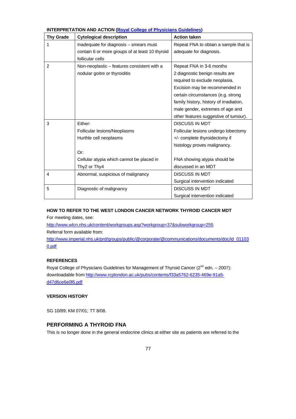| <b>Thy Grade</b> | <b>ILINE INTION AND AUTION <u>(Ruyal College of Fiff Sidians Calactifies</u></b><br><b>Cytological description</b> | <b>Action taken</b>                     |
|------------------|--------------------------------------------------------------------------------------------------------------------|-----------------------------------------|
| 1                | Inadequate for diagnosis - smears must                                                                             | Repeat FNA to obtain a sample that is   |
|                  | contain 6 or more groups of at least 10 thyroid<br>follicular cells                                                | adequate for diagnosis.                 |
| 2                | Non-neoplastic - features consistent with a                                                                        | Repeat FNA in 3-6 months                |
|                  | nodular goitre or thyroiditis                                                                                      | 2 diagnostic benign results are         |
|                  |                                                                                                                    | required to exclude neoplasia.          |
|                  |                                                                                                                    | Excision may be recommended in          |
|                  |                                                                                                                    | certain circumstances (e.g. strong      |
|                  |                                                                                                                    | family history, history of irradiation, |
|                  |                                                                                                                    | male gender, extremes of age and        |
|                  |                                                                                                                    | other features suggestive of tumour).   |
| 3                | Either:                                                                                                            | <b>DISCUSS IN MDT</b>                   |
|                  | Follicular lesions/Neoplasms                                                                                       | Follicular lesions undergo lobectomy    |
|                  | Hurthle cell neoplasms                                                                                             | +/- complete thyroidectomy if           |
|                  |                                                                                                                    | histology proves malignancy.            |
|                  | Or:                                                                                                                |                                         |
|                  | Cellular atypia which cannot be placed in                                                                          | FNA showing atypia should be            |
|                  | Thy2 or Thy4                                                                                                       | discussed in an MDT                     |
| 4                | Abnormal, suspicious of malignancy                                                                                 | <b>DISCUSS IN MDT</b>                   |
|                  |                                                                                                                    | Surgical intervention indicated         |
| 5                | Diagnostic of malignancy                                                                                           | <b>DISCUSS IN MDT</b>                   |
|                  |                                                                                                                    | Surgical intervention indicated         |

# **INTERPRETATION AND ACTION (Royal College of Physicians Guidelines)**

# **HOW TO REFER TO THE WEST LONDON CANCER NETWORK THYROID CANCER MDT**

For meeting dates, see:

http://www.wlcn.nhs.uk/content/workgroups.asp?workgroup=37&subworkgroup=255 Referral form available from:

http://www.imperial.nhs.uk/prd/groups/public/@corporate/@communications/documents/doc/id\_01103 0.pdf

# **REFERENCES**

Royal College of Physicians Guidelines for Management of Thyroid Cancer ( $2^{nd}$  edn. – 2007): downloadable from http://www.rcplondon.ac.uk/pubs/contents/f33a5762-6235-469e-91a5 d47d6ce6e0f6.pdf

# **VERSION HISTORY**

SG 10/89; KM 07/01; TT 8/08.

# **PERFORMING A THYROID FNA**

This is no longer done in the general endocrine clinics at either site as patients are referred to the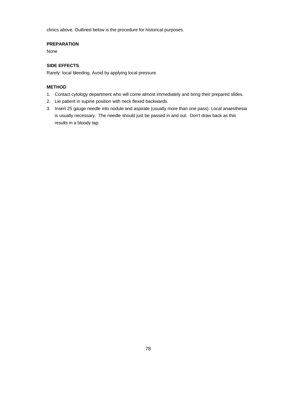clinics above. Outlined below is the procedure for historical purposes.

## **PREPARATION**

None

# **SIDE EFFECTS**

Rarely: local bleeding. Avoid by applying local pressure

# **METHOD**

- 1. Contact cytology department who will come almost immediately and bring their prepared slides.
- 2. Lie patient in supine position with neck flexed backwards.
- 3. Insert 25 gauge needle into nodule and aspirate (usually more than one pass). Local anaesthesia is usually necessary. The needle should just be passed in and out. Don't draw back as this results in a bloody tap.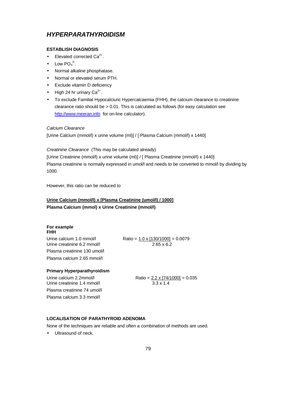# *HYPERPARATHYROIDISM*

### **ESTABLISH DIAGNOSIS**

- Elevated corrected  $Ca^{2+}$ .
- Low  $PO_4^3$ .
- Normal alkaline phosphatase.
- Normal or elevated serum PTH.
- Exclude vitamin D deficiency
- High 24 hr urinary  $Ca^{2+}$ .
- To exclude Familial Hypocalciuric Hypercalcaemia (FHH), the calcium clearance to creatinine clearance ratio should be > 0.01. This is calculated as follows (for easy calculation see http://www.meeran.info for on-line calculator).

#### *Calcium Clearance*

[Urine Calcium (mmol/l) x urine volume (ml)] / [ Plasma Calcium (mmol/l) x 1440]

*Creatinine Clearance* (This may be calculated already)

[Urine Creatinine (mmol/l) x urine volume (ml)] / [ Plasma Creatinine (mmol/l) x 1440] Plasma creatinine is normally expressed in umol/l and needs to be converted to mmol/l by dividing by 1000.

However, this ratio can be reduced to

# **Urine Calcium (mmol/l) x [Plasma Creatinine (umol/l) / 1000] Plasma Calcium (mmol) x Urine Creatinine (mmol/l)**

#### **For example FHH**

Urine creatinine 6.2 mmol/l 2.65 x 6.2 Plasma creatinine 130 umol/l Plasma calcium 2.65 mmol/l

Urine calcium 1.0 mmol/l Ratio = 1.0 x [130/1000] = 0.0079

### **Primary Hyperparathyroidism**

Urine creatinine 1.4 mmol/l 3.3 x 1.4 Plasma creatinine 74 umol/l Plasma calcium 3.3 mmol/l

Urine calcium  $2.2$ mmol/l Ratio =  $2.2 \times [74/1000] = 0.035$ 

# **LOCALISATION OF PARATHYROID ADENOMA**

None of the techniques are reliable and often a combination of methods are used.

• Ultrasound of neck.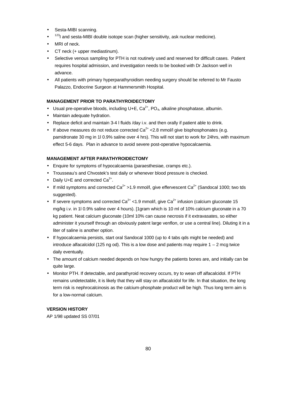- Sesta-MIBI scanning.
- $123$ I and sesta-MIBI double isotope scan (higher sensitivity, ask nuclear medicine).
- MRI of neck.
- CT neck (+ upper mediastinum).
- Selective venous sampling for PTH is not routinely used and reserved for difficult cases. Patient requires hospital admission, and investigation needs to be booked with Dr Jackson well in advance.
- All patients with primary hyperparathyroidism needing surgery should be referred to Mr Fausto Palazzo, Endocrine Surgeon at Hammersmith Hospital.

# **MANAGEMENT PRIOR TO PARATHYROIDECTOMY**

- Usual pre-operative bloods, including U+E,  $Ca^{2+}$ , PO<sub>4</sub>, alkaline phosphatase, albumin.
- Maintain adequate hydration.
- Replace deficit and maintain 3-4 l fluids /day i.v. and then orally if patient able to drink.
- If above measures do not reduce corrected  $Ca<sup>2+</sup> < 2.8$  mmol/l give bisphosphonates (e.g. pamidronate 30 mg in 1l 0.9% saline over 4 hrs). This will not start to work for 24hrs, with maximum effect 5-6 days. Plan in advance to avoid severe post-operative hypocalcaemia.

## **MANAGEMENT AFTER PARATHYROIDECTOMY**

- Enquire for symptoms of hypocalcaemia (paraesthesiae, cramps etc.).
- Trousseau's and Chvostek's test daily or whenever blood pressure is checked.
- Daily U+E and corrected  $Ca^{2+}$ .
- If mild symptoms and corrected  $Ca^{2+} > 1.9$  mmol/l, give effervescent  $Ca^{2+}$  (Sandocal 1000; two tds suggested).
- If severe symptoms and corrected  $Ca^{2+}$  < 1.9 mmol/l, give  $Ca^{2+}$  infusion (calcium gluconate 15 mg/kg i.v. in 1l 0.9% saline over 4 hours). [1gram which is 10 ml of 10% calcium gluconate in a 70 kg patient. Neat calcium gluconate (10ml 10% can cause necrosis if it extravasates, so either administer it yourself through an obviously patent large venflon, or use a central line). Diluting it in a liter of saline is another option.
- If hypocalcaemia persists, start oral Sandocal 1000 (up to 4 tabs gds might be needed) and introduce alfacalcidol (125 ng od). This is a low dose and patients may require  $1 - 2$  mcg twice daily eventually.
- The amount of calcium needed depends on how hungry the patients bones are, and initially can be quite large.
- Monitor PTH. If detectable, and parathyroid recovery occurs, try to wean off alfacalcidol. If PTH remains undetectable, it is likely that they will stay on alfacalcidol for life. In that situation, the long term risk is nephrocalcinosis as the calcium-phosphate product will be high. Thus long term aim is for a low-normal calcium.

# **VERSION HISTORY**

AP 1/98 updated SS 07/01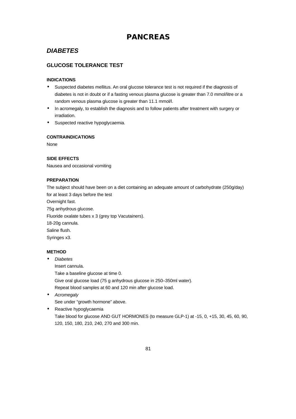# **PANCREAS**

# *DIABETES*

# **GLUCOSE TOLERANCE TEST**

## **INDICATIONS**

- Suspected diabetes mellitus. An oral glucose tolerance test is not required if the diagnosis of diabetes is not in doubt or if a fasting venous plasma glucose is greater than 7.0 mmol/litre or a random venous plasma glucose is greater than 11.1 mmol/l.
- In acromegaly, to establish the diagnosis and to follow patients after treatment with surgery or irradiation.
- Suspected reactive hypoglycaemia.

#### **CONTRAINDICATIONS**

None

## **SIDE EFFECTS**

Nausea and occasional vomiting

#### **PREPARATION**

The subject should have been on a diet containing an adequate amount of carbohydrate (250g/day) for at least 3 days before the test Overnight fast. 75g anhydrous glucose. Fluoride oxalate tubes x 3 (grey top Vacutainers). 18-20g cannula. Saline flush. Syringes x3. **METHOD**

• *Diabetes*

Insert cannula.

Take a baseline glucose at time 0.

Give oral glucose load (75 g anhydrous glucose in 250–350ml water).

Repeat blood samples at 60 and 120 min after glucose load.

- *Acromegaly* See under "growth hormone" above.
- Reactive hypoglycaemia Take blood for glucose AND GUT HORMONES (to measure GLP-1) at -15, 0, +15, 30, 45, 60, 90,

120, 150, 180, 210, 240, 270 and 300 min.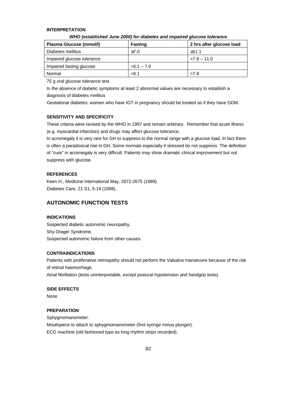#### **INTERPRETATION**

| Plasma Glucose (mmol/l)    | <b>Fasting</b> | 2 hrs after glucose load |
|----------------------------|----------------|--------------------------|
| Diabetes mellitus          | $\geq 7.0$     | >11.1                    |
| Impaired glucose tolerance |                | $>7.8 - 11.0$            |
| Impaired fasting glucose   | $>6.1 - 7.0$   |                          |
| Normal                     | $= 6.1$        | $=7.8$                   |

#### *WHO (established June 2000) for diabetes and impaired glucose tolerance*

75 g oral glucose tolerance test.

In the absence of diabetic symptoms at least 2 abnormal values are necessary to establish a diagnosis of diabetes mellitus

Gestational diabetes: women who have IGT in pregnancy should be treated as if they have GDM.

## **SENSITIVITY AND SPECIFICITY**

These criteria were revised by the WHO in 1997 and remain arbitrary. Remember that acute illness (e.g. myocardial infarction) and drugs may affect glucose tolerance.

In acromegaly it is very rare for GH to suppress to the normal range with a glucose load. In fact there is often a paradoxical rise in GH. Some normals especially if stressed do not suppress. The definition of "cure" in acromegaly is very difficult. Patients may show dramatic clinical improvement but not suppress with glucose.

#### **REFERENCES**

Keen H., Medicine International May, 2672-2675 (1989). Diabetes Care, 21 S1, 5-19 (1998).

## **AUTONOMIC FUNCTION TESTS**

#### **INDICATIONS**

Suspected diabetic autonomic neuropathy. Shy-Drager Syndrome. Suspected autonomic failure from other causes.

## **CONTRAINDICATIONS**

Patients with proliferative retinopathy should not perform the Valsalva manoeuvre because of the risk of retinal haemorrhage.

Atrial fibrillation (tests uninterpretable, except postural hypotension and handgrip tests).

**SIDE EFFECTS**

None

### **PREPARATION**

Sphygmomanometer. Mouthpiece to attach to sphygmomanometer (5ml syringe minus plunger). ECG machine (old fashioned type as long rhythm strips recorded).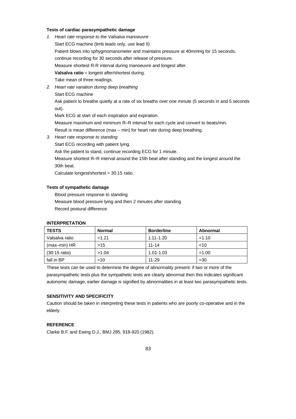#### **Tests of cardiac parasympathetic damage**

- *1. Heart rate response to the Valsalva manoeuvre* Start ECG machine (limb leads only, use lead II) Patient blows into sphygmomanometer and maintains pressure at 40mmHg for 15 seconds, continue recording for 30 seconds after release of pressure. Measure shortest R-R interval during manoeuvre and longest after. **Valsalva ratio** = longest after/shortest during. Take mean of three readings.
- *2. Heart rate variation during deep breathing*

Start ECG machine

Ask patient to breathe quietly at a rate of six breaths over one minute (5 seconds in and 5 seconds out).

Mark ECG at start of each inspiration and expiration.

Measure maximum and minimum R–R interval for each cycle and convert to beats/min.

Result is mean difference (max – min) for heart rate during deep breathing.

*3. Heart rate response to standing*

Start ECG recording with patient lying.

Ask the patient to stand, continue recording ECG for 1 minute.

Measure shortest R–R interval around the 15th beat after standing and the longest around the 30th beat.

Calculate longest/shortest = 30:15 ratio.

## **Tests of sympathetic damage**

Blood pressure response to standing Measure blood pressure lying and then 2 minutes after standing Record postural difference

#### **INTERPRETATION**

| <b>TESTS</b>            | <b>Normal</b> | <b>Borderline</b> | Abnormal |
|-------------------------|---------------|-------------------|----------|
| Valsalva ratio          | $=1.21$       | 1.11-1.20         | $=1.10$  |
| $(max-min) HR$          | >15           | $11 - 14$         | 10       |
| $(30:15 \text{ ratio})$ | >1.04         | 1.01-1.03         | $=1.00$  |
| fall in BP              | $=10$         | $11 - 29$         | $=30$    |

These tests can be used to determine the degree of abnormality present: if two or more of the parasympathetic tests plus the sympathetic tests are clearly abnormal then this indicates significant autonomic damage, earlier damage is signified by abnormalities in at least two parasympathetic tests.

# **SENSITIVITY AND SPECIFICITY**

Caution should be taken in interpreting these tests in patients who are poorly co-operative and in the elderly.

# **REFERENCE**

Clarke B.F. and Ewing D.J., BMJ 285, 918-920 (1982).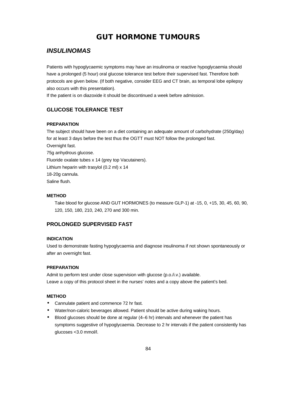# **GUT HORMONE TUMOURS**

# *INSULINOMAS*

Patients with hypoglycaemic symptoms may have an insulinoma or reactive hypoglycaemia should have a prolonged (5 hour) oral glucose tolerance test before their supervised fast. Therefore both protocols are given below. (If both negative, consider EEG and CT brain, as temporal lobe epilepsy also occurs with this presentation).

If the patient is on diazoxide it should be discontinued a week before admission.

# **GLUCOSE TOLERANCE TEST**

#### **PREPARATION**

The subject should have been on a diet containing an adequate amount of carbohydrate (250g/day) for at least 3 days before the test thus the OGTT must NOT follow the prolonged fast. Overnight fast. 75g anhydrous glucose. Fluoride oxalate tubes x 14 (grey top Vacutainers). Lithium heparin with trasylol (0.2 ml) x 14 18-20g cannula. Saline flush.

## **METHOD**

Take blood for glucose AND GUT HORMONES (to measure GLP-1) at -15, 0, +15, 30, 45, 60, 90, 120, 150, 180, 210, 240, 270 and 300 min.

# **PROLONGED SUPERVISED FAST**

### **INDICATION**

Used to demonstrate fasting hypoglycaemia and diagnose insulinoma if not shown spontaneously or after an overnight fast.

#### **PREPARATION**

Admit to perform test under close supervision with glucose (p.o./i.v.) available. Leave a copy of this protocol sheet in the nurses' notes and a copy above the patient's bed.

# **METHOD**

- Cannulate patient and commence 72 hr fast.
- Water/non-caloric beverages allowed. Patient should be active during waking hours.
- Blood glucoses should be done at regular (4–6 hr) intervals and whenever the patient has symptoms suggestive of hypoglycaemia. Decrease to 2 hr intervals if the patient consistently has glucoses <3.0 mmol/l.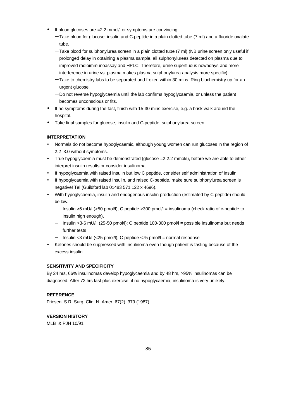- If blood glucoses are = 2.2 mmol/l or symptoms are convincing:
	- − Take blood for glucose, insulin and C-peptide in a plain clotted tube (7 ml) and a fluoride oxalate tube.
	- − Take blood for sulphonylurea screen in a plain clotted tube (7 ml) (NB urine screen only useful if prolonged delay in obtaining a plasma sample, all sulphonylureas detected on plasma due to improved radioimmunoassay and HPLC. Therefore, urine superfluous nowadays and more interference in urine vs. plasma makes plasma sulphonylurea analysis more specific)
	- − Take to chemistry labs to be separated and frozen within 30 mins. Ring biochemistry up for an urgent glucose.
	- − Do not reverse hypoglycaemia until the lab confirms hypoglycaemia, or unless the patient becomes unconscious or fits.
- If no symptoms during the fast, finish with 15-30 mins exercise, e.g. a brisk walk around the hospital.
- Take final samples for glucose, insulin and C-peptide, sulphonylurea screen.

## **INTERPRETATION**

- Normals do not become hypoglycaemic, although young women can run glucoses in the region of 2.2–3.0 without symptoms.
- True hypoglycaemia must be demonstrated (glucose =2-2.2 mmol/l), before we are able to either interpret insulin results or consider insulinoma.
- If hypoglycaemia with raised insulin but low C peptide, consider self administration of insulin.
- If hypoglycaemia with raised insulin, and raised C-peptide, make sure sulphonylurea screen is negative! Tel (Guildford lab 01483 571 122 x 4696).
- With hypoglycaemia, insulin and endogenous insulin production (estimated by C-peptide) should be low.
	- − Insulin >6 mU/l (>50 pmol/l); C peptide >300 pmol/l = insulinoma (check ratio of c-peptide to insulin high enough).
	- − Insulin >3-6 mU/l (25-50 pmol/l); C peptide 100-300 pmol/l = possible insulinoma but needs further tests
	- − Insulin <3 mU/l (<25 pmol/l); C peptide <75 pmol/l = normal response
- Ketones should be suppressed with insulinoma even though patient is fasting because of the excess insulin.

## **SENSITIVITY AND SPECIFICITY**

By 24 hrs, 66% insulinomas develop hypoglycaemia and by 48 hrs, >95% insulinomas can be diagnosed. After 72 hrs fast plus exercise, if no hypoglycaemia, insulinoma is very unlikely.

## **REFERENCE**

Friesen, S.R. Surg. Clin. N. Amer. 67(2). 379 (1987).

## **VERSION HISTORY**

MLB & PJH 10/91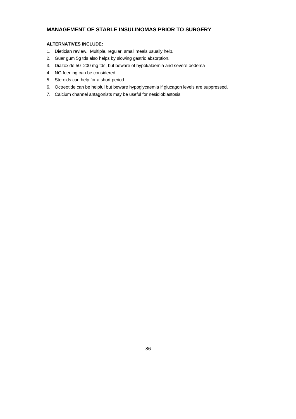# **MANAGEMENT OF STABLE INSULINOMAS PRIOR TO SURGERY**

# **ALTERNATIVES INCLUDE:**

- 1. Dietician review. Multiple, regular, small meals usually help.
- 2. Guar gum 5g tds also helps by slowing gastric absorption.
- 3. Diazoxide 50–200 mg tds, but beware of hypokalaemia and severe oedema
- 4. NG feeding can be considered.
- 5. Steroids can help for a short period.
- 6. Octreotide can be helpful but beware hypoglycaemia if glucagon levels are suppressed.
- 7. Calcium channel antagonists may be useful for nesidioblastosis.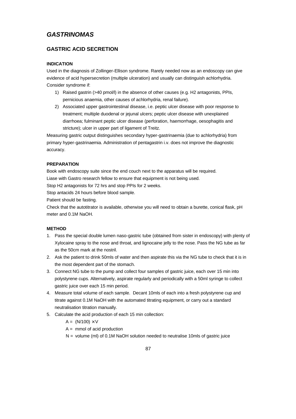# *GASTRINOMAS*

# **GASTRIC ACID SECRETION**

### **INDICATION**

Used in the diagnosis of Zollinger-Ellison syndrome. Rarely needed now as an endoscopy can give evidence of acid hypersecretion (multiple ulceration) and usually can distinguish achlorhydria. Consider syndrome if:

- 1) Raised gastrin (>40 pmol/l) in the absence of other causes (e.g. H2 antagonists, PPIs, pernicious anaemia, other causes of achlorhydria, renal failure).
- 2) Associated upper gastrointestinal disease, i.e. peptic ulcer disease with poor response to treatment; multiple duodenal or jejunal ulcers; peptic ulcer disease with unexplained diarrhoea; fulminant peptic ulcer disease (perforation, haemorrhage, oesophagitis and stricture); ulcer in upper part of ligament of Treitz.

Measuring gastric output distinguishes secondary hyper-gastrinaemia (due to achlorhydria) from primary hyper-gastrinaemia. Administration of pentagastrin i.v. does not improve the diagnostic accuracy.

### **PREPARATION**

Book with endoscopy suite since the end couch next to the apparatus will be required.

Liase with Gastro research fellow to ensure that equipment is not being used.

Stop H2 antagonists for 72 hrs and stop PPIs for 2 weeks.

Stop antacids 24 hours before blood sample.

Patient should be fasting.

Check that the autotitrator is available, otherwise you will need to obtain a burette, conical flask, pH meter and 0.1M NaOH.

#### **METHOD**

- 1. Pass the special double lumen naso-gastric tube (obtained from sister in endoscopy) with plenty of Xylocaine spray to the nose and throat, and lignocaine jelly to the nose. Pass the NG tube as far as the 50cm mark at the nostril.
- 2. Ask the patient to drink 50mls of water and then aspirate this via the NG tube to check that it is in the most dependent part of the stomach.
- 3. Connect NG tube to the pump and collect four samples of gastric juice, each over 15 min into polystyrene cups. Alternatively, aspirate regularly and periodically with a 50ml syringe to collect gastric juice over each 15 min period.
- 4. Measure total volume of each sample. Decant 10mls of each into a fresh polystyrene cup and titrate against 0.1M NaOH with the automated titrating equipment, or carry out a standard neutralisation titration manually.
- 5. Calculate the acid production of each 15 min collection:
	- $A = (N/100) \times V$
	- $A =$  mmol of acid production
	- $N =$  volume (ml) of 0.1M NaOH solution needed to neutralise 10mls of gastric juice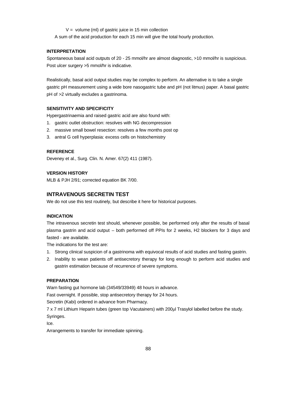$V =$  volume (ml) of gastric juice in 15 min collection

A sum of the acid production for each 15 min will give the total hourly production.

#### **INTERPRETATION**

Spontaneous basal acid outputs of 20 - 25 mmol/hr are almost diagnostic, >10 mmol/hr is suspicious. Post ulcer surgery >5 mmol/hr is indicative.

Realistically, basal acid output studies may be complex to perform. An alternative is to take a single gastric pH measurement using a wide bore nasogastric tube and pH (not litmus) paper. A basal gastric pH of >2 virtually excludes a gastrinoma.

#### **SENSITIVITY AND SPECIFICITY**

Hypergastrinaemia and raised gastric acid are also found with:

- 1. gastric outlet obstruction: resolves with NG decompression
- 2. massive small bowel resection: resolves a few months post op
- 3. antral G cell hyperplasia: excess cells on histochemistry

# **REFERENCE**

Deveney et al., Surg. Clin. N. Amer. 67(2) 411 (1987).

### **VERSION HISTORY**

MLB & PJH 2/91; corrected equation BK 7/00.

# **INTRAVENOUS SECRETIN TEST**

We do not use this test routinely, but describe it here for historical purposes.

#### **INDICATION**

The intravenous secretin test should, whenever possible, be performed only after the results of basal plasma gastrin and acid output – both performed off PPIs for 2 weeks, H2 blockers for 3 days and fasted - are available.

The indications for the test are:

- 1. Strong clinical suspicion of a gastrinoma with equivocal results of acid studies and fasting gastrin.
- 2. Inability to wean patients off antisecretory therapy for long enough to perform acid studies and gastrin estimation because of recurrence of severe symptoms.

## **PREPARATION**

Warn fasting gut hormone lab (34549/33949) 48 hours in advance.

Fast overnight. If possible, stop antisecretory therapy for 24 hours.

Secretin (Kabi) ordered in advance from Pharmacy.

7 x 7 ml Lithium Heparin tubes (green top Vacutainers) with 200µl Trasylol labelled before the study. Syringes.

Ice.

Arrangements to transfer for immediate spinning.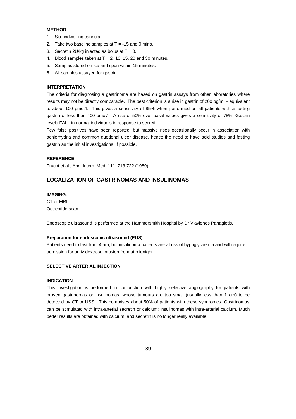#### **METHOD**

- 1. Site indwelling cannula.
- 2. Take two baseline samples at  $T = -15$  and 0 mins.
- 3. Secretin 2U/kg injected as bolus at  $T = 0$ .
- 4. Blood samples taken at  $T = 2$ , 10, 15, 20 and 30 minutes.
- 5. Samples stored on ice and spun within 15 minutes.
- 6. All samples assayed for gastrin.

#### **INTERPRETATION**

The criteria for diagnosing a gastrinoma are based on gastrin assays from other laboratories where results may not be directly comparable. The best criterion is a rise in gastrin of 200 pg/ml – equivalent to about 100 pmol/l. This gives a sensitivity of 85% when performed on all patients with a fasting gastrin of less than 400 pmol/l. A rise of 50% over basal values gives a sensitivity of 78%. Gastrin levels FALL in normal individuals in response to secretin.

Few false positives have been reported, but massive rises occasionally occur in association with achlorhydria and common duodenal ulcer disease, hence the need to have acid studies and fasting gastrin as the initial investigations, if possible.

#### **REFERENCE**

Frucht et al., Ann. Intern. Med. 111, 713-722 (1989).

#### **LOCALIZATION OF GASTRINOMAS AND INSULINOMAS**

### **IMAGING.**

CT or MRI. Octreotide scan

Endoscopic ultrasound is performed at the Hammersmith Hospital by Dr Vlavionos Panagiotis.

#### **Preparation for endoscopic ultrasound (EUS)**

Patients need to fast from 4 am, but insulinoma patients are at risk of hypoglycaemia and will require admission for an iv dextrose infusion from at midnight.

#### **SELECTIVE ARTERIAL INJECTION**

#### **INDICATION**

This investigation is performed in conjunction with highly selective angiography for patients with proven gastrinomas or insulinomas, whose tumours are too small (usually less than 1 cm) to be detected by CT or USS. This comprises about 50% of patients with these syndromes. Gastrinomas can be stimulated with intra-arterial secretin or calcium; insulinomas with intra-arterial calcium. Much better results are obtained with calcium, and secretin is no longer really available.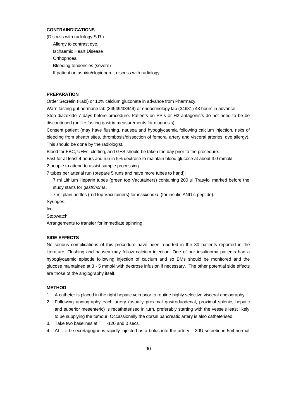#### **CONTRAINDICATIONS**

(Discuss with radiology S.R.) Allergy to contrast dye. Ischaemic Heart Disease **Orthopnoea** Bleeding tendencies (severe) If patient on aspirin/clopidogrel, discuss with radiology.

#### **PREPARATION**

Order Secretin (Kabi) or 10% calcium gluconate in advance from Pharmacy.

Warn fasting gut hormone lab (34549/33949) or endocrinology lab (34681) 48 hours in advance. Stop diazoxide 7 days before procedure. Patients on PPIs or H2 antagonists do not need to be be discontinued (unlike fasting gastrin measurements for diagnosis).

Consent patient (may have flushing, nausea and hypoglycaemia following calcium injection, risks of bleeding from sheath sites, thrombosis/dissection of femoral artery and visceral arteries, dye allergy). This should be done by the radiologist.

Blood for FBC, U+Es, clotting, and G+S should be taken the day prior to the procedure.

Fast for at least 4 hours and run in 5% dextrose to maintain blood glucose at about 3.0 mmol/l.

2 people to attend to assist sample processing.

7 tubes per arterial run (prepare 5 runs and have more tubes to hand):

7 ml Lithium Heparin tubes (green top Vacutainers) containing 200 µl Trasylol marked before the study starts for *gastrinoma*.

7 ml plain bottles (red top Vacutainers) for *insulinoma*. (for insulin AND c-peptide).

Syringes.

Ice.

Stopwatch.

Arrangements to transfer for immediate spinning.

#### **SIDE EFFECTS**

No serious complications of this procedure have been reported in the 30 patients reported in the literature. Flushing and nausea may follow calcium injection. One of our insulinoma patients had a hypoglycaemic episode following injection of calcium and so BMs should be monitored and the glucose maintained at 3 - 5 mmol/l with dextrose infusion if necessary. The other potential side effects are those of the angiography itself.

#### **METHOD**

- 1. A catheter is placed in the right hepatic vein prior to routine highly selective visceral angiography.
- 2. Following angiography each artery (usually proximal gastroduodenal, proximal splenic, hepatic and superior mesenteric) is recatheterised in turn, preferably starting with the vessels least likely to be supplying the tumour. Occassionally the dorsal pancreatic artery is also catheterised.
- 3. Take two baselines at  $T = -120$  and 0 secs.
- 4. At  $T = 0$  secretagogue is rapidly injected as a bolus into the artery  $-30U$  secretin in 5ml normal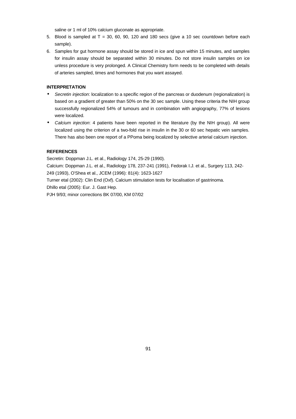saline or 1 ml of 10% calcium gluconate as appropriate.

- 5. Blood is sampled at  $T = 30, 60, 90, 120$  and 180 secs (give a 10 sec countdown before each sample).
- 6. Samples for gut hormone assay should be stored in ice and spun within 15 minutes, and samples for insulin assay should be separated within 30 minutes. Do not store insulin samples on ice unless procedure is very prolonged. A Clinical Chemistry form needs to be completed with details of arteries sampled, times and hormones that you want assayed.

# **INTERPRETATION**

- *Secretin injection*: localization to a specific region of the pancreas or duodenum (regionalization) is based on a gradient of greater than 50% on the 30 sec sample. Using these criteria the NIH group successfully regionalized 54% of tumours and in combination with angiography, 77% of lesions were localized.
- *Calcium injection*: 4 patients have been reported in the literature (by the NIH group). All were localized using the criterion of a two-fold rise in insulin in the 30 or 60 sec hepatic vein samples. There has also been one report of a PPoma being localized by selective arterial calcium injection.

# **REFERENCES**

Secretin: Doppman J.L. et al., Radiology 174, 25-29 (1990).

Calcium: Doppman J.L. et al., Radiology 178, 237-241 (1991), Fedorak I.J. et al., Surgery 113, 242- 249 (1993), O'Shea et al., JCEM (1996): 81(4): 1623-1627

Turner etal (2002): Clin End (Oxf). Calcium stimulation tests for localisation of gastrinoma. Dhillo etal (2005): Eur. J. Gast Hep.

PJH 9/93; minor corrections BK 07/00, KM 07/02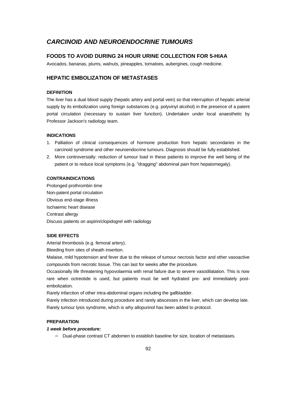# *CARCINOID AND NEUROENDOCRINE TUMOURS*

# **FOODS TO AVOID DURING 24 HOUR URINE COLLECTION FOR 5-HIAA**

Avocados, bananas, plums, walnuts, pineapples, tomatoes, aubergines, cough medicine.

# **HEPATIC EMBOLIZATION OF METASTASES**

#### **DEFINITION**

The liver has a dual blood supply (hepatic artery and portal vein) so that interruption of hepatic arterial supply by its embolization using foreign substances (e.g. polyvinyl alcohol) in the presence of a patent portal circulation (necessary to sustain liver function). Undertaken under local anaesthetic by Professor Jackson's radiology team.

#### **INDICATIONS**

- 1. Palliation of clinical consequences of hormone production from hepatic secondaries in the carcinoid syndrome and other neuroendocrine tumours. Diagnosis should be fully established.
- 2. More controversially: reduction of tumour load in these patients to improve the well being of the patient or to reduce local symptoms (e.g. "dragging" abdominal pain from hepatomegaly).

### **CONTRAINDICATIONS**

Prolonged prothrombin time Non-patent portal circulation Obvious end-stage illness Ischaemic heart disease Contrast allergy Discuss patients on aspirin/clopidogrel with radiology

#### **SIDE EFFECTS**

Arterial thrombosis (e.g. femoral artery).

Bleeding from sites of sheath insertion.

Malaise, mild hypotension and fever due to the release of tumour necrosis factor and other vasoactive compounds from necrotic tissue. This can last for weeks after the procedure.

Occasionally life threatening hypovolaemia with renal failure due to severe vasodilatation. This is now rare when octreotide is used, but patients must be well hydrated pre- and immediately postembolization.

Rarely infarction of other intra-abdominal organs including the gallbladder.

Rarely infection introduced during procedure and rarely abscesses in the liver, which can develop late. Rarely tumour lysis syndrome, which is why allopurinol has been added to protocol.

#### **PREPARATION**

# *1 week before procedure:*

− Dual-phase contrast CT abdomen to establish baseline for size, location of metastases.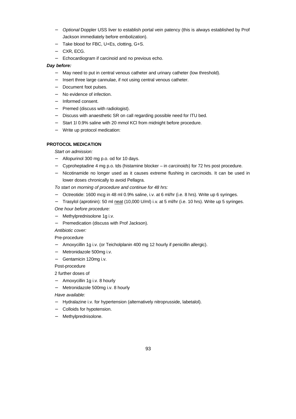- − *Optional* Doppler USS liver to establish portal vein patency (this is always established by Prof Jackson immediately before embolization).
- − Take blood for FBC, U+Es, clotting, G+S.
- − CXR, ECG.
- − Echocardiogram if carcinoid and no previous echo.

# *Day before:*

- − May need to put in central venous catheter and urinary catheter (low threshold).
- − Insert three large cannulae, if not using central venous catheter.
- − Document foot pulses.
- − No evidence of infection.
- − Informed consent.
- − Premed (discuss with radiologist).
- − Discuss with anaesthetic SR on call regarding possible need for ITU bed.
- Start 1l 0.9% saline with 20 mmol KCl from midnight before procedure.
- − Write up protocol medication:

# **PROTOCOL MEDICATION**

*Start on admission:*

- − Allopurinol 300 mg p.o. od for 10 days.
- − Cyproheptadine 4 mg p.o. tds (histamine blocker in *carcinoids*) for 72 hrs post procedure.
- − Nicotinamide no longer used as it causes extreme flushing in carcinoids. It can be used in lower doses chronically to avoid Pellagra.

*To start on morning of procedure and continue for 48 hrs:*

- − Octreotide: 1600 mcg in 48 ml 0.9% saline, i.v. at 6 ml/hr (i.e. 8 hrs). Write up 6 syringes.
- − Trasylol (aprotinin): 50 ml neat (10,000 U/ml) i.v. at 5 ml/hr (i.e. 10 hrs). Write up 5 syringes.
- *One hour before procedure:*
- − Methylprednisolone 1g i.v.
- − Premedication (discuss with Prof Jackson).

*Antibiotic cover:*

Pre-procedure

- − Amoxycillin 1g i.v. (or Teicholplanin 400 mg 12 hourly if penicillin allergic).
- − Metronidazole 500mg i.v.
- − Gentamicin 120mg i.v.

Post-procedure

2 further doses of

- − Amoxycillin 1g i.v. 8 hourly
- − Metronidazole 500mg i.v. 8 hourly

*Have available:*

- − Hydralazine i.v. for hypertension (alternatively nitroprusside, labetalol).
- − Colloids for hypotension.
- − Methylprednisolone.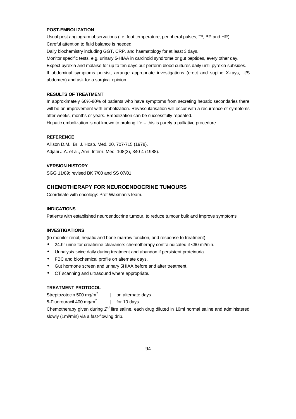### **POST-EMBOLIZATION**

Usual post angiogram observations (i.e. foot temperature, peripheral pulses, Tº, BP and HR). Careful attention to fluid balance is needed.

Daily biochemistry including GGT, CRP, and haematology for at least 3 days.

Monitor specific tests, e.g. urinary 5-HIAA in carcinoid syndrome or gut peptides, every other day. Expect pyrexia and malaise for up to ten days but perform blood cultures daily until pyrexia subsides. If abdominal symptoms persist, arrange appropriate investigations (erect and supine X-rays, U/S abdomen) and ask for a surgical opinion.

## **RESULTS OF TREATMENT**

In approximately 60%-80% of patients who have symptoms from secreting hepatic secondaries there will be an improvement with embolization. Revascularisation will occur with a recurrence of symptoms after weeks, months or years. Embolization can be successfully repeated.

Hepatic embolization is not known to prolong life – this is purely a palliative procedure.

#### **REFERENCE**

Allison D.M., Br. J. Hosp. Med. 20, 707-715 (1978). Adjani J.A. et al., Ann. Intern. Med. 108(3), 340-4 (1988).

#### **VERSION HISTORY**

SGG 11/89; revised BK 7/00 and SS 07/01

## **CHEMOTHERAPY FOR NEUROENDOCRINE TUMOURS**

Coordinate with oncology: Prof Waxman's team.

#### **INDICATIONS**

Patients with established neuroendocrine tumour, to reduce tumour bulk and improve symptoms

#### **INVESTIGATIONS**

(to monitor renal, hepatic and bone marrow function, and response to treatment)

- 24.hr urine for creatinine clearance: chemotherapy contraindicated if <60 ml/min.
- Urinalysis twice daily during treatment and abandon if persistent proteinuria.
- FBC and biochemical profile on alternate days.
- Gut hormone screen and urinary 5HIAA before and after treatment.
- CT scanning and ultrasound where appropriate.

## **TREATMENT PROTOCOL**

Streptozotocin 500 mg/m<sup>2</sup> | on alternate days

5-Fluorouracil 400 mg/m<sup>2</sup> | for 10 days

Chemotherapy given during 2<sup>nd</sup> litre saline, each drug diluted in 10ml normal saline and administered slowly (1ml/min) via a fast-flowing drip.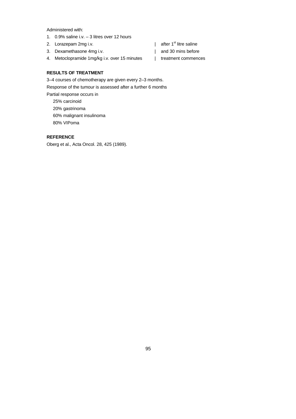Administered with:

- 1. 0.9% saline i.v. 3 litres over 12 hours
- 2. Lorazepam  $2mg$  i.v.  $\qquad \qquad$  | after 1<sup>st</sup> litre saline
- 3. Dexamethasone 4mg i.v. | and 30 mins before
- 4. Metoclopramide 1mg/kg i.v. over 15 minutes | treatment commences
- 
- -

# **RESULTS OF TREATMENT**

3–4 courses of chemotherapy are given every 2–3 months.

Response of the tumour is assessed after a further 6 months

Partial response occurs in 25% carcinoid 20% gastrinoma 60% malignant insulinoma 80% VIPoma

#### **REFERENCE**

Oberg et al., Acta Oncol. 28, 425 (1989).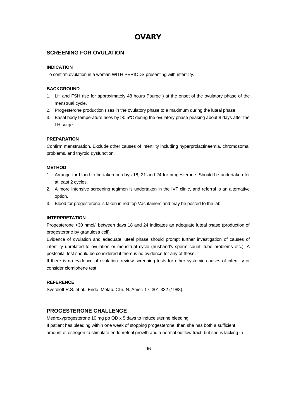# **OVARY**

# **SCREENING FOR OVULATION**

## **INDICATION**

To confirm ovulation in a woman WITH PERIODS presenting with infertility.

# **BACKGROUND**

- 1. LH and FSH rise for approximately 48 hours ("surge") at the onset of the ovulatory phase of the menstrual cycle.
- 2. Progesterone production rises in the ovulatory phase to a maximum during the luteal phase.
- 3. Basal body temperature rises by >0.5ºC during the ovulatory phase peaking about 8 days after the LH surge.

# **PREPARATION**

Confirm menstruation. Exclude other causes of infertility including hyperprolactinaemia, chromosomal problems, and thyroid dysfunction.

## **METHOD**

- 1. Arrange for blood to be taken on days 18, 21 and 24 for progesterone. Should be undertaken for at least 2 cycles.
- 2. A more intensive screening regimen is undertaken in the IVF clinic, and referral is an alternative option.
- 3. Blood for progesterone is taken in red top Vacutainers and may be posted to the lab.

## **INTERPRETATION**

Progesterone >30 nmol/l between days 18 and 24 indicates an adequate luteal phase (production of progesterone by granulosa cell).

Evidence of ovulation and adequate luteal phase should prompt further investigation of causes of infertility unrelated to ovulation or menstrual cycle (husband's sperm count, tube problems etc.). A postcoital test should be considered if there is no evidence for any of these.

If there is no evidence of ovulation: review screening tests for other systemic causes of infertility or consider clomiphene test.

## **REFERENCE**

Sverdloff R.S. et al., Endo. Metab. Clin. N. Amer. 17, 301-332 (1988).

# **PROGESTERONE CHALLENGE**

Medroxyprogesterone 10 mg po QD x 5 days to induce uterine bleeding If patient has bleeding within one week of stopping progesterone, then she has both a sufficient amount of estrogen to stimulate endometrial growth and a normal outflow tract, but she is lacking in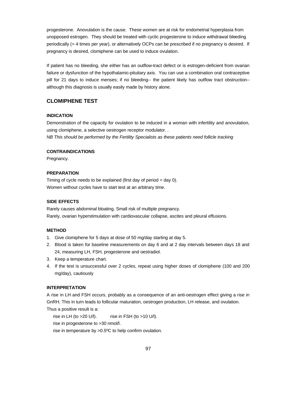progesterone. Anovulation is the cause. These women are at risk for endometrial hyperplasia from unopposed estrogen. They should be treated with cyclic progesterone to induce withdrawal bleeding periodically (= 4 times per year), or alternatively OCPs can be prescribed if no pregnancy is desired. If pregnancy is desired, clomiphene can be used to induce ovulation.

If patient has no bleeding, she either has an outflow-tract defect or is estrogen-deficient from ovarian failure or dysfunction of the hypothalamic-pituitary axis. You can use a combination oral contraceptive pill for 21 days to induce menses; if no bleeding-- the patient likely has outflow tract obstruction- although this diagnosis is usually easily made by history alone.

# **CLOMIPHENE TEST**

#### **INDICATION**

Demonstration of the capacity for ovulation to be induced in a woman with infertility and anovulation, using clomiphene, a selective oestrogen receptor modulator. .

*NB This should be performed by the Fertility Specialists as these patients need follicle tracking* 

#### **CONTRAINDICATIONS**

Pregnancy.

# **PREPARATION**

Timing of cycle needs to be explained (first day of period = day 0). Women without cycles have to start test at an arbitrary time.

#### **SIDE EFFECTS**

Rarely causes abdominal bloating. Small risk of multiple pregnancy. Rarely, ovarian hyperstimulation with cardiovascular collapse, ascites and pleural effusions.

#### **METHOD**

- 1. Give clomiphene for 5 days at dose of 50 mg/day starting at day 5.
- 2. Blood is taken for baseline measurements on day 6 and at 2 day intervals between days 18 and 24, measuring LH, FSH, progesterone and oestradiol.
- 3. Keep a temperature chart.
- 4. If the test is unsuccessful over 2 cycles, repeat using higher doses of clomiphene (100 and 200 mg/day), cautiously

#### **INTERPRETATION**

A rise in LH and FSH occurs, probably as a consequence of an anti-oestrogen effect giving a rise in GnRH. This in turn leads to follicular maturation, oestrogen production, LH release, and ovulation. Thus a positive result is a:

rise in LH (to  $>20$  U/l). rise in FSH (to  $>10$  U/l). rise in progesterone to >30 nmol/l.

rise in temperature by >0.5ºC to help confirm ovulation.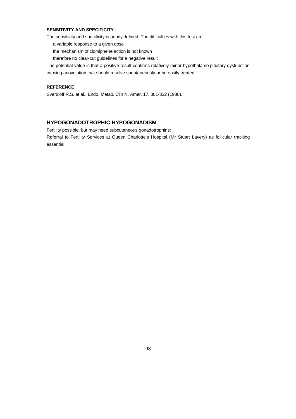# **SENSITIVITY AND SPECIFICITY**

The sensitivity and specificity is poorly defined. The difficulties with this test are:

a variable response to a given dose

- the mechanism of clomiphene action is not known
- therefore no clear-cut guidelines for a negative result

The potential value is that a positive result confirms relatively minor hypothalamo-pituitary dysfunction causing anovulation that should resolve spontaneously or be easily treated.

### **REFERENCE**

Sverdloff R.S. et al., Endo. Metab. Clin N. Amer. 17, 301-332 (1988).

# **HYPOGONADOTROPHIC HYPOGONADISM**

Fertility possible, but may need subcutaneous gonadotrophins: Referral to Fertility Services at Queen Charlotte's Hospital (Mr Stuart Lavery) as follicular tracking essential.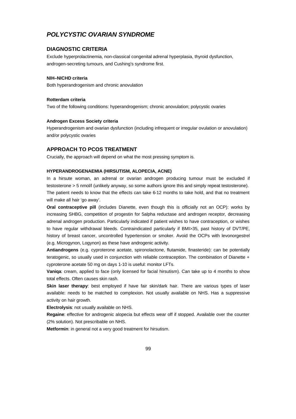# *POLYCYSTIC OVARIAN SYNDROME*

#### **DIAGNOSTIC CRITERIA**

Exclude hyperprolactinemia, non-classical congenital adrenal hyperplasia, thyroid dysfunction, androgen-secreting tumours, and Cushing's syndrome first.

#### **NIH–NICHD criteria**

Both hyperandrogenism and chronic anovulation

#### **Rotterdam criteria**

Two of the following conditions: hyperandrogenism; chronic anovulation; polycystic ovaries

#### **Androgen Excess Society criteria**

Hyperandrogenism and ovarian dysfunction (including infrequent or irregular ovulation or anovulation) and/or polycystic ovaries

# **APPROACH TO PCOS TREATMENT**

Crucially, the approach will depend on what the most pressing symptom is.

#### **HYPERANDROGENAEMIA (HIRSUTISM, ALOPECIA, ACNE)**

In a hirsute woman, an adrenal or ovarian androgen producing tumour must be excluded if testosterone > 5 nmol/l (unlikely anyway, so some authors ignore this and simply repeat testosterone). The patient needs to know that the effects can take 6-12 months to take hold, and that no treatment will make all hair 'go away'.

**Oral contraceptive pill** (includes Dianette, even though this is officially not an OCP): works by increasing SHBG, competition of progestin for 5alpha reductase and androgen receptor, decreasing adrenal androgen production. Particularly indicated if patient wishes to have contraception, or wishes to have regular withdrawal bleeds. Contraindicated particularly if BMI>35, past history of DVT/PE, history of breast cancer, uncontrolled hypertension or smoker. Avoid the OCPs with levonorgestrel (e.g. Microgynon, Logynon) as these have androgenic activity.

**Antiandrogens** (e.g. cyproterone acetate, spironolactone, flutamide, finasteride): can be potentially teratogenic, so usually used in conjunction with reliable contraception. The combination of Dianette + cyproterone acetate 50 mg on days 1-10 is useful: monitor LFTs.

**Vaniqa**: cream, applied to face (only licensed for facial hirsutism). Can take up to 4 months to show total effects. Often causes skin rash.

**Skin laser therapy**: best employed if have fair skin/dark hair. There are various types of laser available: needs to be matched to complexion. Not usually available on NHS. Has a suppressive activity on hair growth.

**Electrolysis**: not usually available on NHS.

**Regaine**: effective for androgenic alopecia but effects wear off if stopped. Available over the counter (2% solution). Not prescribable on NHS.

**Metformin**: in general not a very good treatment for hirsutism.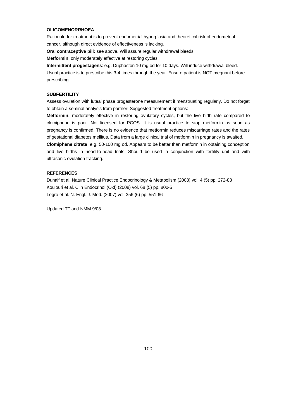#### **OLIGOMENORRHOEA**

Rationale for treatment is to prevent endometrial hyperplasia and theoretical risk of endometrial cancer, although direct evidence of effectiveness is lacking.

**Oral contraceptive pill:** see above. Will assure regular withdrawal bleeds.

**Metformin**: only moderately effective at restoring cycles.

**Intermittent progestagens**: e.g. Duphaston 10 mg od for 10 days. Will induce withdrawal bleed. Usual practice is to prescribe this 3-4 times through the year. Ensure patient is NOT pregnant before prescribing.

#### **SUBFERTILITY**

Assess ovulation with luteal phase progesterone measurement if menstruating regularly. Do not forget to obtain a seminal analysis from partner! Suggested treatment options:

**Metformin:** moderately effective in restoring ovulatory cycles, but the live birth rate compared to clomiphene is poor. Not licensed for PCOS. It is usual practice to stop metformin as soon as pregnancy is confirmed. There is no evidence that metformin reduces miscarriage rates and the rates of gestational diabetes mellitus. Data from a large clinical trial of metformin in pregnancy is awaited.

**Clomiphene citrate**: e.g. 50-100 mg od. Appears to be better than metformin in obtaining conception and live births in head-to-head trials. Should be used in conjunction with fertility unit and with ultrasonic ovulation tracking.

#### **REFERENCES**

Dunaif et al. Nature Clinical Practice Endocrinology & Metabolism (2008) vol. 4 (5) pp. 272-83 Koulouri et al. Clin Endocrinol (Oxf) (2008) vol. 68 (5) pp. 800-5 Legro et al. N. Engl. J. Med. (2007) vol. 356 (6) pp. 551-66

Updated TT and NMM 9/08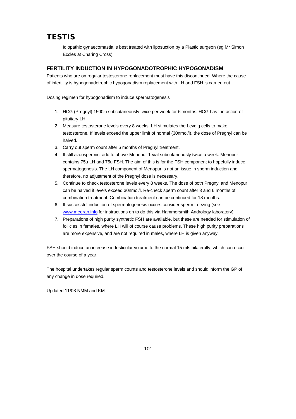# **TESTIS**

Idiopathic gynaecomastia is best treated with liposuction by a Plastic surgeon (eg Mr Simon Eccles at Charing Cross)

# **FERTILITY INDUCTION IN HYPOGONADOTROPHIC HYPOGONADISM**

Patients who are on regular testosterone replacement must have this discontinued. Where the cause of infertility is hypogonadotrophic hypogonadism replacement with LH and FSH is carried out.

Dosing regimen for hypogonadism to induce spermatogenesis

- 1. HCG (Pregnyl) 1500iu subcutaneously twice per week for 6 months. HCG has the action of pituitary LH.
- 2. Measure testosterone levels every 8 weeks. LH stimulates the Leydig cells to make testosterone. If levels exceed the upper limit of normal (30nmol/l), the dose of Pregnyl can be halved.
- 3. Carry out sperm count after 6 months of Pregnyl treatment.
- 4. If still azoospermic, add to above Menopur 1 vial subcutaneously twice a week. Menopur contains 75u LH and 75u FSH. The aim of this is for the FSH component to hopefully induce spermatogenesis. The LH component of Menopur is not an issue in sperm induction and therefore, no adjustment of the Pregnyl dose is necessary.
- 5. Continue to check testosterone levels every 8 weeks. The dose of both Pregnyl and Menopur can be halved if levels exceed 30nmol/l. Re-check sperm count after 3 and 6 months of combination treatment. Combination treatment can be continued for 18 months.
- 6. If successful induction of spermatogenesis occurs consider sperm freezing (see www.meeran.info for instructions on to do this via Hammersmith Andrology laboratory).
- 7. Preparations of high purity synthetic FSH are available, but these are needed for stimulation of follicles in females, where LH will of course cause problems. These high purity preparations are more expensive, and are not required in males, where LH is given anyway.

FSH should induce an increase in testicular volume to the normal 15 mls bilaterally, which can occur over the course of a year.

The hospital undertakes regular sperm counts and testosterone levels and should inform the GP of any change in dose required.

Updated 11/08 NMM and KM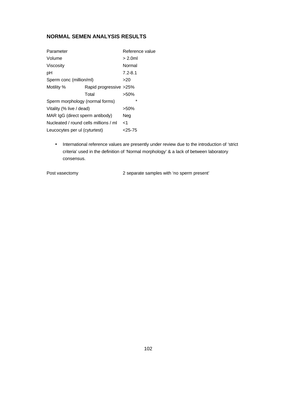# **NORMAL SEMEN ANALYSIS RESULTS**

| Parameter                             |                        | Reference value |
|---------------------------------------|------------------------|-----------------|
| Volume                                |                        | $> 2.0$ ml      |
| Viscosity                             |                        | Normal          |
| рH                                    |                        | $7.2 - 8.1$     |
| Sperm conc (million/ml)               |                        | >20             |
| Motility %                            | Rapid progressive >25% |                 |
|                                       | Total                  | $>50\%$         |
| Sperm morphology (normal forms)       |                        | $\star$         |
| Vitality (% live / dead)              |                        | >50%            |
| MAR IgG (direct sperm antibody)       |                        | Neg             |
| Nucleated / round cells millions / ml |                        | ا>              |
| Leucocytes per ul (cyturtest)         |                        | <25-75          |

• International reference values are presently under review due to the introduction of 'strict criteria' used in the definition of 'Normal morphology' & a lack of between laboratory consensus.

Post vasectomy 2 separate samples with 'no sperm present'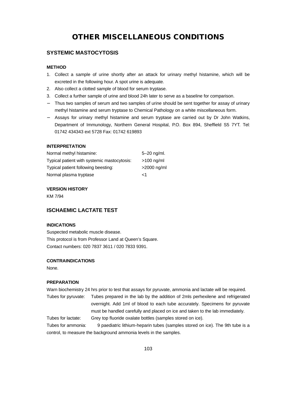# **OTHER MISCELLANEOUS CONDITIONS**

# **SYSTEMIC MASTOCYTOSIS**

### **METHOD**

- 1. Collect a sample of urine shortly after an attack for urinary methyl histamine, which will be excreted in the following hour. A spot urine is adequate.
- 2. Also collect a clotted sample of blood for serum tryptase.
- 3. Collect a further sample of urine and blood 24h later to serve as a baseline for comparison.
- Thus two samples of serum and two samples of urine should be sent together for assay of urinary methyl histamine and serum tryptase to Chemical Pathology on a white miscellaneous form.
- − Assays for urinary methyl histamine and serum tryptase are carried out by Dr John Watkins, Department of Immunology, Northern General Hospital, P.O. Box 894, Sheffield S5 7YT. Tel: 01742 434343 ext 5728 Fax: 01742 619893

# **INTERPRETATION**

| Normal methyl histamine:                    | $5 - 20$ ng/ml. |
|---------------------------------------------|-----------------|
| Typical patient with systemic mastocytosis: | $>100$ ng/ml    |
| Typical patient following beesting:         | >2000 ng/ml     |
| Normal plasma tryptase                      | -1              |

#### **VERSION HISTORY**

KM 7/94

# **ISCHAEMIC LACTATE TEST**

#### **INDICATIONS**

Suspected metabolic muscle disease. This protocol is from Professor Land at Queen's Square. Contact numbers: 020 7837 3611 / 020 7833 9391.

#### **CONTRAINDICATIONS**

None.

#### **PREPARATION**

Warn biochemistry 24 hrs prior to test that assays for pyruvate, ammonia and lactate will be required.

Tubes for pyruvate: Tubes prepared in the lab by the addition of 2mls perhexilene and refrigerated overnight. Add 1ml of blood to each tube accurately. Specimens for pyruvate must be handled carefully and placed on ice and taken to the lab immediately. Tubes for lactate: Grey top fluoride oxalate bottles (samples stored on ice).

Tubes for ammonia: 9 paediatric lithium-heparin tubes (samples stored on ice). The 9th tube is a control, to measure the background ammonia levels in the samples.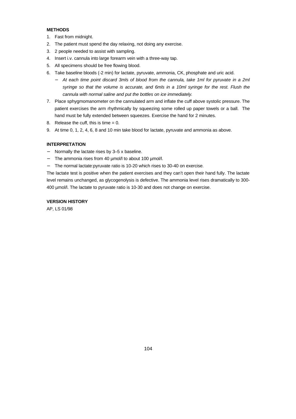# **METHODS**

- 1. Fast from midnight.
- 2. The patient must spend the day relaxing, not doing any exercise.
- 3. 2 people needed to assist with sampling.
- 4. Insert i.v. cannula into large forearm vein with a three-way tap.
- 5. All specimens should be free flowing blood.
- 6. Take baseline bloods (-2 min) for lactate, pyruvate, ammonia, CK, phosphate and uric acid.
	- − *At each time point discard 3mls of blood from the cannula, take 1ml for pyruvate in a 2ml syringe so that the volume is accurate, and 6mls in a 10ml syringe for the rest. Flush the cannula with normal saline and put the bottles on ice immediately.*
- 7. Place sphygmomanometer on the cannulated arm and inflate the cuff above systolic pressure. The patient exercises the arm rhythmically by squeezing some rolled up paper towels or a ball. The hand must be fully extended between squeezes. Exercise the hand for 2 minutes.
- 8. Release the cuff, this is time = 0.
- 9. At time 0, 1, 2, 4, 6, 8 and 10 min take blood for lactate, pyruvate and ammonia as above.

#### **INTERPRETATION**

- − Normally the lactate rises by 3–5 x baseline.
- The ammonia rises from 40 µmol/l to about 100 µmol/l.
- − The normal lactate:pyruvate ratio is 10-20 which rises to 30-40 on exercise.

The lactate test is positive when the patient exercises and they can't open their hand fully. The lactate level remains unchanged, as glycogenolysis is defective. The ammonia level rises dramatically to 300- 400 µmol/l. The lactate to pyruvate ratio is 10-30 and does not change on exercise.

### **VERSION HISTORY**

AP, LS 01/98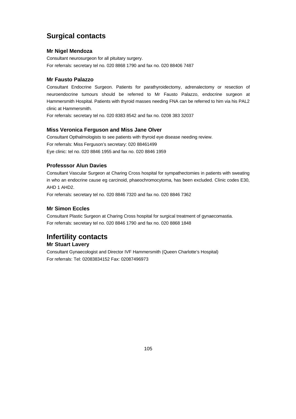# **Surgical contacts**

# **Mr Nigel Mendoza**

Consultant neurosurgeon for all pituitary surgery. For referrals: secretary tel no. 020 8868 1790 and fax no. 020 88406 7487

# **Mr Fausto Palazzo**

Consultant Endocrine Surgeon. Patients for parathyroidectomy, adrenalectomy or resection of neuroendocrine tumours should be referred to Mr Fausto Palazzo, endocrine surgeon at Hammersmith Hospital. Patients with thyroid masses needing FNA can be referred to him via his PAL2 clinic at Hammersmith.

For referrals: secretary tel no. 020 8383 8542 and fax no. 0208 383 32037

# **Miss Veronica Ferguson and Miss Jane Olver**

Consultant Opthalmologists to see patients with thyroid eye disease needing review. For referrals: Miss Ferguson's secretary: 020 88461499 Eye clinic: tel no. 020 8846 1955 and fax no. 020 8846 1959

# **Professsor Alun Davies**

Consultant Vascular Surgeon at Charing Cross hospital for sympathectomies in patients with sweating in who an endocrine cause eg carcinoid, phaeochromocytoma, has been excluded. Clinic codes E30, AHD 1 AHD2.

For referrals: secretary tel no. 020 8846 7320 and fax no. 020 8846 7362

# **Mr Simon Eccles**

Consultant Plastic Surgeon at Charing Cross hospital for surgical treatment of gynaecomastia. For referrals: secretary tel no. 020 8846 1790 and fax no. 020 8868 1848

# **Infertility contacts**

# **Mr Stuart Lavery**

Consultant Gynaecologist and Director IVF Hammersmith (Queen Charlotte's Hospital) For referrals: Tel: 02083834152 Fax: 02087496973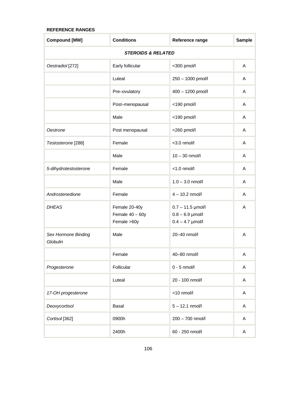# **REFERENCE RANGES**

| <b>Compound [MW]</b>            | <b>Conditions</b>                                 | Reference range                                                 | <b>Sample</b> |
|---------------------------------|---------------------------------------------------|-----------------------------------------------------------------|---------------|
| <b>STEROIDS &amp; RELATED</b>   |                                                   |                                                                 |               |
| Oestradiol [272]                | Early follicular                                  | <300 pmol/l                                                     | A             |
|                                 | Luteal                                            | 250 - 1000 pmol/l                                               | A             |
|                                 | Pre-ovulatory                                     | 400 - 1200 pmol/l                                               | A             |
|                                 | Post-menopausal                                   | <190 pmol/l                                                     | A             |
|                                 | Male                                              | <190 pmol/l                                                     | A             |
| Oestrone                        | Post menopausal                                   | <260 pmol/l                                                     | A             |
| Testosterone [288]              | Female                                            | $<$ 3.0 nmol/l                                                  | A             |
|                                 | Male                                              | $10 - 30$ nmol/l                                                | A             |
| 5-dihydrotestosterone           | Female                                            | $<$ 1.0 nmol/l                                                  | A             |
|                                 | Male                                              | $1.0 - 3.0$ nmol/l                                              | A             |
| Androstenedione                 | Female                                            | $4 - 10.2$ nmol/l                                               | A             |
| <b>DHEAS</b>                    | Female 20-40y<br>Female $40 - 60y$<br>Female >60y | $0.7 - 11.5$ µmol/l<br>$0.8 - 6.9$ µmol/l<br>$0.4 - 4.7$ µmol/l | A             |
| Sex Hormone Binding<br>Globulin | Male                                              | 20-40 nmol/l                                                    | A             |
|                                 | Female                                            | 40-80 nmol/l                                                    | Α             |
| Progesterone                    | Follicular                                        | $0 - 5$ nmol/l                                                  | A             |
|                                 | Luteal                                            | 20 - 100 nmol/l                                                 | A             |
| 17-OH progesterone              |                                                   | <10 nmol/l                                                      | A             |
| Deoxycortisol                   | Basal                                             | $5 - 12.1$ nmol/l                                               | Α             |
| Cortisol <sup>[362]</sup>       | 0900h                                             | 200 - 700 nmol/l                                                | A             |
|                                 | 2400h                                             | 60 - 250 nmol/l                                                 | A             |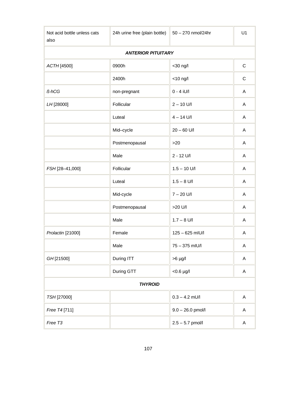| Not acid bottle unless cats<br>also | 24h urine free (plain bottle) | 50 - 270 nmol/24hr  | U1          |  |
|-------------------------------------|-------------------------------|---------------------|-------------|--|
|                                     | <b>ANTERIOR PITUITARY</b>     |                     |             |  |
| ACTH [4500]                         | 0900h                         | <30 ng/l            | $\mathsf C$ |  |
|                                     | 2400h                         | $<$ 10 ng/l         | C           |  |
| ß-hCG                               | non-pregnant                  | $0 - 4$ iU/l        | Α           |  |
| LH [28000]                          | Follicular                    | $2 - 10$ U/I        | A           |  |
|                                     | Luteal                        | $4 - 14$ U/I        | A           |  |
|                                     | Mid-cycle                     | $20 - 60$ U/I       | A           |  |
|                                     | Postmenopausal                | >20                 | Α           |  |
|                                     | Male                          | $2 - 12$ U/I        | A           |  |
| FSH [28-41,000]                     | Follicular                    | $1.5 - 10$ U/I      | A           |  |
|                                     | Luteal                        | $1.5 - 8$ U/I       | Α           |  |
|                                     | Mid-cycle                     | $7 - 20$ U/I        | A           |  |
|                                     | Postmenopausal                | >20 U/I             | A           |  |
|                                     | Male                          | $1.7 - 8$ U/I       | Α           |  |
| Prolactin [21000]                   | Female                        | 125 - 625 mIU/l     | A           |  |
|                                     | Male                          | 75 - 375 mIU/l      | Α           |  |
| GH [21500]                          | During ITT                    | $>6$ µg/l           | A           |  |
|                                     | During GTT                    | $< 0.6$ µg/l        | Α           |  |
| <b>THYROID</b>                      |                               |                     |             |  |
| TSH [27000]                         |                               | $0.3 - 4.2$ mU/l    | A           |  |
| Free T4 [711]                       |                               | $9.0 - 26.0$ pmol/l | Α           |  |
| Free T3                             |                               | $2.5 - 5.7$ pmol/l  | Α           |  |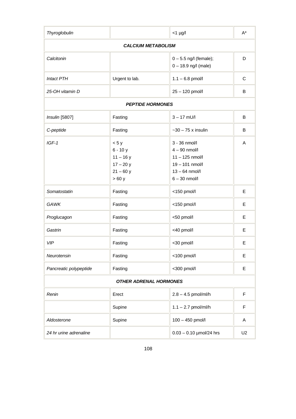| Thyroglobulin                 |                                                                     | $<$ 1 µg/l                                                                                                    | $A^*$          |
|-------------------------------|---------------------------------------------------------------------|---------------------------------------------------------------------------------------------------------------|----------------|
| <b>CALCIUM METABOLISM</b>     |                                                                     |                                                                                                               |                |
| Calcitonin                    |                                                                     | $0 - 5.5$ ng/l (female);<br>$0 - 18.9$ ng/l (male)                                                            | D              |
| <b>Intact PTH</b>             | Urgent to lab.                                                      | $1.1 - 6.8$ pmol/l                                                                                            | C              |
| 25-OH vitamin D               |                                                                     | 25 - 120 pmol/l                                                                                               | В              |
|                               | <b>PEPTIDE HORMONES</b>                                             |                                                                                                               |                |
| Insulin [5807]                | Fasting                                                             | $3 - 17$ mU/l                                                                                                 | B              |
| C-peptide                     | Fasting                                                             | $-30 - 75$ x insulin                                                                                          | B              |
| $IGF-1$                       | < 5y<br>$6 - 10y$<br>$11 - 16y$<br>$17 - 20y$<br>$21 - 60y$<br>>60y | 3 - 36 nmol/l<br>$4 - 90$ nmol/l<br>$11 - 125$ nmol/l<br>19-101 nmol/l<br>$13 - 64$ nmol/l<br>$6 - 30$ nmol/l | A              |
| Somatostatin                  | Fasting                                                             | <150 pmol/l                                                                                                   | Е              |
| <b>GAWK</b>                   | Fasting                                                             | <150 pmol/l                                                                                                   | E              |
| Proglucagon                   | Fasting                                                             | <50 pmol/l                                                                                                    | Е              |
| Gastrin                       | Fasting                                                             | <40 pmol/l                                                                                                    | Е              |
| <b>VIP</b>                    | Fasting                                                             | <30 pmol/l                                                                                                    | Е              |
| Neurotensin                   | Fasting                                                             | <100 pmol/l                                                                                                   | Е              |
| Pancreatic polypeptide        | Fasting                                                             | <300 pmol/l                                                                                                   | E              |
| <b>OTHER ADRENAL HORMONES</b> |                                                                     |                                                                                                               |                |
| Renin                         | Erect                                                               | $2.8 - 4.5$ pmol/ml/h                                                                                         | F              |
|                               | Supine                                                              | $1.1 - 2.7$ pmol/ml/h                                                                                         | F              |
| Aldosterone                   | Supine                                                              | 100 - 450 pmol/l                                                                                              | A              |
| 24 hr urine adrenaline        |                                                                     | $0.03 - 0.10$ µmol/24 hrs                                                                                     | U <sub>2</sub> |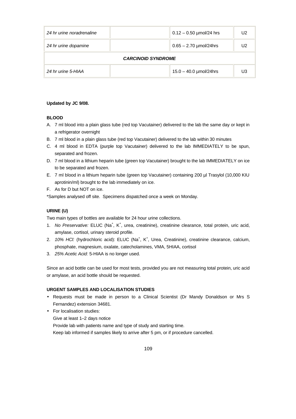| 24 hr urine noradrenaline |  | $0.12 - 0.50$ µmol/24 hrs | 12 |
|---------------------------|--|---------------------------|----|
| 24 hr urine dopamine      |  | $0.65 - 2.70$ µmol/24hrs  | U2 |
| <b>CARCINOID SYNDROME</b> |  |                           |    |
| 24 hr urine 5-HIAA        |  | $15.0 - 40.0$ µmol/24hrs  | U3 |

#### **Updated by JC 9/08.**

#### **BLOOD**

- A. 7 ml blood into a plain glass tube (red top Vacutainer) delivered to the lab the same day or kept in a refrigerator overnight
- B. 7 ml blood in a plain glass tube (red top Vacutainer) delivered to the lab within 30 minutes
- C. 4 ml blood in EDTA (purple top Vacutainer) delivered to the lab IMMEDIATELY to be spun, separated and frozen.
- D. 7 ml blood in a lithium heparin tube (green top Vacutainer) brought to the lab IMMEDIATELY on ice to be separated and frozen.
- E. 7 ml blood in a lithium heparin tube (green top Vacutainer) containing 200 µl Trasylol (10,000 KIU aprotinin/ml) brought to the lab immediately on ice.
- F. As for D but NOT on ice.

\*Samples analysed off site. Specimens dispatched once a week on Monday.

#### **URINE (U)**

Two main types of bottles are available for 24 hour urine collections.

- 1. No Preservative: ELUC (Na<sup>+</sup>, K<sup>+</sup>, urea, creatinine), creatinine clearance, total protein, uric acid, amylase, cortisol, urinary steroid profile.
- 2. 10% HCI: (hydrochloric acid): ELUC (Na<sup>+</sup>, K<sup>+</sup>, Urea, Creatinine), creatinine clearance, calcium, phosphate, magnesium, oxalate, catecholamines, VMA, 5HIAA, cortisol
- 3. *25% Acetic Acid:* 5-HIAA is no longer used.

Since an acid bottle can be used for most tests, provided you are not measuring total protein, uric acid or amylase, an acid bottle should be requested.

#### **URGENT SAMPLES AND LOCALISATION STUDIES**

- Requests must be made in person to a Clinical Scientist (Dr Mandy Donaldson or Mrs S Fernandez) extension 34681.
- For localisation studies: Give at least 1–2 days notice Provide lab with patients name and type of study and starting time. Keep lab informed if samples likely to arrive after 5 pm, or if procedure cancelled.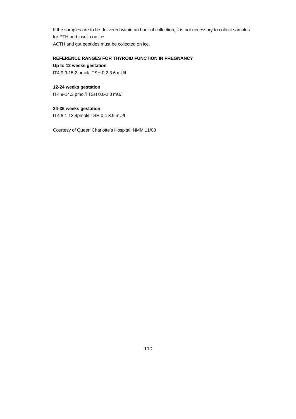If the samples are to be delivered within an hour of collection, it is not necessary to collect samples for PTH and insulin on ice. ACTH and gut peptides must be collected on ice.

#### **REFERENCE RANGES FOR THYROID FUNCTION IN PREGNANCY**

**Up to 12 weeks gestation**

fT4 9.9-15.2 pmol/l TSH 0.2-3.6 mU/l

### **12-24 weeks gestation**

fT4 9-14.3 pmol/l TSH 0.6-2.8 mU/l

## **24-36 weeks gestation**

fT4 8.1-13.4pmol/l TSH 0.4-3.9 mU/l

Courtesy of Queen Charlotte's Hospital, NMM 11/08